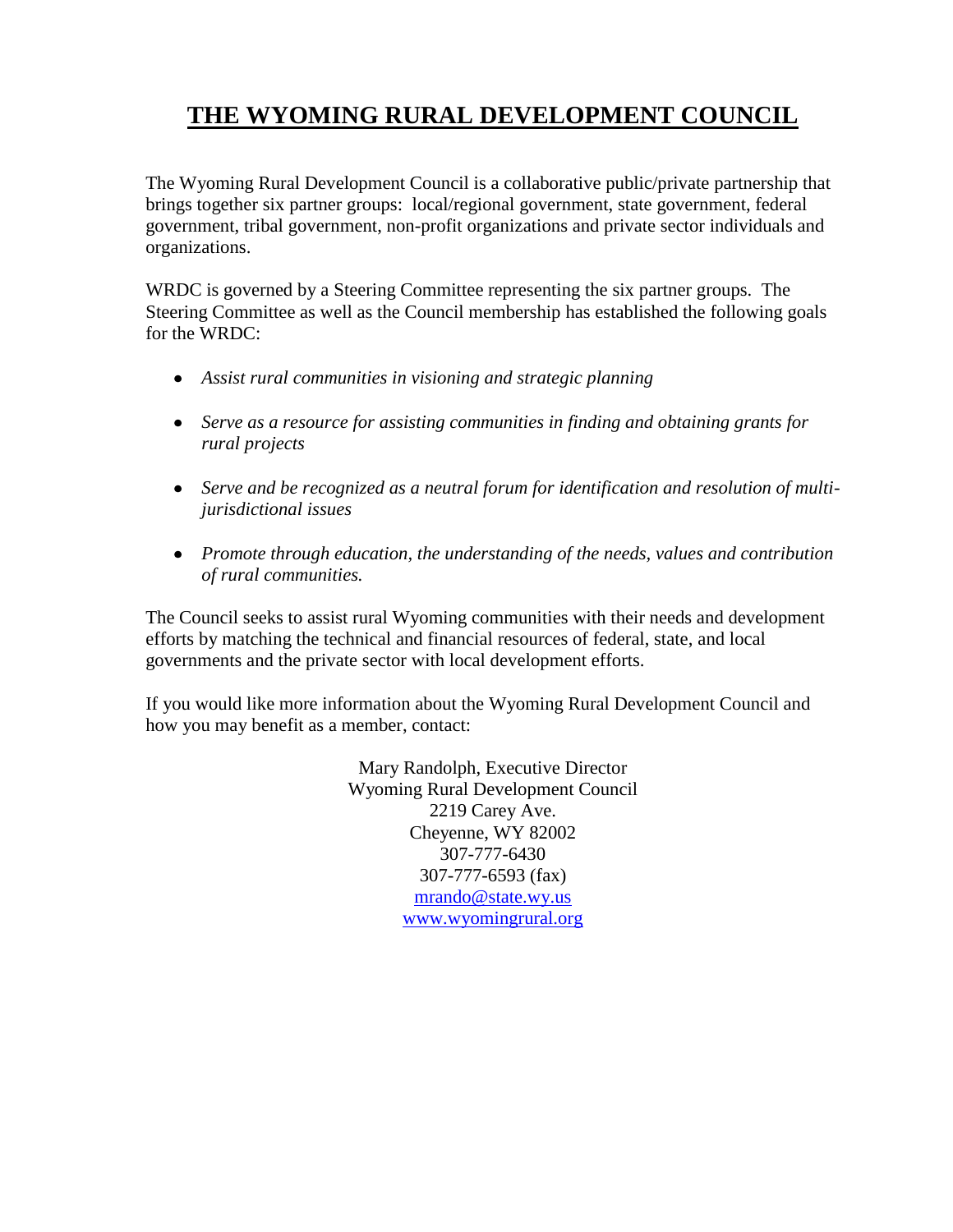# **THE WYOMING RURAL DEVELOPMENT COUNCIL**

The Wyoming Rural Development Council is a collaborative public/private partnership that brings together six partner groups: local/regional government, state government, federal government, tribal government, non-profit organizations and private sector individuals and organizations.

WRDC is governed by a Steering Committee representing the six partner groups. The Steering Committee as well as the Council membership has established the following goals for the WRDC:

- *Assist rural communities in visioning and strategic planning*
- *Serve as a resource for assisting communities in finding and obtaining grants for*   $\bullet$ *rural projects*
- *Serve and be recognized as a neutral forum for identification and resolution of multijurisdictional issues*
- *Promote through education, the understanding of the needs, values and contribution of rural communities.*

The Council seeks to assist rural Wyoming communities with their needs and development efforts by matching the technical and financial resources of federal, state, and local governments and the private sector with local development efforts.

If you would like more information about the Wyoming Rural Development Council and how you may benefit as a member, contact:

> Mary Randolph, Executive Director Wyoming Rural Development Council 2219 Carey Ave. Cheyenne, WY 82002 307-777-6430 307-777-6593 (fax) mrando@state.wy.us [www.wyomingrural.org](http://www.wyomingrural.org/)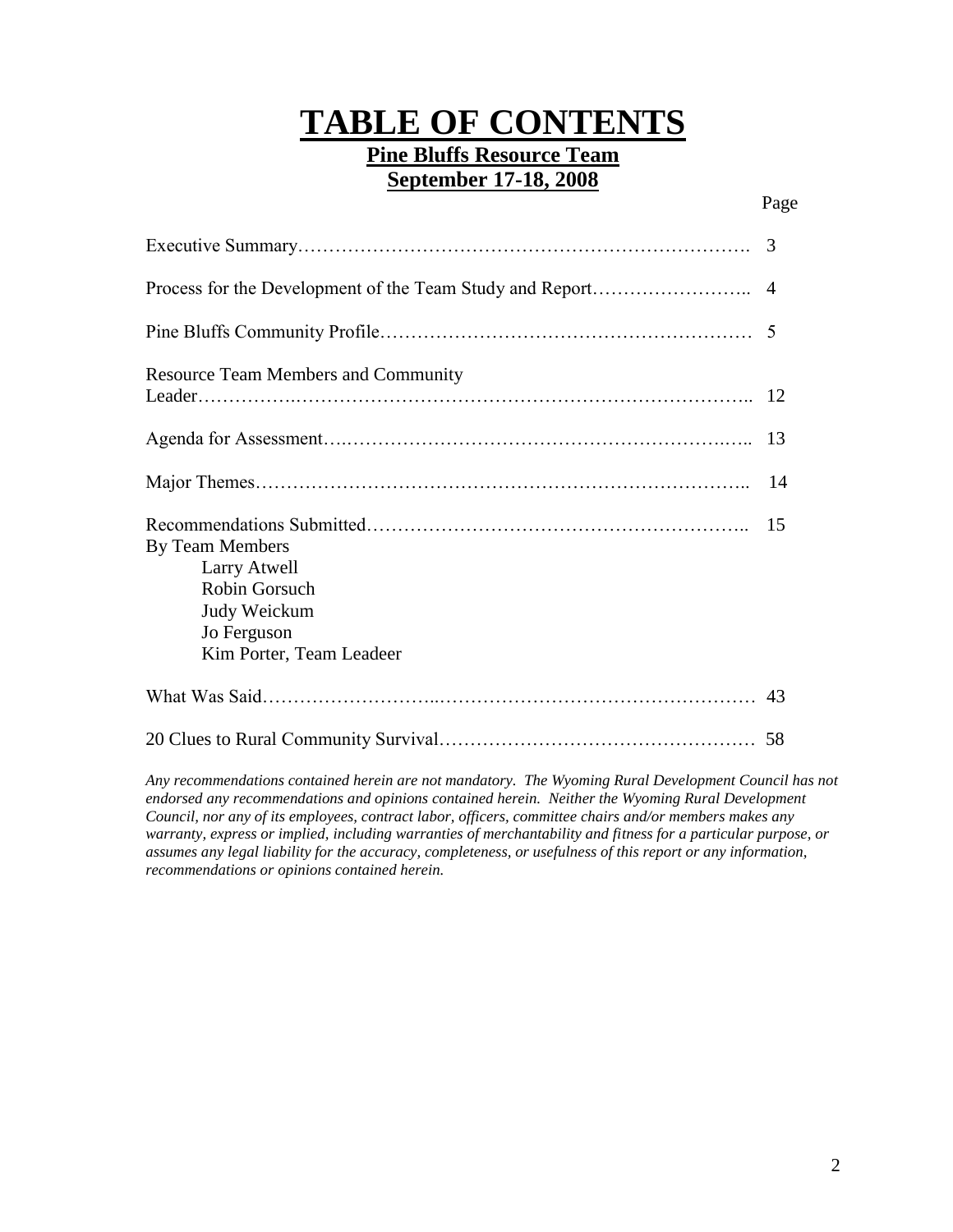# **TABLE OF CONTENTS**

# **Pine Bluffs Resource Team September 17-18, 2008**

|                                                                                                             | $\overline{4}$ |
|-------------------------------------------------------------------------------------------------------------|----------------|
|                                                                                                             |                |
| <b>Resource Team Members and Community</b>                                                                  |                |
|                                                                                                             | 13             |
|                                                                                                             | 14             |
| By Team Members<br>Larry Atwell<br>Robin Gorsuch<br>Judy Weickum<br>Jo Ferguson<br>Kim Porter, Team Leadeer | 15             |
|                                                                                                             | 43             |
|                                                                                                             |                |

*Any recommendations contained herein are not mandatory. The Wyoming Rural Development Council has not endorsed any recommendations and opinions contained herein. Neither the Wyoming Rural Development Council, nor any of its employees, contract labor, officers, committee chairs and/or members makes any*  warranty, express or implied, including warranties of merchantability and fitness for a particular purpose, or *assumes any legal liability for the accuracy, completeness, or usefulness of this report or any information, recommendations or opinions contained herein.*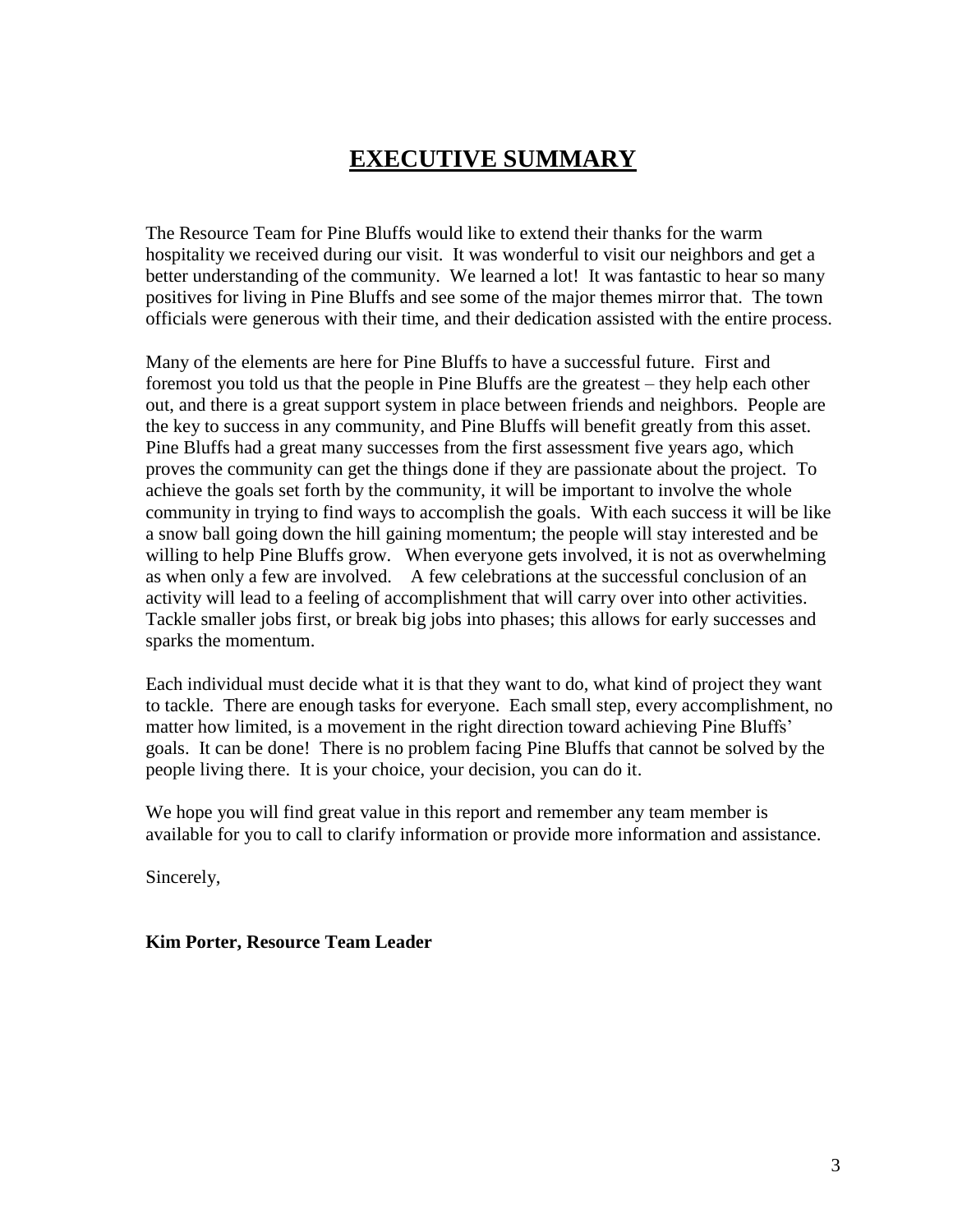# **EXECUTIVE SUMMARY**

The Resource Team for Pine Bluffs would like to extend their thanks for the warm hospitality we received during our visit. It was wonderful to visit our neighbors and get a better understanding of the community. We learned a lot! It was fantastic to hear so many positives for living in Pine Bluffs and see some of the major themes mirror that. The town officials were generous with their time, and their dedication assisted with the entire process.

Many of the elements are here for Pine Bluffs to have a successful future. First and foremost you told us that the people in Pine Bluffs are the greatest – they help each other out, and there is a great support system in place between friends and neighbors. People are the key to success in any community, and Pine Bluffs will benefit greatly from this asset. Pine Bluffs had a great many successes from the first assessment five years ago, which proves the community can get the things done if they are passionate about the project. To achieve the goals set forth by the community, it will be important to involve the whole community in trying to find ways to accomplish the goals. With each success it will be like a snow ball going down the hill gaining momentum; the people will stay interested and be willing to help Pine Bluffs grow. When everyone gets involved, it is not as overwhelming as when only a few are involved. A few celebrations at the successful conclusion of an activity will lead to a feeling of accomplishment that will carry over into other activities. Tackle smaller jobs first, or break big jobs into phases; this allows for early successes and sparks the momentum.

Each individual must decide what it is that they want to do, what kind of project they want to tackle. There are enough tasks for everyone. Each small step, every accomplishment, no matter how limited, is a movement in the right direction toward achieving Pine Bluffs' goals. It can be done! There is no problem facing Pine Bluffs that cannot be solved by the people living there. It is your choice, your decision, you can do it.

We hope you will find great value in this report and remember any team member is available for you to call to clarify information or provide more information and assistance.

Sincerely,

# **Kim Porter, Resource Team Leader**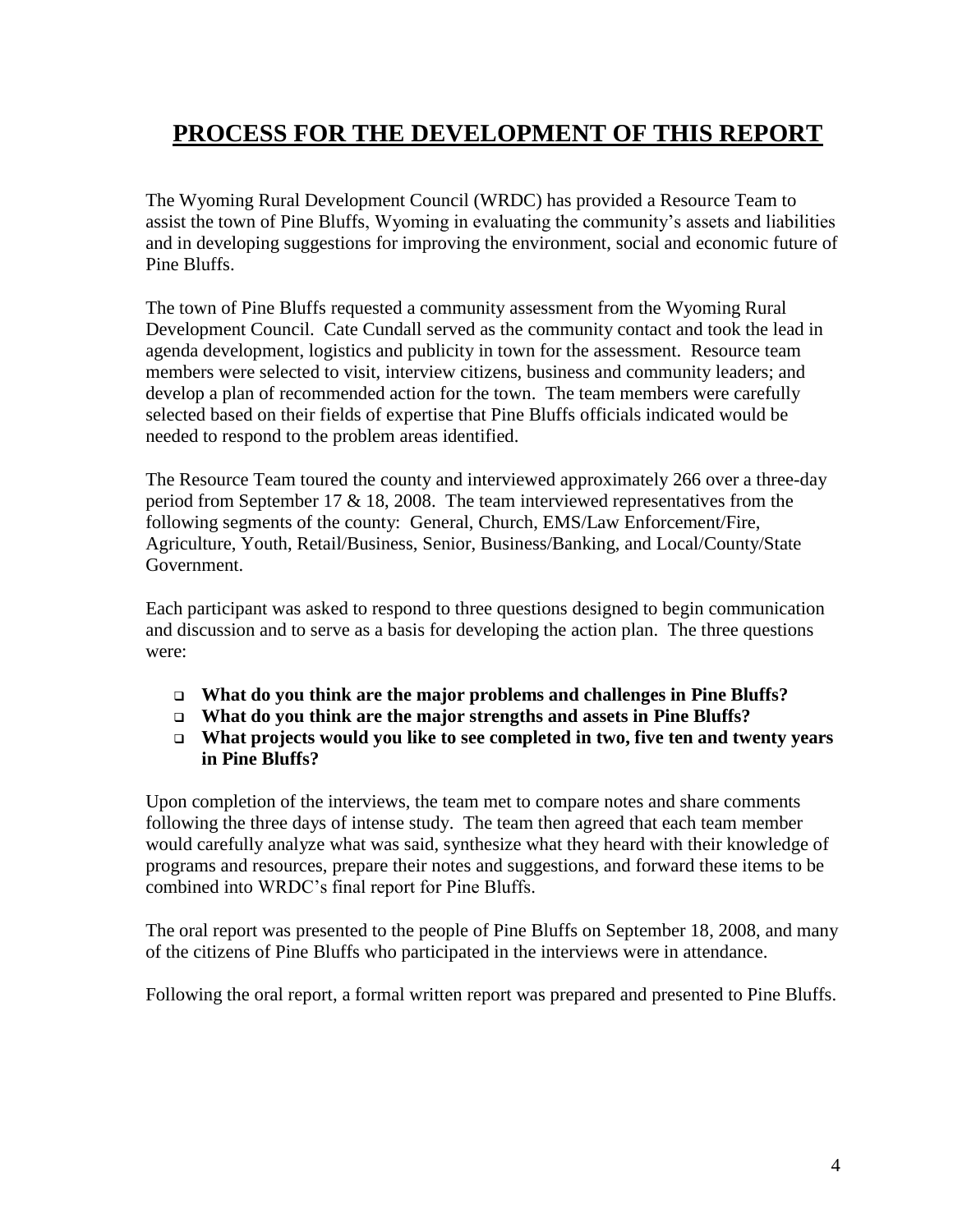# **PROCESS FOR THE DEVELOPMENT OF THIS REPORT**

The Wyoming Rural Development Council (WRDC) has provided a Resource Team to assist the town of Pine Bluffs, Wyoming in evaluating the community's assets and liabilities and in developing suggestions for improving the environment, social and economic future of Pine Bluffs.

The town of Pine Bluffs requested a community assessment from the Wyoming Rural Development Council. Cate Cundall served as the community contact and took the lead in agenda development, logistics and publicity in town for the assessment. Resource team members were selected to visit, interview citizens, business and community leaders; and develop a plan of recommended action for the town. The team members were carefully selected based on their fields of expertise that Pine Bluffs officials indicated would be needed to respond to the problem areas identified.

The Resource Team toured the county and interviewed approximately 266 over a three-day period from September 17 & 18, 2008. The team interviewed representatives from the following segments of the county: General, Church, EMS/Law Enforcement/Fire, Agriculture, Youth, Retail/Business, Senior, Business/Banking, and Local/County/State Government.

Each participant was asked to respond to three questions designed to begin communication and discussion and to serve as a basis for developing the action plan. The three questions were:

- **What do you think are the major problems and challenges in Pine Bluffs?**
- **What do you think are the major strengths and assets in Pine Bluffs?**
- **What projects would you like to see completed in two, five ten and twenty years in Pine Bluffs?**

Upon completion of the interviews, the team met to compare notes and share comments following the three days of intense study. The team then agreed that each team member would carefully analyze what was said, synthesize what they heard with their knowledge of programs and resources, prepare their notes and suggestions, and forward these items to be combined into WRDC's final report for Pine Bluffs.

The oral report was presented to the people of Pine Bluffs on September 18, 2008, and many of the citizens of Pine Bluffs who participated in the interviews were in attendance.

Following the oral report, a formal written report was prepared and presented to Pine Bluffs.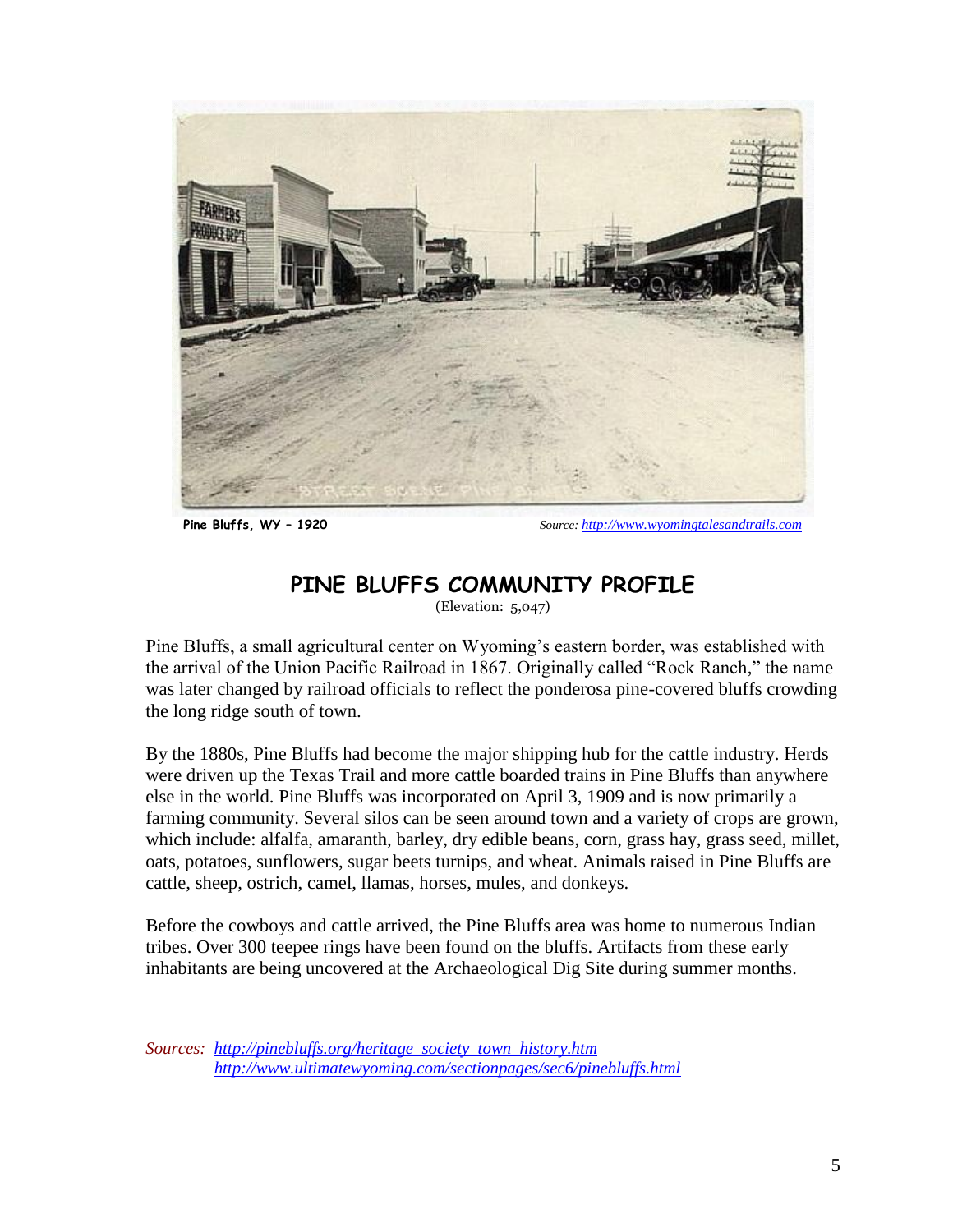

 **Pine Bluffs, WY – 1920** *Source: [http://www.wyomingtalesandtrails.com](http://www.wyomingtalesandtrails.com/)*

# **PINE BLUFFS COMMUNITY PROFILE**

(Elevation: 5,047)

Pine Bluffs, a small agricultural center on Wyoming's eastern border, was established with the arrival of the Union Pacific Railroad in 1867. Originally called "Rock Ranch," the name was later changed by railroad officials to reflect the ponderosa pine-covered bluffs crowding the long ridge south of town.

By the 1880s, Pine Bluffs had become the major shipping hub for the cattle industry. Herds were driven up the Texas Trail and more cattle boarded trains in Pine Bluffs than anywhere else in the world. Pine Bluffs was incorporated on April 3, 1909 and is now primarily a farming community. Several silos can be seen around town and a variety of crops are grown, which include: alfalfa, amaranth, barley, dry edible beans, corn, grass hay, grass seed, millet, oats, potatoes, sunflowers, sugar beets turnips, and wheat. Animals raised in Pine Bluffs are cattle, sheep, ostrich, camel, llamas, horses, mules, and donkeys.

Before the cowboys and cattle arrived, the Pine Bluffs area was home to numerous Indian tribes. Over 300 teepee rings have been found on the bluffs. Artifacts from these early inhabitants are being uncovered at the Archaeological Dig Site during summer months.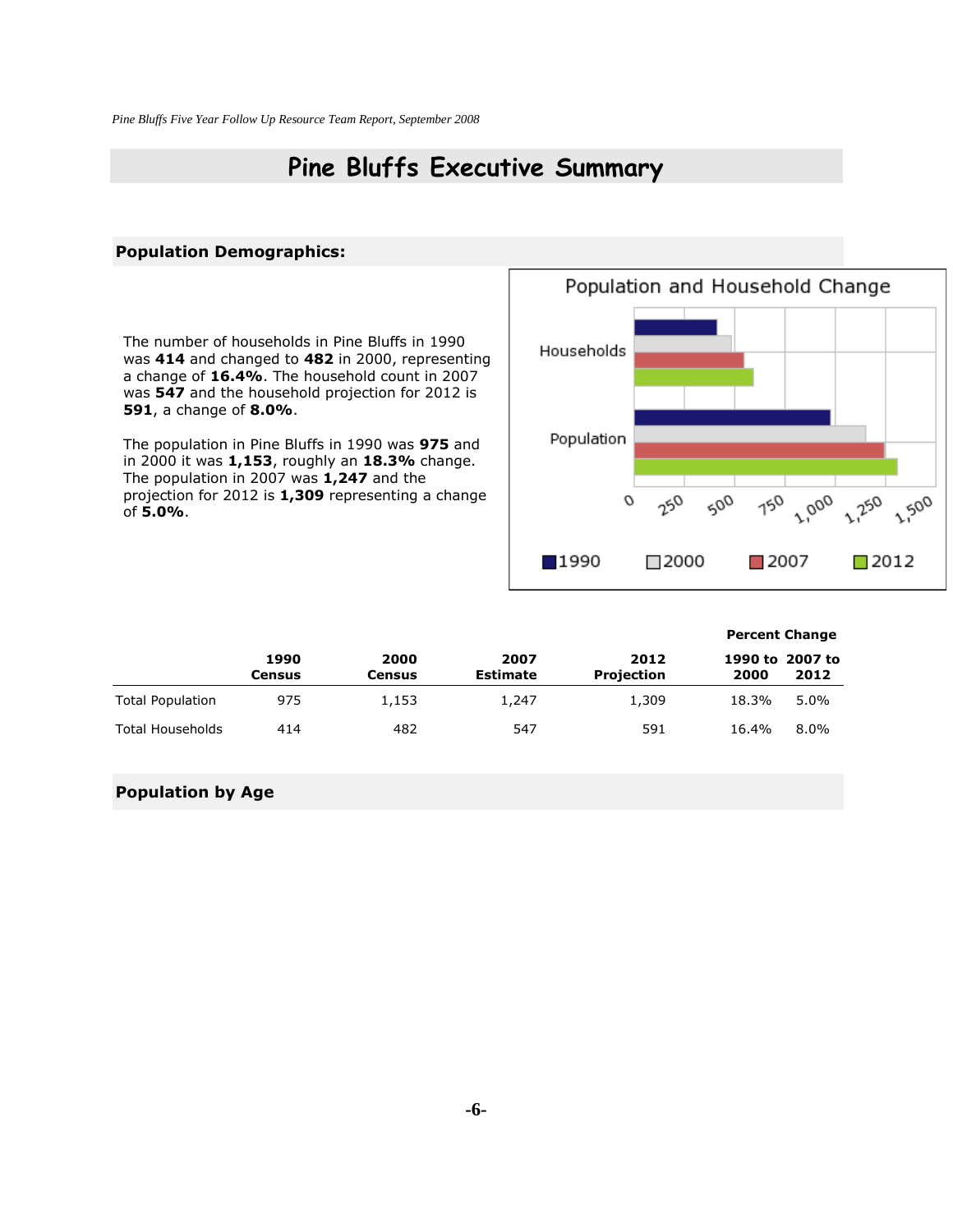# **Pine Bluffs Executive Summary**

#### **Population Demographics:**

The number of households in Pine Bluffs in 1990 was **414** and changed to **482** in 2000, representing a change of **16.4%**. The household count in 2007 was **547** and the household projection for 2012 is **591**, a change of **8.0%**.

The population in Pine Bluffs in 1990 was **975** and in 2000 it was **1,153**, roughly an **18.3%** change. The population in 2007 was **1,247** and the projection for 2012 is **1,309** representing a change of **5.0%**.



|                         |                |                |                         |                           | <b>Percent Change</b> |                         |
|-------------------------|----------------|----------------|-------------------------|---------------------------|-----------------------|-------------------------|
|                         | 1990<br>Census | 2000<br>Census | 2007<br><b>Estimate</b> | 2012<br><b>Projection</b> | 2000                  | 1990 to 2007 to<br>2012 |
| <b>Total Population</b> | 975            | 1,153          | 1,247                   | 1,309                     | 18.3%                 | $5.0\%$                 |
| <b>Total Households</b> | 414            | 482            | 547                     | 591                       | 16.4%                 | $8.0\%$                 |

#### **Population by Age**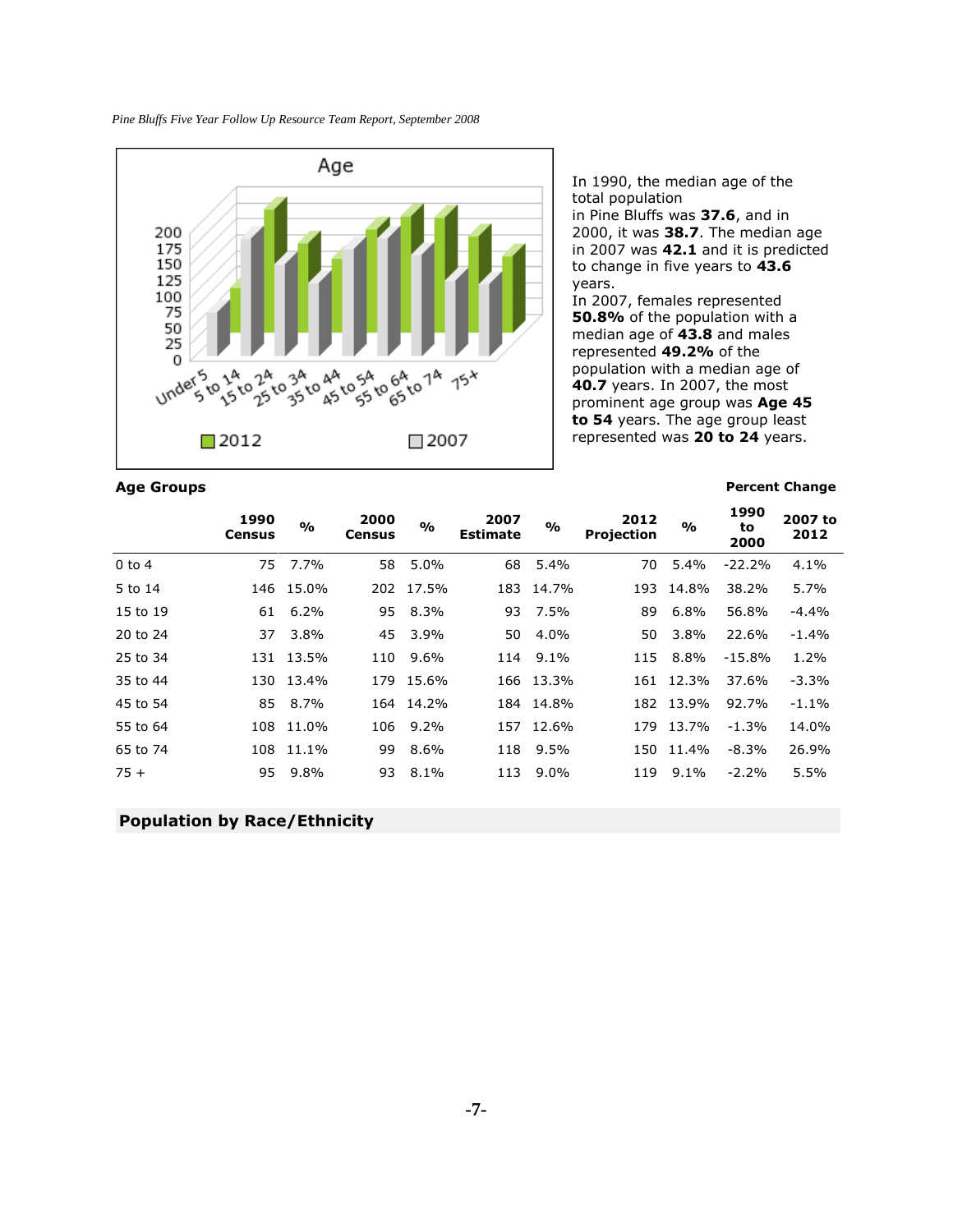

**Age Groups Percent Change**

In 1990, the median age of the total population in Pine Bluffs was **37.6**, and in 2000, it was **38.7**. The median age in 2007 was **42.1** and it is predicted to change in five years to **43.6** years.

In 2007, females represented **50.8%** of the population with a median age of **43.8** and males represented **49.2%** of the population with a median age of **40.7** years. In 2007, the most prominent age group was **Age 45 to 54** years. The age group least represented was **20 to 24** years.

|            | 1990<br>Census | $\frac{0}{0}$ | 2000<br><b>Census</b> | $\frac{9}{0}$ | 2007<br><b>Estimate</b> | %         | 2012<br><b>Projection</b> | $\frac{1}{2}$ | 1990<br>to<br>2000 | 2007 to<br>2012 |
|------------|----------------|---------------|-----------------------|---------------|-------------------------|-----------|---------------------------|---------------|--------------------|-----------------|
| $0$ to $4$ |                | 75 7.7%       | 58                    | 5.0%          | 68                      | 5.4%      | 70                        | 5.4%          | $-22.2%$           | 4.1%            |
| 5 to 14    |                | 146 15.0%     |                       | 202 17.5%     |                         | 183 14.7% |                           | 193 14.8%     | 38.2%              | 5.7%            |
| 15 to 19   | 61             | 6.2%          | 95                    | 8.3%          |                         | 93 7.5%   | 89                        | 6.8%          | 56.8%              | $-4.4%$         |
| 20 to 24   | 37             | 3.8%          | 45                    | 3.9%          | 50                      | 4.0%      | 50                        | 3.8%          | 22.6%              | $-1.4%$         |
| 25 to 34   | 131            | 13.5%         | 110                   | 9.6%          | 114                     | $9.1\%$   | 115                       | 8.8%          | $-15.8\%$          | 1.2%            |
| 35 to 44   | 130            | 13.4%         | 179                   | 15.6%         |                         | 166 13.3% | 161                       | 12.3%         | 37.6%              | $-3.3%$         |
| 45 to 54   | 85             | 8.7%          | 164                   | 14.2%         |                         | 184 14.8% | 182                       | 13.9%         | 92.7%              | $-1.1\%$        |
| 55 to 64   | 108            | 11.0%         | 106                   | $9.2\%$       |                         | 157 12.6% | 179                       | 13.7%         | $-1.3%$            | 14.0%           |
| 65 to 74   | 108            | 11.1%         | 99                    | 8.6%          | 118                     | 9.5%      | 150                       | 11.4%         | $-8.3%$            | 26.9%           |
| $75+$      | 95             | 9.8%          | 93                    | 8.1%          | 113                     | $9.0\%$   | 119                       | 9.1%          | $-2.2%$            | 5.5%            |

#### **Population by Race/Ethnicity**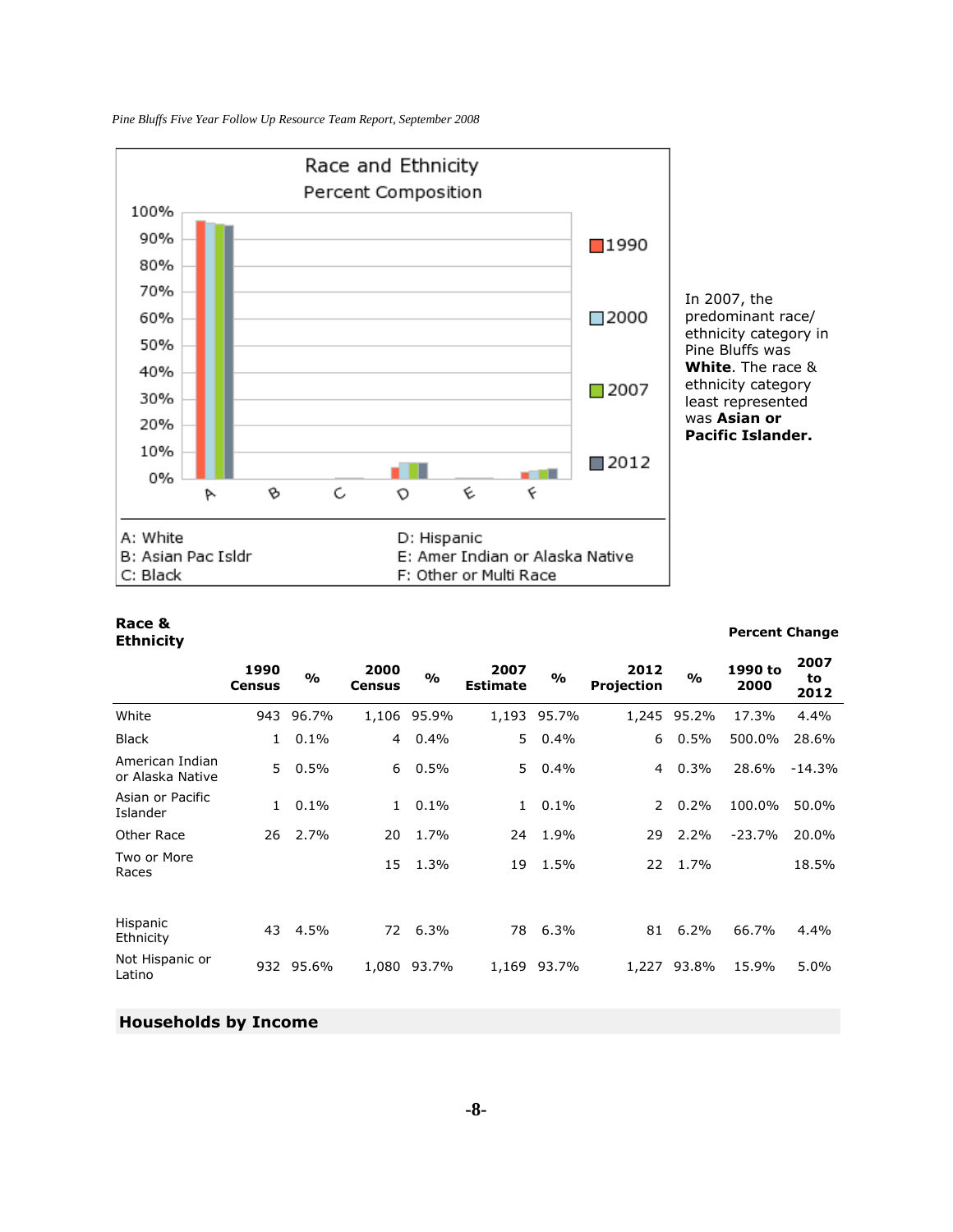*Pine Bluffs Five Year Follow Up Resource Team Report, September 2008*



#### **Race & Ethnicity Percent Change**

| <b>Percent Change</b> |  |
|-----------------------|--|
|-----------------------|--|

|                                     | 1990<br><b>Census</b> | %         | 2000<br><b>Census</b> | $\frac{1}{2}$ | 2007<br><b>Estimate</b> | $\frac{1}{2}$ | 2012<br><b>Projection</b> | $\frac{0}{0}$ | 1990 to<br>2000 | 2007<br>to<br>2012 |
|-------------------------------------|-----------------------|-----------|-----------------------|---------------|-------------------------|---------------|---------------------------|---------------|-----------------|--------------------|
| White                               | 943                   | 96.7%     |                       | 1,106 95.9%   |                         | 1,193 95.7%   | 1,245                     | 95.2%         | 17.3%           | 4.4%               |
| <b>Black</b>                        | $\mathbf{1}$          | 0.1%      | 4                     | 0.4%          | 5.                      | 0.4%          | 6                         | 0.5%          | 500.0%          | 28.6%              |
| American Indian<br>or Alaska Native | 5                     | 0.5%      | 6                     | $0.5\%$       | 5.                      | 0.4%          | 4                         | 0.3%          | 28.6%           | $-14.3%$           |
| Asian or Pacific<br>Islander        | $\mathbf{1}$          | 0.1%      | $\mathbf{1}$          | 0.1%          | $\mathbf{1}$            | 0.1%          | $\mathcal{L}$             | 0.2%          | 100.0%          | 50.0%              |
| Other Race                          | 26                    | 2.7%      | 20                    | 1.7%          | 24                      | 1.9%          | 29                        | 2.2%          | $-23.7%$        | 20.0%              |
| Two or More<br>Races                |                       |           | 15                    | 1.3%          | 19                      | 1.5%          | 22                        | 1.7%          |                 | 18.5%              |
| Hispanic<br>Ethnicity               | 43                    | 4.5%      | 72                    | 6.3%          | 78                      | 6.3%          | 81                        | 6.2%          | 66.7%           | 4.4%               |
| Not Hispanic or<br>Latino           |                       | 932 95.6% | 1,080                 | 93.7%         | 1,169                   | 93.7%         | 1,227                     | 93.8%         | 15.9%           | 5.0%               |

### **Households by Income**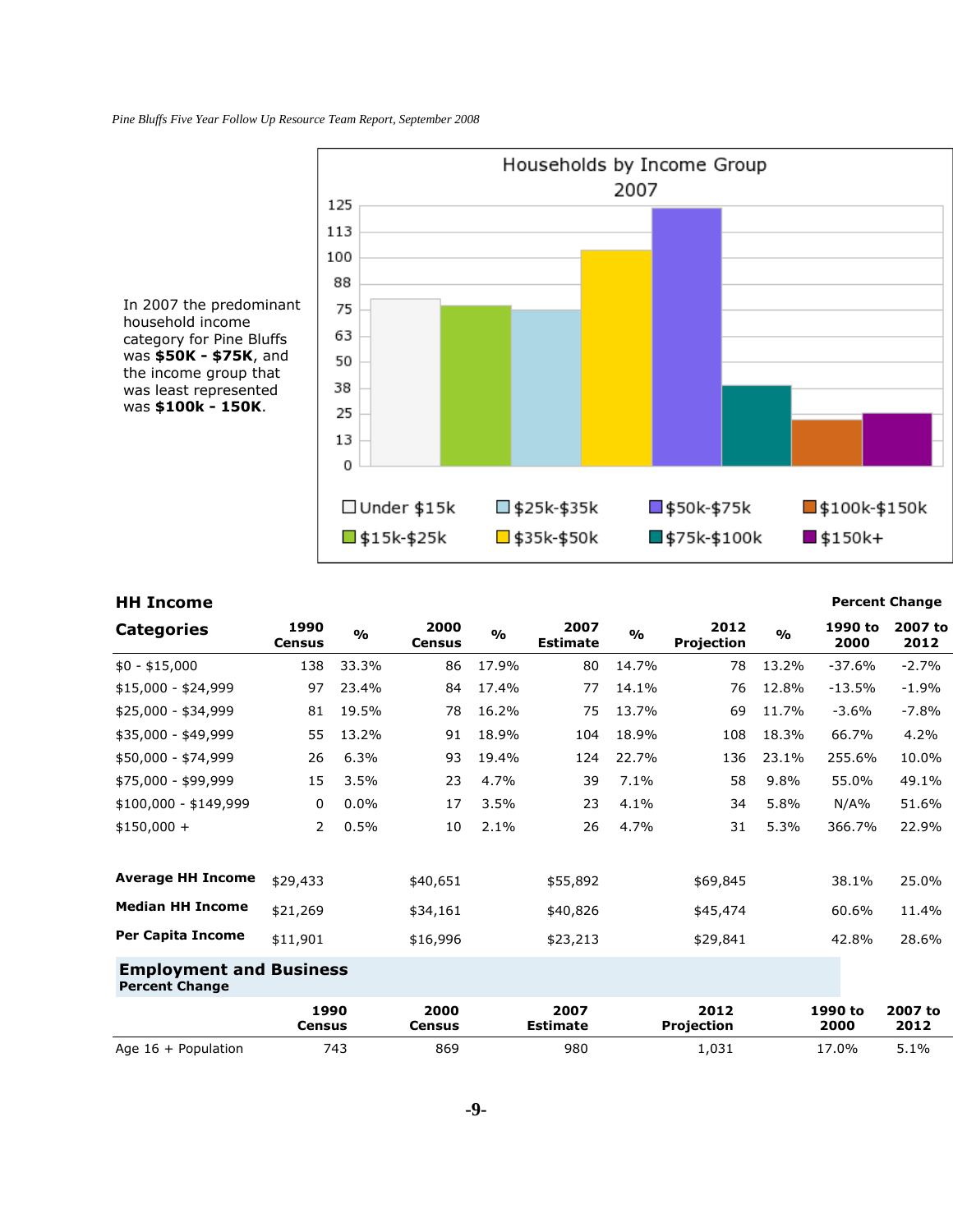

#### **HH Income Percent Change**

| <b>Categories</b>                                       | 1990<br><b>Census</b> | $\frac{0}{0}$ | 2000<br><b>Census</b> | $\frac{0}{0}$ | 2007<br><b>Estimate</b> | $\frac{0}{0}$ | 2012<br>Projection        | O/2   | 1990 to<br>2000 | 2007 to<br>2012 |
|---------------------------------------------------------|-----------------------|---------------|-----------------------|---------------|-------------------------|---------------|---------------------------|-------|-----------------|-----------------|
| $$0 - $15,000$                                          | 138                   | 33.3%         | 86                    | 17.9%         | 80                      | 14.7%         | 78                        | 13.2% | $-37.6%$        | $-2.7%$         |
| \$15,000 - \$24,999                                     | 97                    | 23.4%         | 84                    | 17.4%         | 77                      | 14.1%         | 76                        | 12.8% | $-13.5%$        | $-1.9%$         |
| \$25,000 - \$34,999                                     | 81                    | 19.5%         | 78                    | 16.2%         | 75                      | 13.7%         | 69                        | 11.7% | $-3.6%$         | $-7.8%$         |
| \$35,000 - \$49,999                                     | 55                    | 13.2%         | 91                    | 18.9%         | 104                     | 18.9%         | 108                       | 18.3% | 66.7%           | 4.2%            |
| \$50,000 - \$74,999                                     | 26                    | 6.3%          | 93                    | 19.4%         | 124                     | 22.7%         | 136                       | 23.1% | 255.6%          | 10.0%           |
| \$75,000 - \$99,999                                     | 15                    | 3.5%          | 23                    | 4.7%          | 39                      | 7.1%          | 58                        | 9.8%  | 55.0%           | 49.1%           |
| $$100,000 - $149,999$                                   | 0                     | 0.0%          | 17                    | 3.5%          | 23                      | 4.1%          | 34                        | 5.8%  | N/A%            | 51.6%           |
| $$150,000 +$                                            | $\overline{2}$        | 0.5%          | 10                    | 2.1%          | 26                      | 4.7%          | 31                        | 5.3%  | 366.7%          | 22.9%           |
| <b>Average HH Income</b>                                | \$29,433              |               | \$40,651              |               | \$55,892                |               | \$69,845                  |       | 38.1%           | 25.0%           |
| <b>Median HH Income</b>                                 | \$21,269              |               | \$34,161              |               | \$40,826                |               | \$45,474                  |       | 60.6%           | 11.4%           |
| <b>Per Capita Income</b>                                | \$11,901              |               | \$16,996              |               | \$23,213                |               | \$29,841                  |       | 42.8%           | 28.6%           |
| <b>Employment and Business</b><br><b>Percent Change</b> |                       |               |                       |               |                         |               |                           |       |                 |                 |
|                                                         | 1990<br><b>Census</b> |               | 2000<br><b>Census</b> |               | 2007<br><b>Estimate</b> |               | 2012<br><b>Projection</b> |       | 1990 to<br>2000 | 2007 to<br>2012 |
| Age $16 +$ Population                                   |                       | 743           | 869                   |               | 980                     |               | 1,031                     |       | 17.0%           | 5.1%            |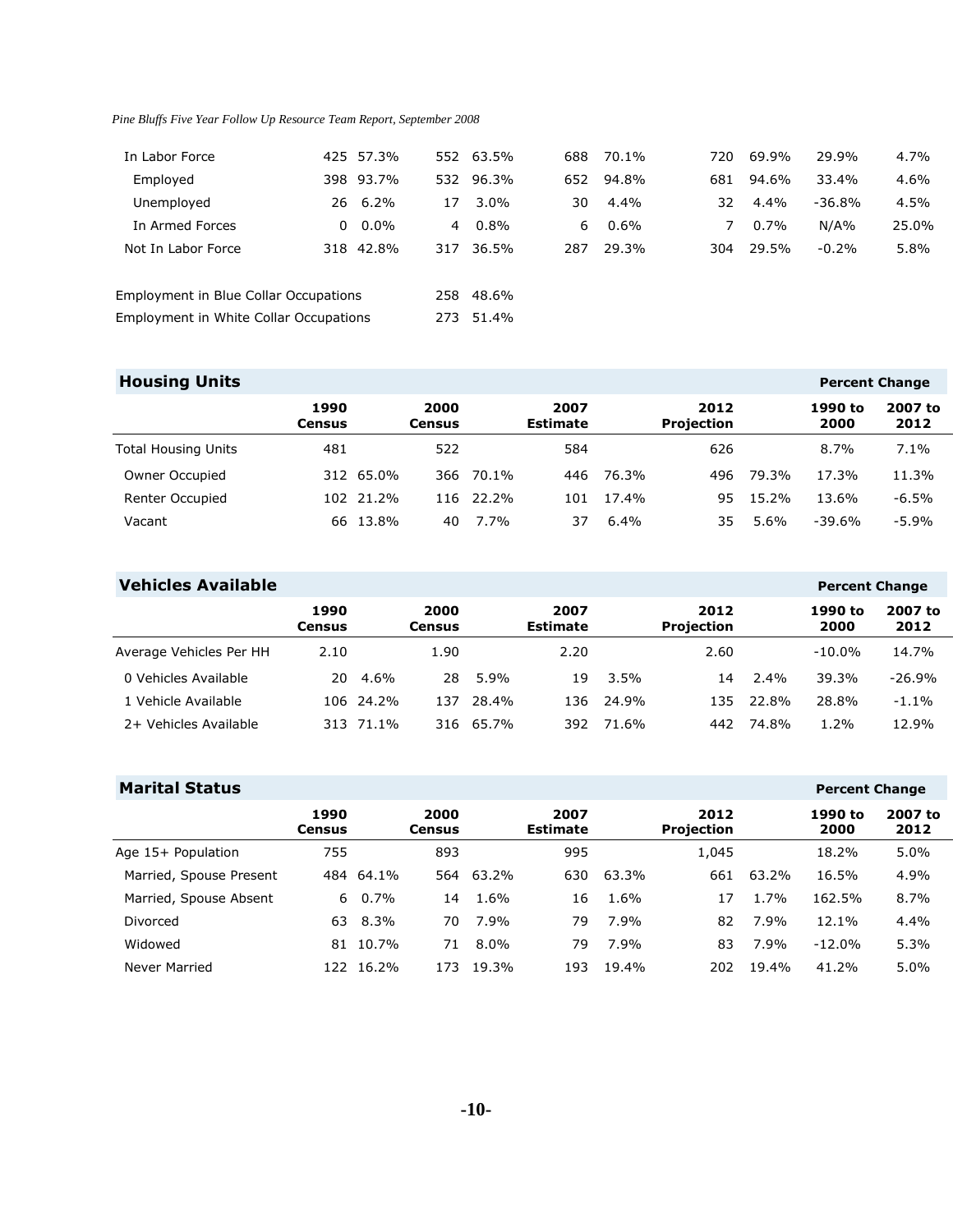| In Labor Force                         | 425 57.3% |                | 552 63.5% | 688 | 70.1% | 720 | 69.9%   | 29.9%    | 4.7%  |
|----------------------------------------|-----------|----------------|-----------|-----|-------|-----|---------|----------|-------|
| Employed                               | 398 93.7% |                | 532 96.3% | 652 | 94.8% | 681 | 94.6%   | 33.4%    | 4.6%  |
| Unemployed                             | 26 6.2%   | 17             | $3.0\%$   | 30  | 4.4%  | 32  | 4.4%    | $-36.8%$ | 4.5%  |
| In Armed Forces                        | $0.0\%$   | $\overline{4}$ | $0.8\%$   | 6   | 0.6%  | 7   | $0.7\%$ | N/A%     | 25.0% |
| Not In Labor Force                     | 318 42.8% | 317            | 36.5%     | 287 | 29.3% | 304 | 29.5%   | $-0.2%$  | 5.8%  |
| Employment in Blue Collar Occupations  |           |                | 258 48.6% |     |       |     |         |          |       |
| Employment in White Collar Occupations |           | 273            | 51.4%     |     |       |     |         |          |       |

### **Housing Units Percent Change**

| . .                        |                |           |                |           |                         |         |                           |       |                 |                 |
|----------------------------|----------------|-----------|----------------|-----------|-------------------------|---------|---------------------------|-------|-----------------|-----------------|
|                            | 1990<br>Census |           | 2000<br>Census |           | 2007<br><b>Estimate</b> |         | 2012<br><b>Projection</b> |       | 1990 to<br>2000 | 2007 to<br>2012 |
| <b>Total Housing Units</b> | 481            |           | 522            |           | 584                     |         | 626                       |       | 8.7%            | 7.1%            |
| Owner Occupied             |                | 312 65.0% |                | 366 70.1% | 446                     | 76.3%   | 496                       | 79.3% | 17.3%           | 11.3%           |
| Renter Occupied            |                | 102 21.2% |                | 116 22.2% | 101                     | 17.4%   | 95.                       | 15.2% | 13.6%           | $-6.5%$         |
| Vacant                     |                | 66 13.8%  | 40             | 7.7%      | 37                      | $6.4\%$ | 35                        | 5.6%  | $-39.6%$        | $-5.9%$         |

| <b>Vehicles Available</b> |                |           |                |         |                         |         |                           |         | <b>Percent Change</b> |                 |
|---------------------------|----------------|-----------|----------------|---------|-------------------------|---------|---------------------------|---------|-----------------------|-----------------|
|                           | 1990<br>Census |           | 2000<br>Census |         | 2007<br><b>Estimate</b> |         | 2012<br><b>Projection</b> |         | 1990 to<br>2000       | 2007 to<br>2012 |
| Average Vehicles Per HH   | 2.10           |           | 1.90           |         | 2.20                    |         | 2.60                      |         | $-10.0\%$             | 14.7%           |
| 0 Vehicles Available      | 20.            | 4.6%      | 28             | $5.9\%$ | 19                      | $3.5\%$ | 14                        | $2.4\%$ | 39.3%                 | $-26.9%$        |
| 1 Vehicle Available       |                | 106 24.2% | 137            | 28.4%   | 136                     | 24.9%   | 135                       | 22.8%   | 28.8%                 | $-1.1%$         |
| 2+ Vehicles Available     |                | 313 71.1% | 316            | 65.7%   | 392                     | 71.6%   | 442                       | 74.8%   | $1.2\%$               | 12.9%           |

| <b>Marital Status</b>   |                |           |                       |         |                         |       |                    |       | <b>Percent Change</b> |                 |
|-------------------------|----------------|-----------|-----------------------|---------|-------------------------|-------|--------------------|-------|-----------------------|-----------------|
|                         | 1990<br>Census |           | 2000<br><b>Census</b> |         | 2007<br><b>Estimate</b> |       | 2012<br>Projection |       | 1990 to<br>2000       | 2007 to<br>2012 |
| Age 15+ Population      | 755            |           | 893                   |         | 995                     |       | 1,045              |       | 18.2%                 | 5.0%            |
| Married, Spouse Present |                | 484 64.1% | 564                   | 63.2%   | 630                     | 63.3% | 661                | 63.2% | 16.5%                 | 4.9%            |
| Married, Spouse Absent  | 6.             | $0.7\%$   | 14                    | 1.6%    | 16                      | 1.6%  | 17                 | 1.7%  | 162.5%                | 8.7%            |
| Divorced                | 63             | $8.3\%$   | 70                    | 7.9%    | 79                      | 7.9%  | 82                 | 7.9%  | 12.1%                 | 4.4%            |
| Widowed                 | 81             | 10.7%     | 71                    | $8.0\%$ | 79                      | 7.9%  | 83                 | 7.9%  | $-12.0%$              | 5.3%            |
| Never Married           | 122.           | 16.2%     | 173                   | 19.3%   | 193                     | 19.4% | 202                | 19.4% | 41.2%                 | 5.0%            |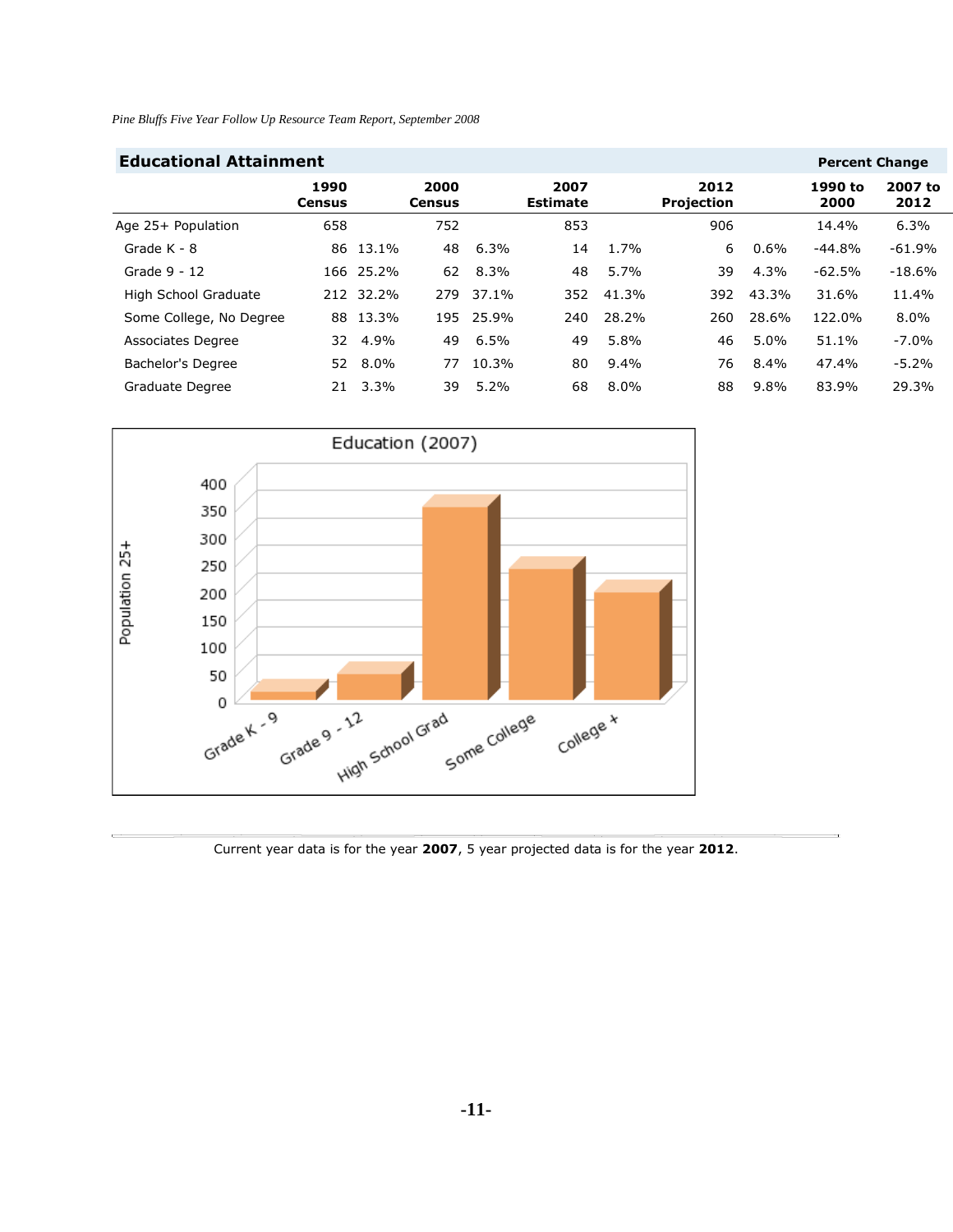| <b>Educational Attainment</b><br><b>Percent Change</b> |                       |           |                       |         |                         |         |                           |         |                 |                 |  |  |
|--------------------------------------------------------|-----------------------|-----------|-----------------------|---------|-------------------------|---------|---------------------------|---------|-----------------|-----------------|--|--|
|                                                        | 1990<br><b>Census</b> |           | 2000<br><b>Census</b> |         | 2007<br><b>Estimate</b> |         | 2012<br><b>Projection</b> |         | 1990 to<br>2000 | 2007 to<br>2012 |  |  |
| Age 25+ Population                                     | 658                   |           | 752                   |         | 853                     |         | 906                       |         | 14.4%           | 6.3%            |  |  |
| Grade K - 8                                            | 86                    | 13.1%     | 48                    | 6.3%    | 14                      | 1.7%    | 6                         | $0.6\%$ | $-44.8%$        | $-61.9%$        |  |  |
| Grade 9 - 12                                           |                       | 166 25.2% | 62                    | 8.3%    | 48                      | 5.7%    | 39                        | 4.3%    | $-62.5%$        | $-18.6%$        |  |  |
| High School Graduate                                   |                       | 212 32.2% | 279                   | 37.1%   | 352                     | 41.3%   | 392                       | 43.3%   | 31.6%           | 11.4%           |  |  |
| Some College, No Degree                                | 88                    | 13.3%     | 195                   | 25.9%   | 240                     | 28.2%   | 260                       | 28.6%   | 122.0%          | 8.0%            |  |  |
| <b>Associates Degree</b>                               | 32                    | 4.9%      | 49                    | 6.5%    | 49                      | 5.8%    | 46                        | $5.0\%$ | 51.1%           | $-7.0%$         |  |  |
| Bachelor's Degree                                      | 52                    | $8.0\%$   | 77                    | 10.3%   | 80                      | $9.4\%$ | 76                        | $8.4\%$ | 47.4%           | $-5.2%$         |  |  |
| Graduate Degree                                        | 21                    | 3.3%      | 39                    | $5.2\%$ | 68                      | $8.0\%$ | 88                        | $9.8\%$ | 83.9%           | 29.3%           |  |  |



Current year data is for the year **2007**, 5 year projected data is for the year **2012**.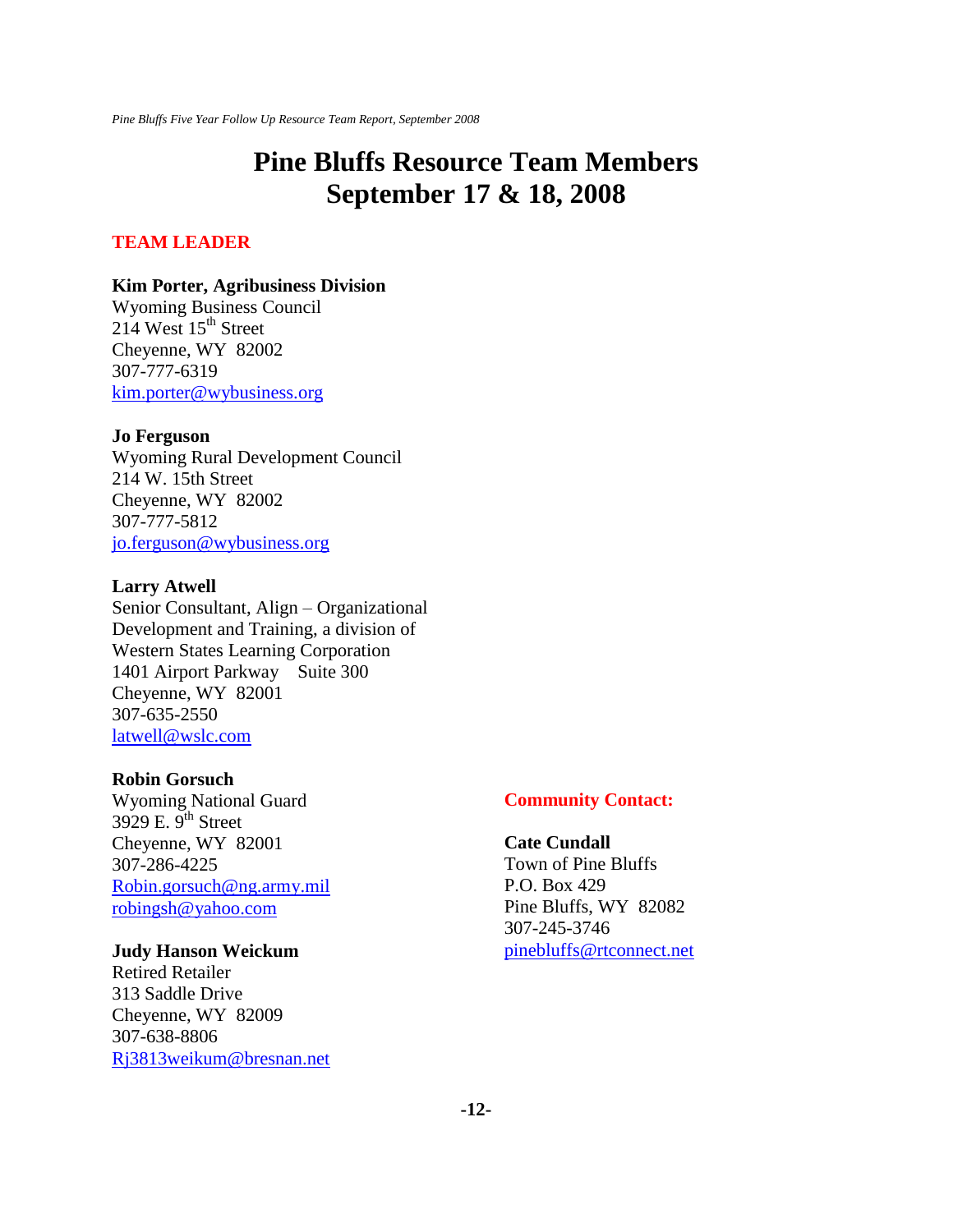# **Pine Bluffs Resource Team Members September 17 & 18, 2008**

#### **TEAM LEADER**

#### **Kim Porter, Agribusiness Division**

Wyoming Business Council  $214$  West  $15<sup>th</sup>$  Street Cheyenne, WY 82002 307-777-6319 [kim.porter@wybusiness.org](mailto:kim.porter@wybusiness.org)

#### **Jo Ferguson**

Wyoming Rural Development Council 214 W. 15th Street Cheyenne, WY 82002 307-777-5812 [jo.ferguson@wybusiness.org](mailto:jo.ferguson@wybusiness.org)

#### **Larry Atwell**

Senior Consultant, Align – Organizational Development and Training, a division of Western States Learning Corporation 1401 Airport Parkway Suite 300 Cheyenne, WY 82001 307-635-2550 [latwell@wslc.com](mailto:latwell@wslc.com)

#### **Robin Gorsuch**

Wyoming National Guard 3929 E.  $9^{th}$  Street Cheyenne, WY 82001 307-286-4225 [Robin.gorsuch@ng.army.mil](mailto:Robin.gorsuch@ng.army.mil) [robingsh@yahoo.com](mailto:robingsh@yahoo.com)

#### **Judy Hanson Weickum**

Retired Retailer 313 Saddle Drive Cheyenne, WY 82009 307-638-8806 [Rj3813weikum@bresnan.net](mailto:Rj3813weikum@bresnan.net)

#### **Community Contact:**

#### **Cate Cundall** Town of Pine Bluffs P.O. Box 429 Pine Bluffs, WY 82082

307-245-3746 [pinebluffs@rtconnect.net](mailto:pinebluffs@rtconnect.net)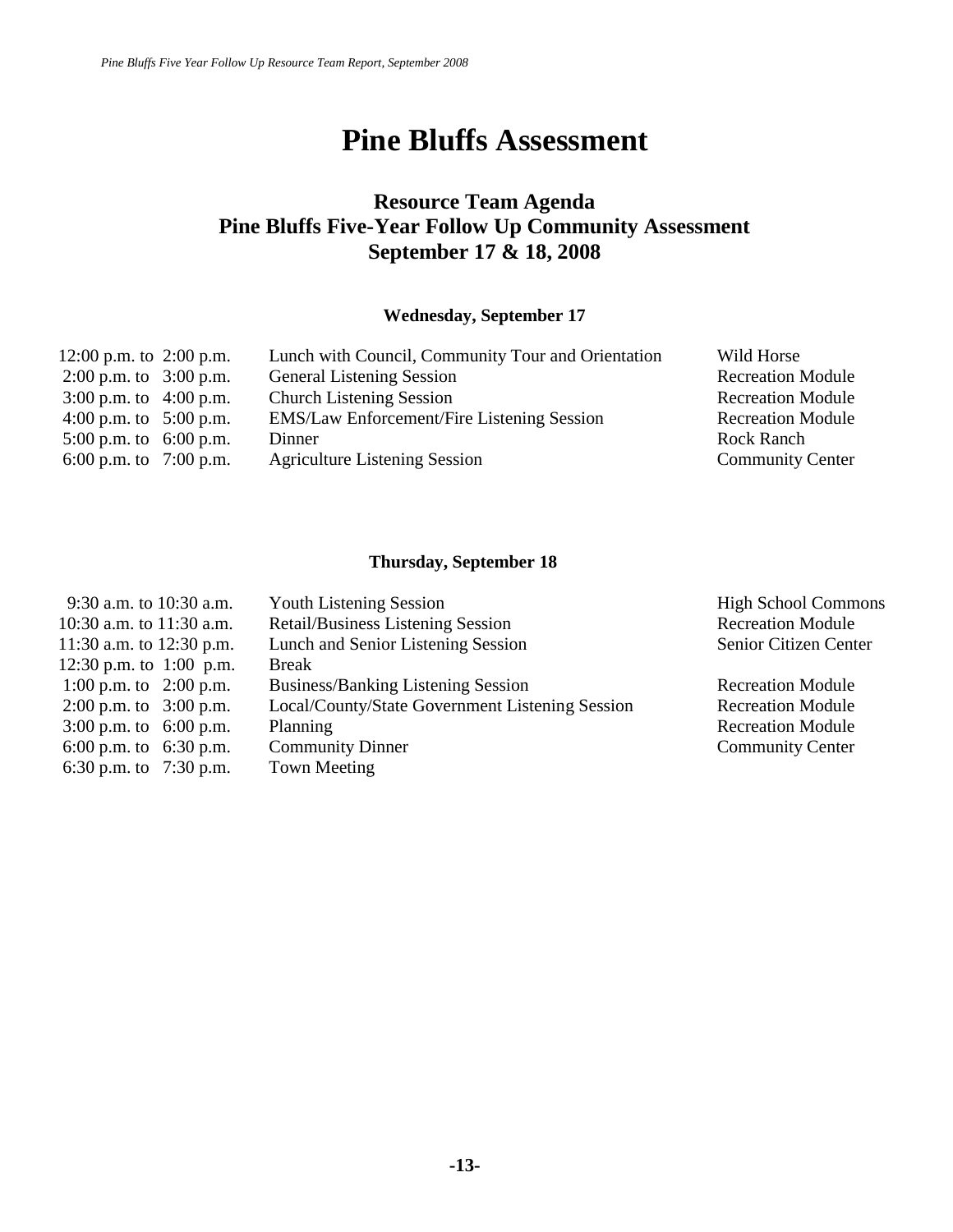# **Pine Bluffs Assessment**

# **Resource Team Agenda Pine Bluffs Five-Year Follow Up Community Assessment September 17 & 18, 2008**

### **Wednesday, September 17**

| 12:00 p.m. to $2:00$ p.m. | Lunch with Council, Community Tour and Orientation | Wild Horse               |
|---------------------------|----------------------------------------------------|--------------------------|
| 2:00 p.m. to $3:00$ p.m.  | <b>General Listening Session</b>                   | <b>Recreation Module</b> |
| 3:00 p.m. to $4:00$ p.m.  | <b>Church Listening Session</b>                    | <b>Recreation Module</b> |
| 4:00 p.m. to $5:00$ p.m.  | <b>EMS/Law Enforcement/Fire Listening Session</b>  | <b>Recreation Module</b> |
| 5:00 p.m. to 6:00 p.m.    | Dinner                                             | Rock Ranch               |
| 6:00 p.m. to $7:00$ p.m.  | <b>Agriculture Listening Session</b>               | <b>Community Center</b>  |

# **Thursday, September 18**

| <b>Youth Listening Session</b>                  | <b>High School Commons</b> |
|-------------------------------------------------|----------------------------|
| <b>Retail/Business Listening Session</b>        | <b>Recreation Module</b>   |
| Lunch and Senior Listening Session              | Senior Citizen Center      |
| Break                                           |                            |
| <b>Business/Banking Listening Session</b>       | <b>Recreation Module</b>   |
| Local/County/State Government Listening Session | <b>Recreation Module</b>   |
| Planning                                        | <b>Recreation Module</b>   |
| <b>Community Dinner</b>                         | <b>Community Center</b>    |
| <b>Town Meeting</b>                             |                            |
|                                                 |                            |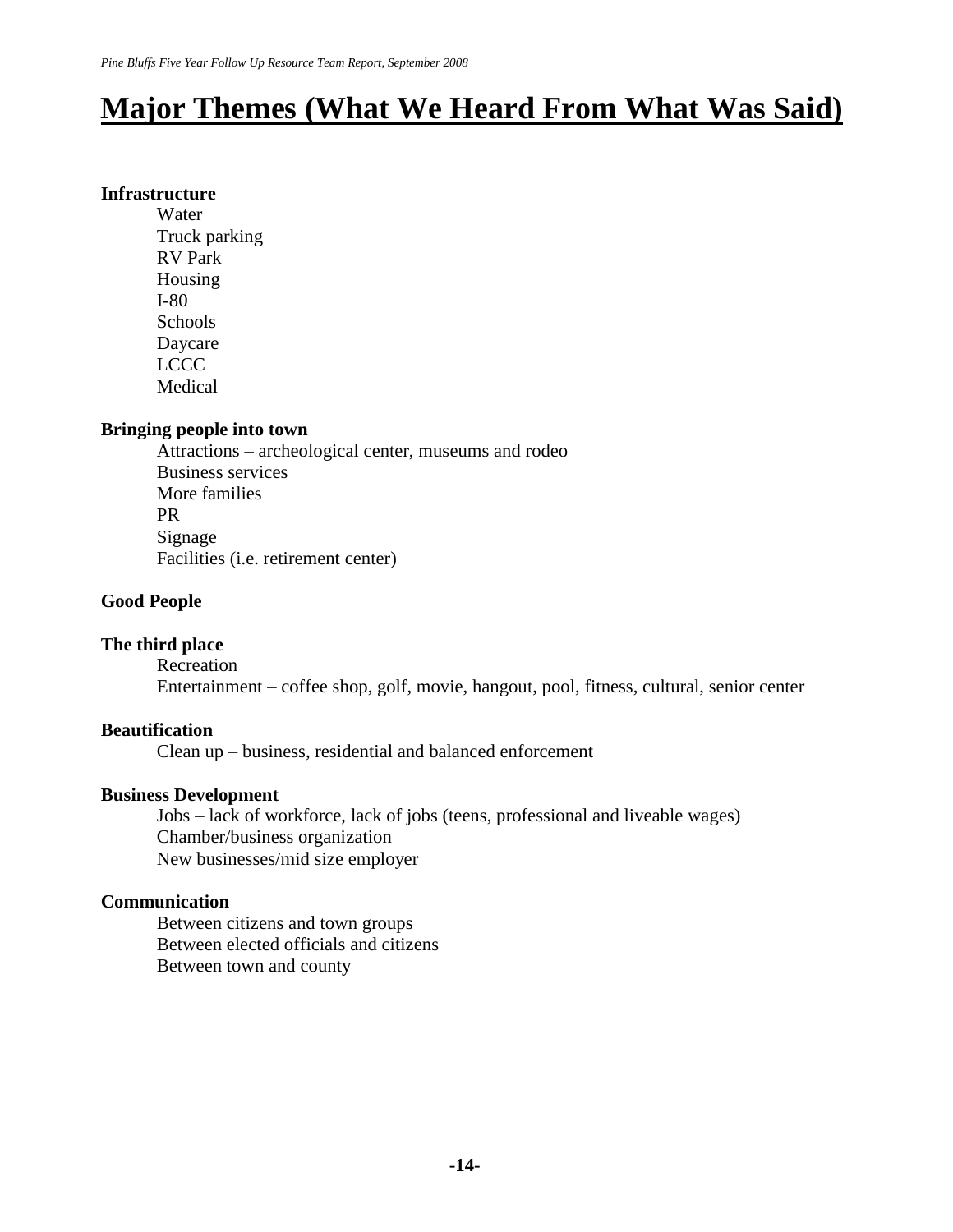# **Major Themes (What We Heard From What Was Said)**

#### **Infrastructure**

Water Truck parking RV Park Housing I-80 Schools Daycare LCCC Medical

#### **Bringing people into town**

Attractions – archeological center, museums and rodeo Business services More families PR Signage Facilities (i.e. retirement center)

### **Good People**

#### **The third place**

Recreation

Entertainment – coffee shop, golf, movie, hangout, pool, fitness, cultural, senior center

## **Beautification**

Clean up – business, residential and balanced enforcement

#### **Business Development**

Jobs – lack of workforce, lack of jobs (teens, professional and liveable wages) Chamber/business organization New businesses/mid size employer

#### **Communication**

Between citizens and town groups Between elected officials and citizens Between town and county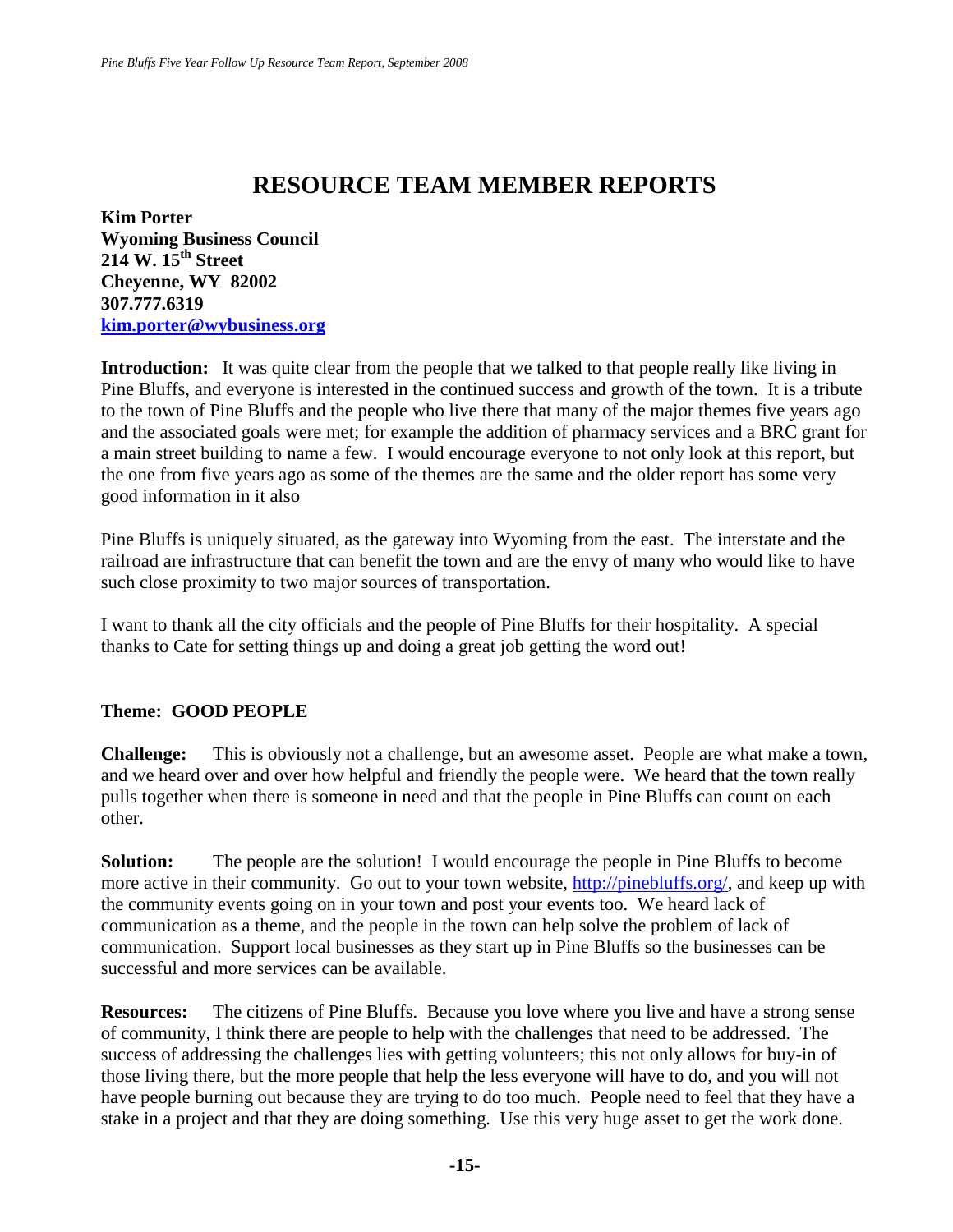# **RESOURCE TEAM MEMBER REPORTS**

**Kim Porter Wyoming Business Council 214 W. 15th Street Cheyenne, WY 82002 307.777.6319 [kim.porter@wybusiness.org](mailto:kim.porter@wybusiness.org)**

**Introduction:** It was quite clear from the people that we talked to that people really like living in Pine Bluffs, and everyone is interested in the continued success and growth of the town. It is a tribute to the town of Pine Bluffs and the people who live there that many of the major themes five years ago and the associated goals were met; for example the addition of pharmacy services and a BRC grant for a main street building to name a few. I would encourage everyone to not only look at this report, but the one from five years ago as some of the themes are the same and the older report has some very good information in it also

Pine Bluffs is uniquely situated, as the gateway into Wyoming from the east. The interstate and the railroad are infrastructure that can benefit the town and are the envy of many who would like to have such close proximity to two major sources of transportation.

I want to thank all the city officials and the people of Pine Bluffs for their hospitality. A special thanks to Cate for setting things up and doing a great job getting the word out!

# **Theme: GOOD PEOPLE**

**Challenge:** This is obviously not a challenge, but an awesome asset. People are what make a town, and we heard over and over how helpful and friendly the people were. We heard that the town really pulls together when there is someone in need and that the people in Pine Bluffs can count on each other.

**Solution:** The people are the solution! I would encourage the people in Pine Bluffs to become more active in their community. Go out to your town website, [http://pinebluffs.org/,](http://pinebluffs.org/) and keep up with the community events going on in your town and post your events too. We heard lack of communication as a theme, and the people in the town can help solve the problem of lack of communication. Support local businesses as they start up in Pine Bluffs so the businesses can be successful and more services can be available.

**Resources:** The citizens of Pine Bluffs. Because you love where you live and have a strong sense of community, I think there are people to help with the challenges that need to be addressed. The success of addressing the challenges lies with getting volunteers; this not only allows for buy-in of those living there, but the more people that help the less everyone will have to do, and you will not have people burning out because they are trying to do too much. People need to feel that they have a stake in a project and that they are doing something. Use this very huge asset to get the work done.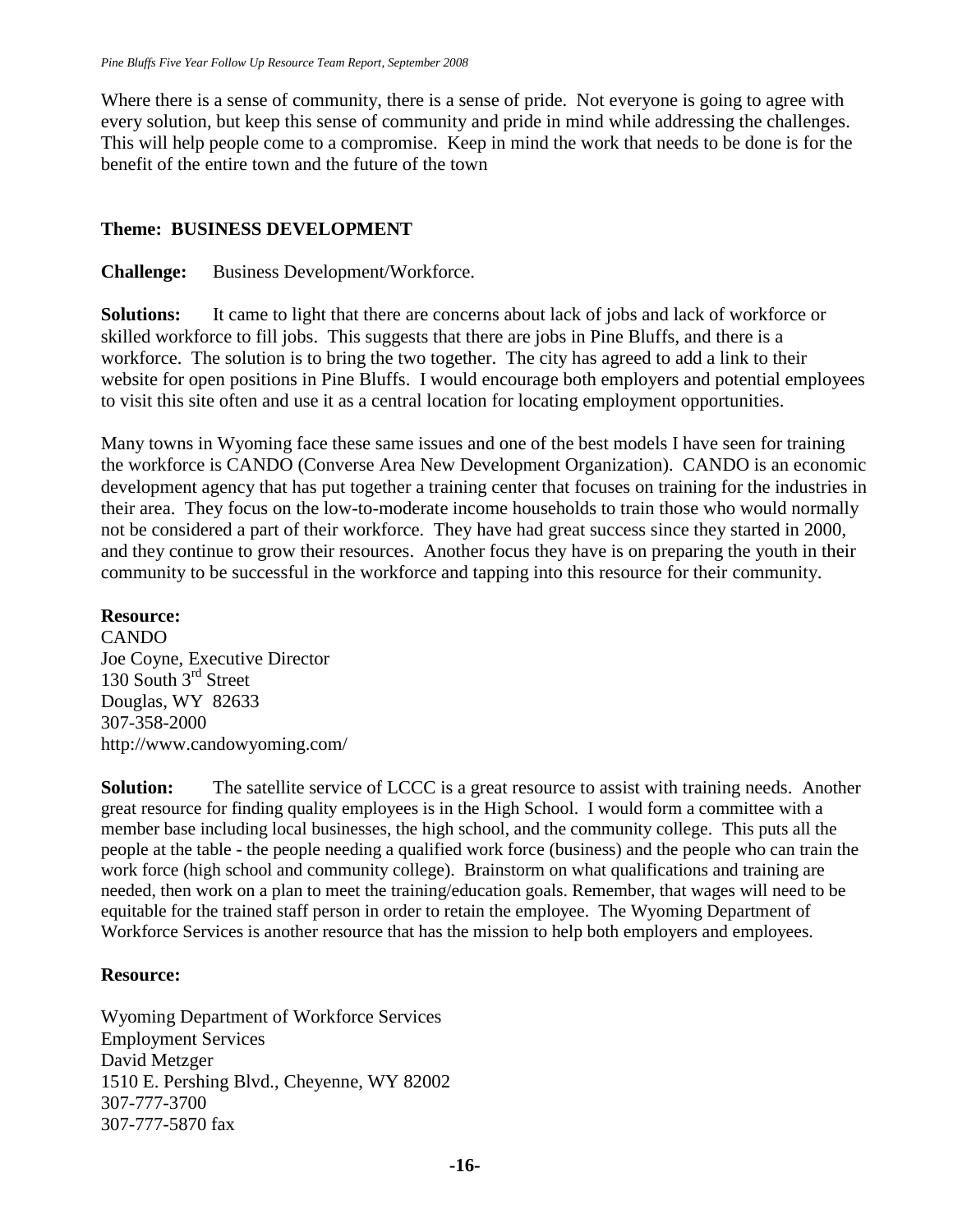Where there is a sense of community, there is a sense of pride. Not everyone is going to agree with every solution, but keep this sense of community and pride in mind while addressing the challenges. This will help people come to a compromise. Keep in mind the work that needs to be done is for the benefit of the entire town and the future of the town

# **Theme: BUSINESS DEVELOPMENT**

**Challenge:** Business Development/Workforce.

**Solutions:** It came to light that there are concerns about lack of jobs and lack of workforce or skilled workforce to fill jobs. This suggests that there are jobs in Pine Bluffs, and there is a workforce. The solution is to bring the two together. The city has agreed to add a link to their website for open positions in Pine Bluffs. I would encourage both employers and potential employees to visit this site often and use it as a central location for locating employment opportunities.

Many towns in Wyoming face these same issues and one of the best models I have seen for training the workforce is CANDO (Converse Area New Development Organization). CANDO is an economic development agency that has put together a training center that focuses on training for the industries in their area. They focus on the low-to-moderate income households to train those who would normally not be considered a part of their workforce. They have had great success since they started in 2000, and they continue to grow their resources. Another focus they have is on preparing the youth in their community to be successful in the workforce and tapping into this resource for their community.

# **Resource:**

CANDO Joe Coyne, Executive Director 130 South 3<sup>rd</sup> Street Douglas, WY 82633 307-358-2000 http://www.candowyoming.com/

**Solution:** The satellite service of LCCC is a great resource to assist with training needs. Another great resource for finding quality employees is in the High School. I would form a committee with a member base including local businesses, the high school, and the community college. This puts all the people at the table - the people needing a qualified work force (business) and the people who can train the work force (high school and community college). Brainstorm on what qualifications and training are needed, then work on a plan to meet the training/education goals. Remember, that wages will need to be equitable for the trained staff person in order to retain the employee. The Wyoming Department of Workforce Services is another resource that has the mission to help both employers and employees.

# **Resource:**

Wyoming Department of Workforce Services Employment Services [David Metzger](mailto:dmetzg@state.wy.us) [1510 E. Pershing Blvd., Cheyenne, WY 82002](http://mappoint.msn.com/(lzpvtf45tlolwd55320rh2vh)/map.aspx?L=USA&C=41.14587%2c-104.80285&A=7.16667&P=|41.14587%2c-104.80285|1|1510+E+Pershing+Blvd%2c+Cheyenne%2c+WY+82001|L1|) 307-777-3700 307-777-5870 fax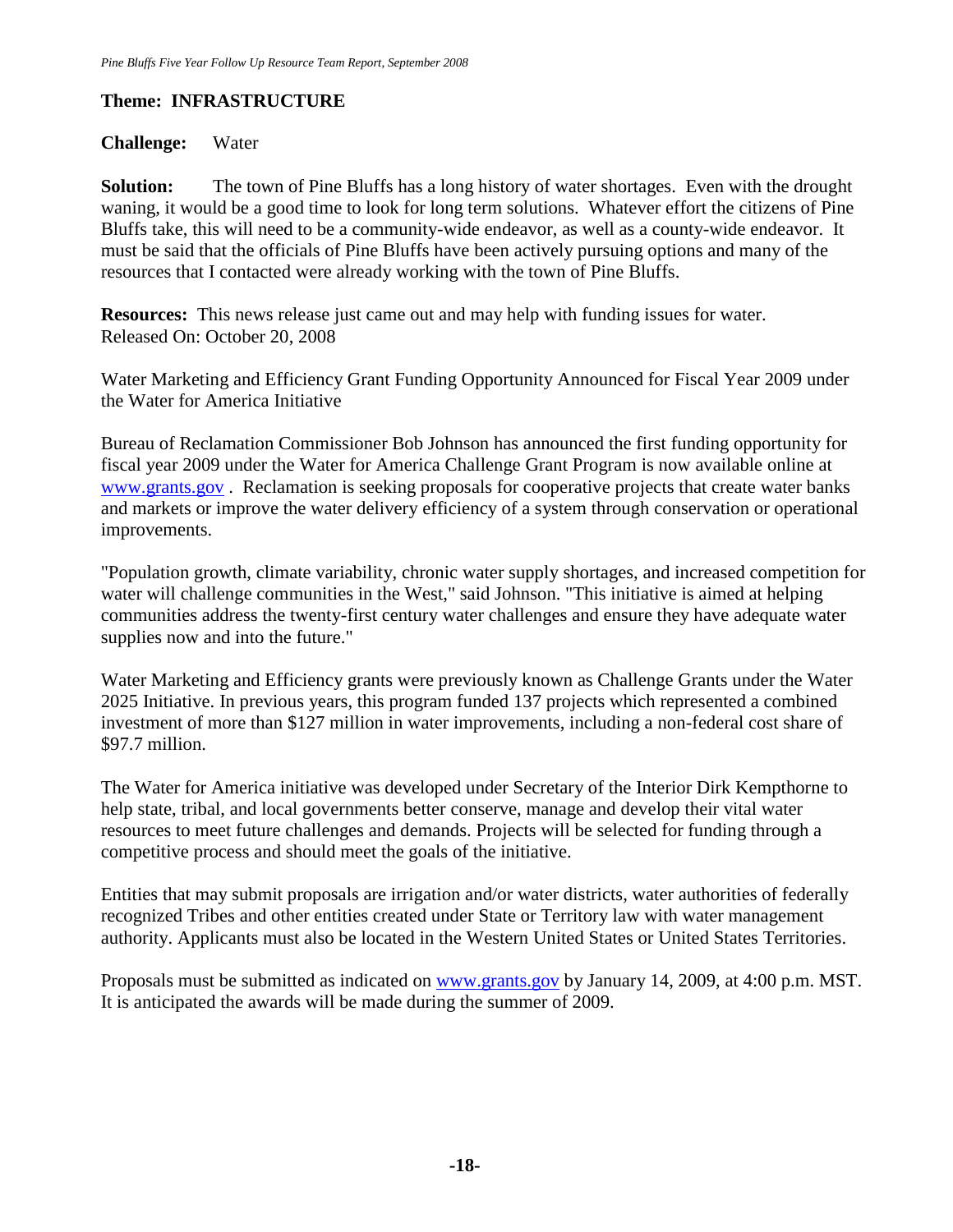# **Theme: INFRASTRUCTURE**

#### **Challenge:** Water

**Solution:** The town of Pine Bluffs has a long history of water shortages. Even with the drought waning, it would be a good time to look for long term solutions. Whatever effort the citizens of Pine Bluffs take, this will need to be a community-wide endeavor, as well as a county-wide endeavor. It must be said that the officials of Pine Bluffs have been actively pursuing options and many of the resources that I contacted were already working with the town of Pine Bluffs.

**Resources:** This news release just came out and may help with funding issues for water. Released On: October 20, 2008

Water Marketing and Efficiency Grant Funding Opportunity Announced for Fiscal Year 2009 under the Water for America Initiative

Bureau of Reclamation Commissioner Bob Johnson has announced the first funding opportunity for fiscal year 2009 under the Water for America Challenge Grant Program is now available online at [www.grants.gov](http://hostedmailsecurity.symantec.com/redir/?b3BQS4jhOrhs7enKOr014oX2te8RcCXY_uZXTLuZPtPtj4fynzV6lofb9wFmzvlFqDaRxforTEdCQm1PPNJ5ddwseod78VcSOedwbI_yq81LoBvDa14Qgr10Qg3jHIHi-5yNEw2ktxexKvxYYmfSk3q9JYSCCUOC-CrBten) . Reclamation is seeking proposals for cooperative projects that create water banks and markets or improve the water delivery efficiency of a system through conservation or operational improvements.

"Population growth, climate variability, chronic water supply shortages, and increased competition for water will challenge communities in the West," said Johnson. "This initiative is aimed at helping communities address the twenty-first century water challenges and ensure they have adequate water supplies now and into the future."

Water Marketing and Efficiency grants were previously known as Challenge Grants under the Water 2025 Initiative. In previous years, this program funded 137 projects which represented a combined investment of more than \$127 million in water improvements, including a non-federal cost share of \$97.7 million.

The Water for America initiative was developed under Secretary of the Interior Dirk Kempthorne to help state, tribal, and local governments better conserve, manage and develop their vital water resources to meet future challenges and demands. Projects will be selected for funding through a competitive process and should meet the goals of the initiative.

Entities that may submit proposals are irrigation and/or water districts, water authorities of federally recognized Tribes and other entities created under State or Territory law with water management authority. Applicants must also be located in the Western United States or United States Territories.

Proposals must be submitted as indicated on [www.grants.gov](http://hostedmailsecurity.symantec.com/redir/?b3BQS4jhOrhs7enKOr014oX2te8RcCXY_uZXTLuZPtPtj4fynzV6lofb9wFmzvlFqDaRxforTEdCQm1PPNJ5ddwseod78VcSOedwbI_yq81LoBvDa14Qgr10Qg3jHIHi-5yNEw2ktxexKvxYYmfSk3qpJYSCCUOC-CrBten) by January 14, 2009, at 4:00 p.m. MST. It is anticipated the awards will be made during the summer of 2009.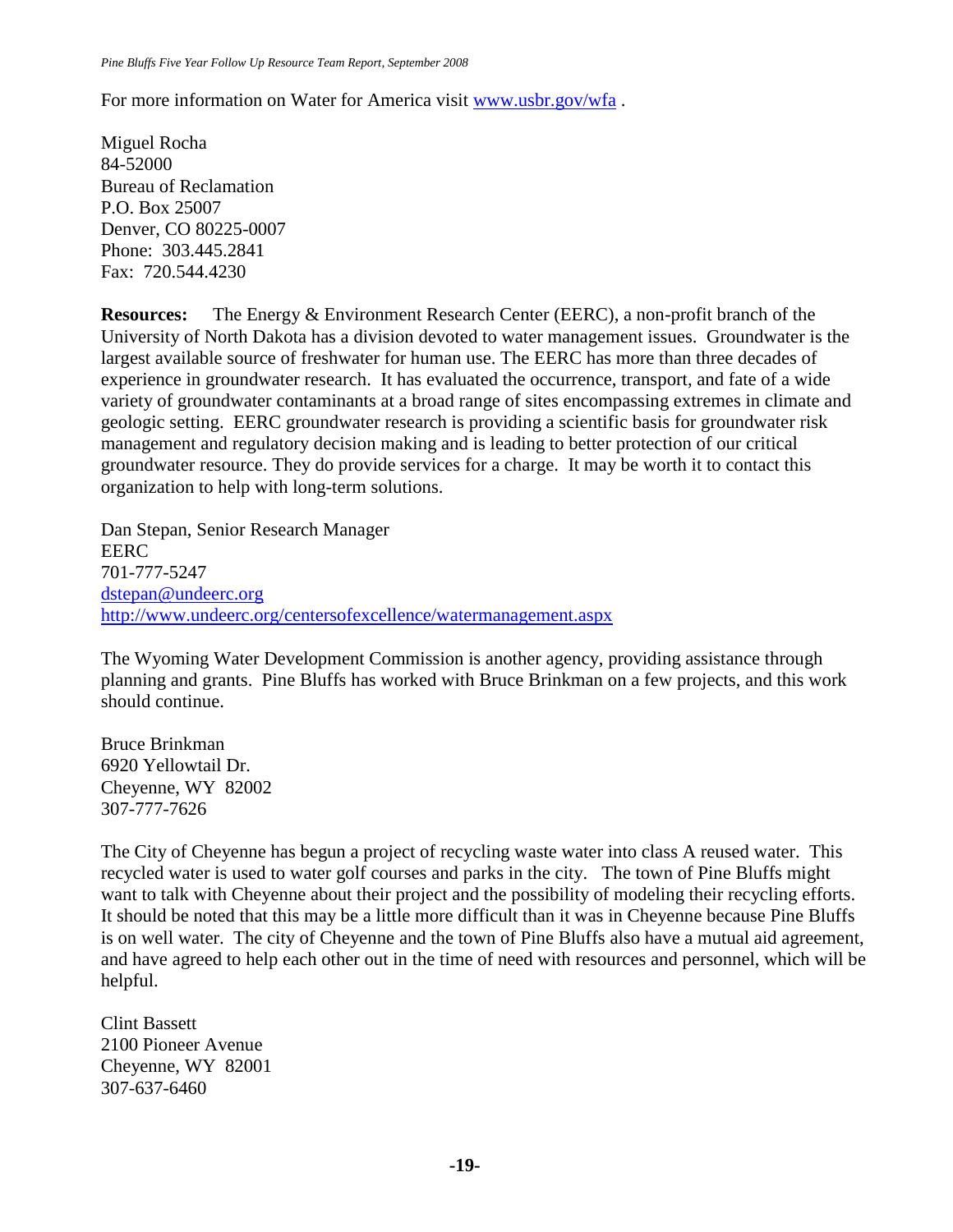For more information on Water for America visit [www.usbr.gov/wfa](http://hostedmailsecurity.symantec.com/redir/?m7bFI8CzASyUesLtAS02rEgzN6FD33KCXY_uZXTLuZPtPtj4fynzV6lofb9wFmzvlFqDaRxforTEdCQm1PPNJ5ddwseod78VcSOedwbI_yq81LoBvDa14Qgr10Qg3jHIHi-5yNEw2ktxexKvxYYmfSk3r9JYSCCUOC-CrBten) .

Miguel Rocha 84-52000 Bureau of Reclamation P.O. Box 25007 Denver, CO 80225-0007 Phone: 303.445.2841 Fax: 720.544.4230

**Resources:** The Energy & Environment Research Center (EERC), a non-profit branch of the University of North Dakota has a division devoted to water management issues. Groundwater is the largest available source of freshwater for human use. The EERC has more than three decades of experience in groundwater research. It has evaluated the occurrence, transport, and fate of a wide variety of groundwater contaminants at a broad range of sites encompassing extremes in climate and geologic setting. EERC groundwater research is providing a scientific basis for groundwater risk management and regulatory decision making and is leading to better protection of our critical groundwater resource. They do provide services for a charge. It may be worth it to contact this organization to help with long-term solutions.

Dan Stepan, Senior Research Manager EERC 701-777-5247 [dstepan@undeerc.org](mailto:dstepan@undeerc.org) <http://www.undeerc.org/centersofexcellence/watermanagement.aspx>

The Wyoming Water Development Commission is another agency, providing assistance through planning and grants. Pine Bluffs has worked with Bruce Brinkman on a few projects, and this work should continue.

Bruce Brinkman 6920 Yellowtail Dr. Cheyenne, WY 82002 307-777-7626

The City of Cheyenne has begun a project of recycling waste water into class A reused water. This recycled water is used to water golf courses and parks in the city. The town of Pine Bluffs might want to talk with Cheyenne about their project and the possibility of modeling their recycling efforts. It should be noted that this may be a little more difficult than it was in Cheyenne because Pine Bluffs is on well water. The city of Cheyenne and the town of Pine Bluffs also have a mutual aid agreement, and have agreed to help each other out in the time of need with resources and personnel, which will be helpful.

Clint Bassett 2100 Pioneer Avenue Cheyenne, WY 82001 307-637-6460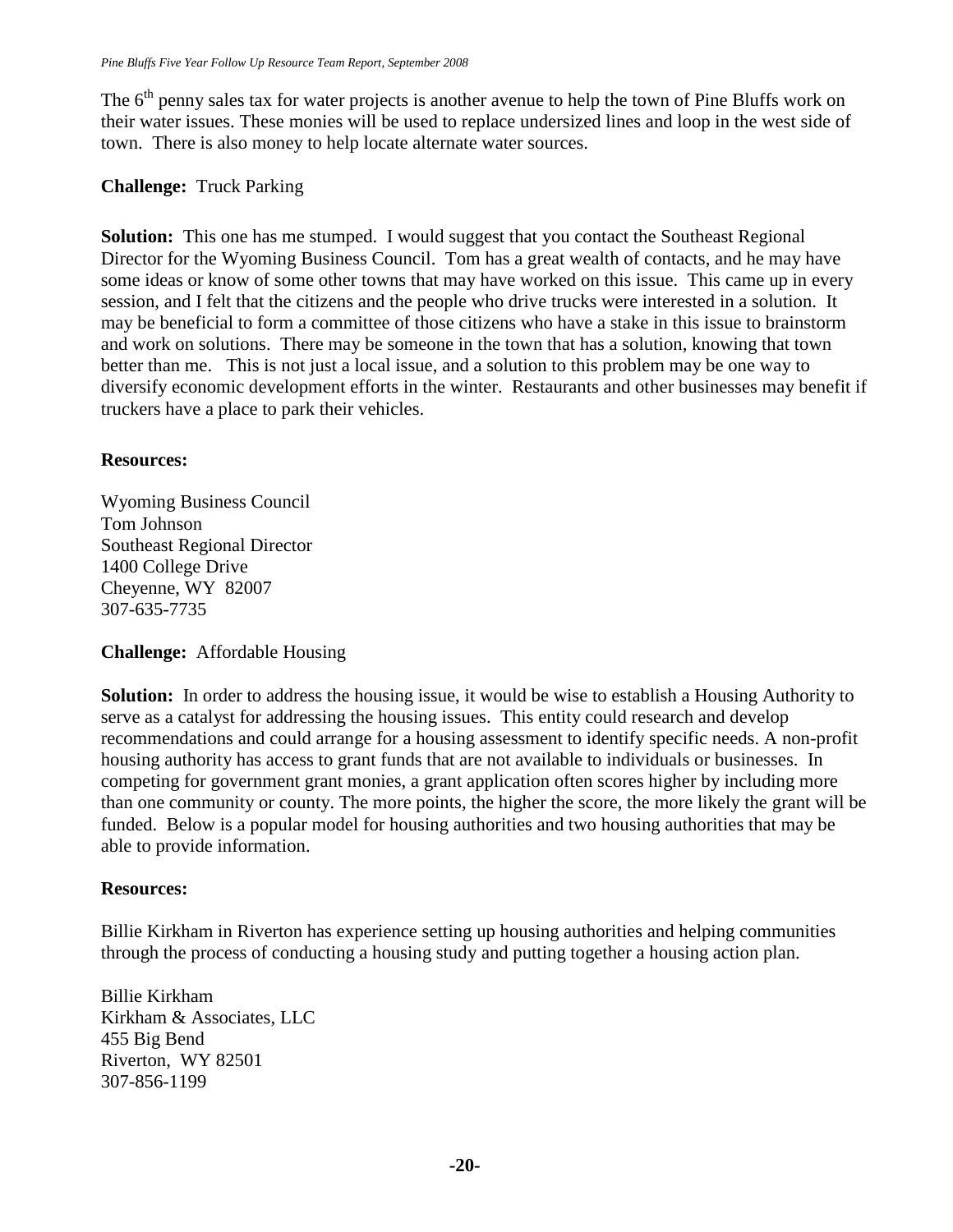The  $6<sup>th</sup>$  penny sales tax for water projects is another avenue to help the town of Pine Bluffs work on their water issues. These monies will be used to replace undersized lines and loop in the west side of town. There is also money to help locate alternate water sources.

### **Challenge:** Truck Parking

**Solution:** This one has me stumped. I would suggest that you contact the Southeast Regional Director for the Wyoming Business Council. Tom has a great wealth of contacts, and he may have some ideas or know of some other towns that may have worked on this issue. This came up in every session, and I felt that the citizens and the people who drive trucks were interested in a solution. It may be beneficial to form a committee of those citizens who have a stake in this issue to brainstorm and work on solutions. There may be someone in the town that has a solution, knowing that town better than me. This is not just a local issue, and a solution to this problem may be one way to diversify economic development efforts in the winter. Restaurants and other businesses may benefit if truckers have a place to park their vehicles.

### **Resources:**

Wyoming Business Council Tom Johnson Southeast Regional Director 1400 College Drive Cheyenne, WY 82007 307-635-7735

#### **Challenge:** Affordable Housing

**Solution:** In order to address the housing issue, it would be wise to establish a Housing Authority to serve as a catalyst for addressing the housing issues. This entity could research and develop recommendations and could arrange for a housing assessment to identify specific needs. A non-profit housing authority has access to grant funds that are not available to individuals or businesses. In competing for government grant monies, a grant application often scores higher by including more than one community or county. The more points, the higher the score, the more likely the grant will be funded. Below is a popular model for housing authorities and two housing authorities that may be able to provide information.

#### **Resources:**

Billie Kirkham in Riverton has experience setting up housing authorities and helping communities through the process of conducting a housing study and putting together a housing action plan.

Billie Kirkham Kirkham & Associates, LLC 455 Big Bend Riverton, WY 82501 307-856-1199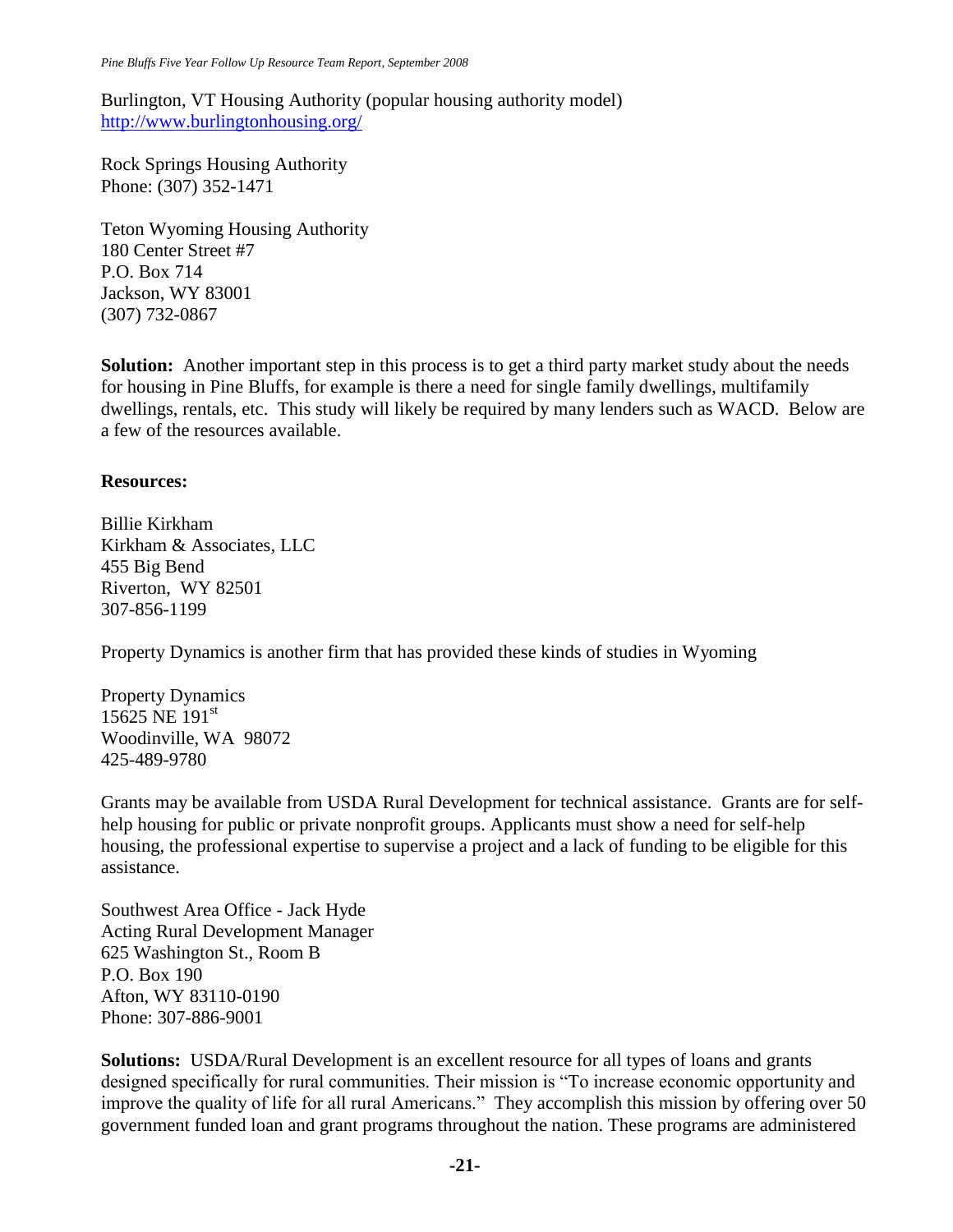Burlington, VT Housing Authority (popular housing authority model) <http://www.burlingtonhousing.org/>

Rock Springs Housing Authority Phone: (307) 352-1471

Teton Wyoming Housing Authority 180 Center Street #7 P.O. Box 714 Jackson, WY 83001 (307) 732-0867

**Solution:** Another important step in this process is to get a third party market study about the needs for housing in Pine Bluffs, for example is there a need for single family dwellings, multifamily dwellings, rentals, etc. This study will likely be required by many lenders such as WACD. Below are a few of the resources available.

# **Resources:**

Billie Kirkham Kirkham & Associates, LLC 455 Big Bend Riverton, WY 82501 307-856-1199

Property Dynamics is another firm that has provided these kinds of studies in Wyoming

Property Dynamics 15625 NE  $191^{\text{st}}$ Woodinville, WA 98072 425-489-9780

Grants may be available from USDA Rural Development for technical assistance. Grants are for selfhelp housing for public or private nonprofit groups. Applicants must show a need for self-help housing, the professional expertise to supervise a project and a lack of funding to be eligible for this assistance.

Southwest Area Office - Jack Hyde Acting Rural Development Manager 625 Washington St., Room B P.O. Box 190 Afton, WY 83110-0190 Phone: 307-886-9001

**Solutions:** USDA/Rural Development is an excellent resource for all types of loans and grants designed specifically for rural communities. Their mission is "To increase economic opportunity and improve the quality of life for all rural Americans." They accomplish this mission by offering over 50 government funded loan and grant programs throughout the nation. These programs are administered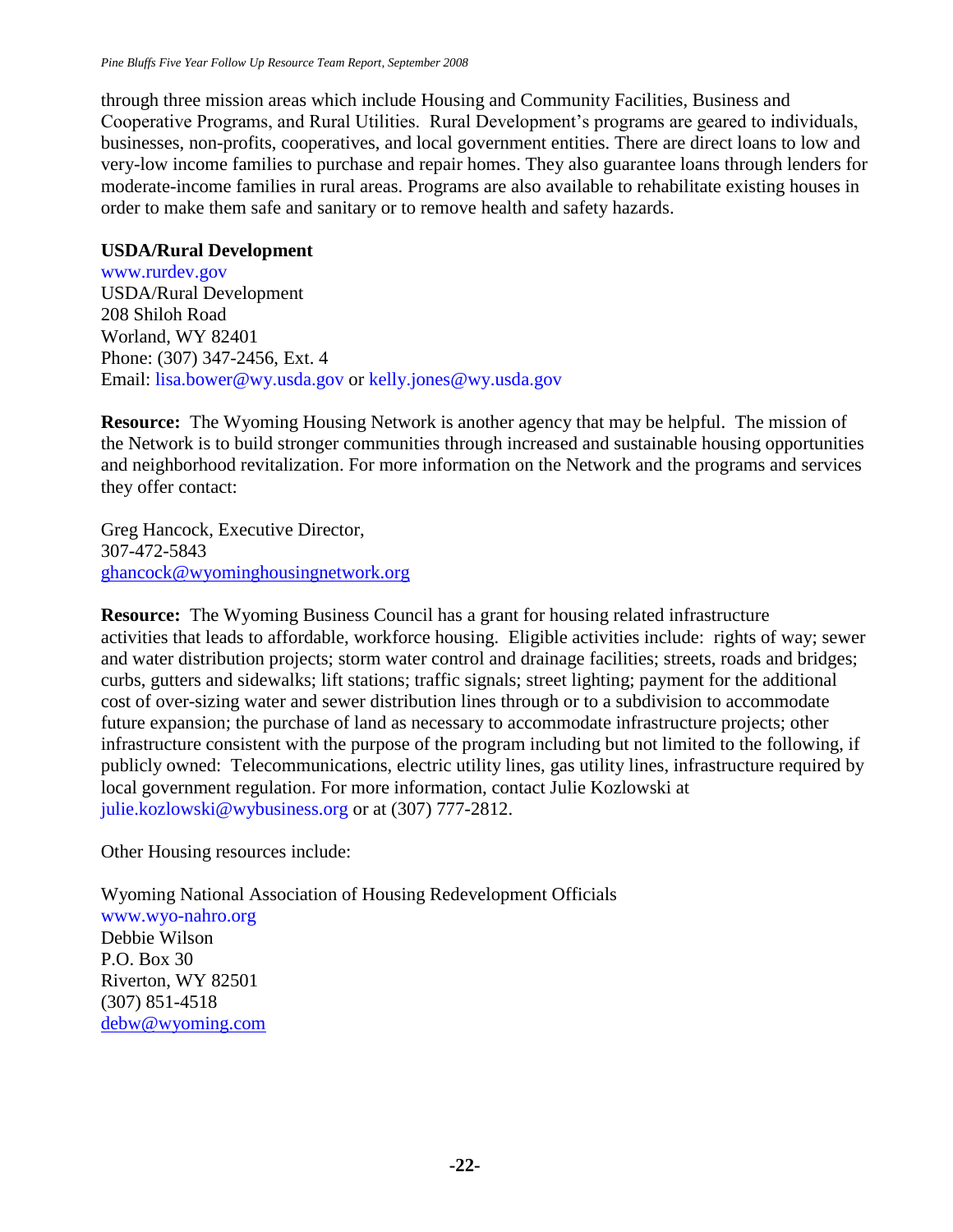through three mission areas which include Housing and Community Facilities, Business and Cooperative Programs, and Rural Utilities. Rural Development's programs are geared to individuals, businesses, non-profits, cooperatives, and local government entities. There are direct loans to low and very-low income families to purchase and repair homes. They also guarantee loans through lenders for moderate-income families in rural areas. Programs are also available to rehabilitate existing houses in order to make them safe and sanitary or to remove health and safety hazards.

## **USDA/Rural Development**

www.rurdev.gov USDA/Rural Development 208 Shiloh Road Worland, WY 82401 Phone: (307) 347-2456, Ext. 4 Email: lisa.bower@wy.usda.gov or kelly.jones@wy.usda.gov

**Resource:** The Wyoming Housing Network is another agency that may be helpful. The mission of the Network is to build stronger communities through increased and sustainable housing opportunities and neighborhood revitalization. For more information on the Network and the programs and services they offer contact:

Greg Hancock, Executive Director, 307-472-5843 [ghancock@wyominghousingnetwork.org](mailto:ghancock@wyominghousingnetwork.org)

**Resource:** The Wyoming Business Council has a grant for housing related infrastructure activities that leads to affordable, workforce housing. Eligible activities include: rights of way; sewer and water distribution projects; storm water control and drainage facilities; streets, roads and bridges; curbs, gutters and sidewalks; lift stations; traffic signals; street lighting; payment for the additional cost of over-sizing water and sewer distribution lines through or to a subdivision to accommodate future expansion; the purchase of land as necessary to accommodate infrastructure projects; other infrastructure consistent with the purpose of the program including but not limited to the following, if publicly owned: Telecommunications, electric utility lines, gas utility lines, infrastructure required by local government regulation. For more information, contact Julie Kozlowski at julie.kozlowski@wybusiness.org or at (307) 777-2812.

Other Housing resources include:

Wyoming National Association of Housing Redevelopment Officials www.wyo-nahro.org Debbie Wilson P.O. Box 30 Riverton, WY 82501 (307) 851-4518 [debw@wyoming.com](mailto:debw@wyoming.com)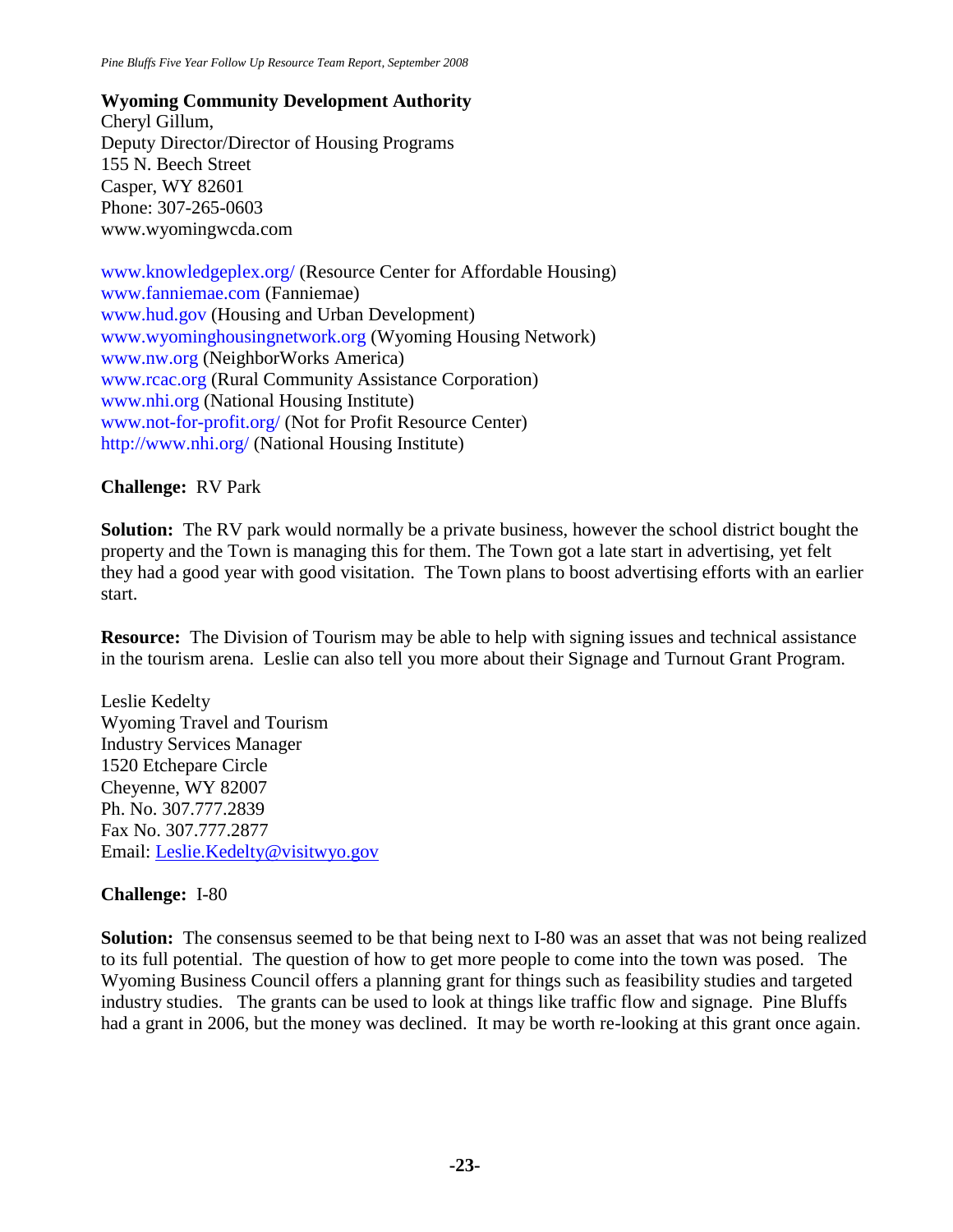**Wyoming Community Development Authority** Cheryl Gillum, Deputy Director/Director of Housing Programs 155 N. Beech Street Casper, WY 82601 Phone: 307-265-0603 www.wyomingwcda.com

www.knowledgeplex.org/ (Resource Center for Affordable Housing) www.fanniemae.com (Fanniemae) www.hud.gov (Housing and Urban Development) www.wyominghousingnetwork.org (Wyoming Housing Network) www.nw.org (NeighborWorks America) www.rcac.org (Rural Community Assistance Corporation) www.nhi.org (National Housing Institute) www.not-for-profit.org/ (Not for Profit Resource Center) http://www.nhi.org/ (National Housing Institute)

### **Challenge:** RV Park

**Solution:** The RV park would normally be a private business, however the school district bought the property and the Town is managing this for them. The Town got a late start in advertising, yet felt they had a good year with good visitation. The Town plans to boost advertising efforts with an earlier start.

**Resource:** The Division of Tourism may be able to help with signing issues and technical assistance in the tourism arena. Leslie can also tell you more about their Signage and Turnout Grant Program.

Leslie Kedelty Wyoming Travel and Tourism Industry Services Manager 1520 Etchepare Circle Cheyenne, WY 82007 Ph. No. 307.777.2839 Fax No. 307.777.2877 Email: [Leslie.Kedelty@visitwyo.gov](mailto:Leslie.Kedelty@visitwyo.gov)

# **Challenge:** I-80

**Solution:** The consensus seemed to be that being next to I-80 was an asset that was not being realized to its full potential. The question of how to get more people to come into the town was posed. The Wyoming Business Council offers a planning grant for things such as feasibility studies and targeted industry studies. The grants can be used to look at things like traffic flow and signage. Pine Bluffs had a grant in 2006, but the money was declined. It may be worth re-looking at this grant once again.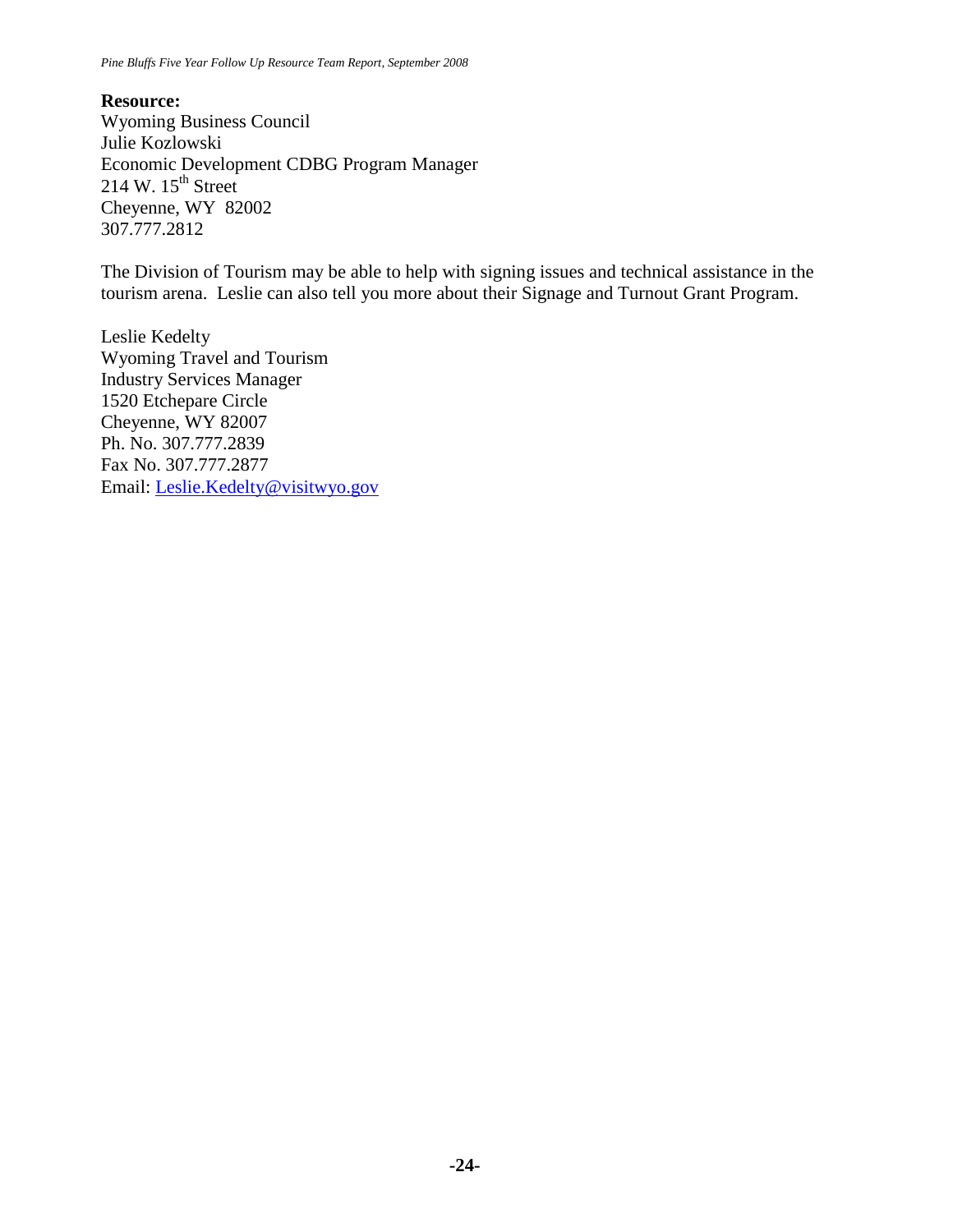**Resource:** Wyoming Business Council [Julie Kozlowski](mailto:julie.kozlowski@wybusiness.org) Economic Development CDBG Program Manager 214 W.  $15^{th}$  Street Cheyenne, WY 82002 307.777.2812

The Division of Tourism may be able to help with signing issues and technical assistance in the tourism arena. Leslie can also tell you more about their Signage and Turnout Grant Program.

Leslie Kedelty Wyoming Travel and Tourism Industry Services Manager 1520 Etchepare Circle Cheyenne, WY 82007 Ph. No. 307.777.2839 Fax No. 307.777.2877 Email: [Leslie.Kedelty@visitwyo.gov](mailto:Leslie.Kedelty@visitwyo.gov)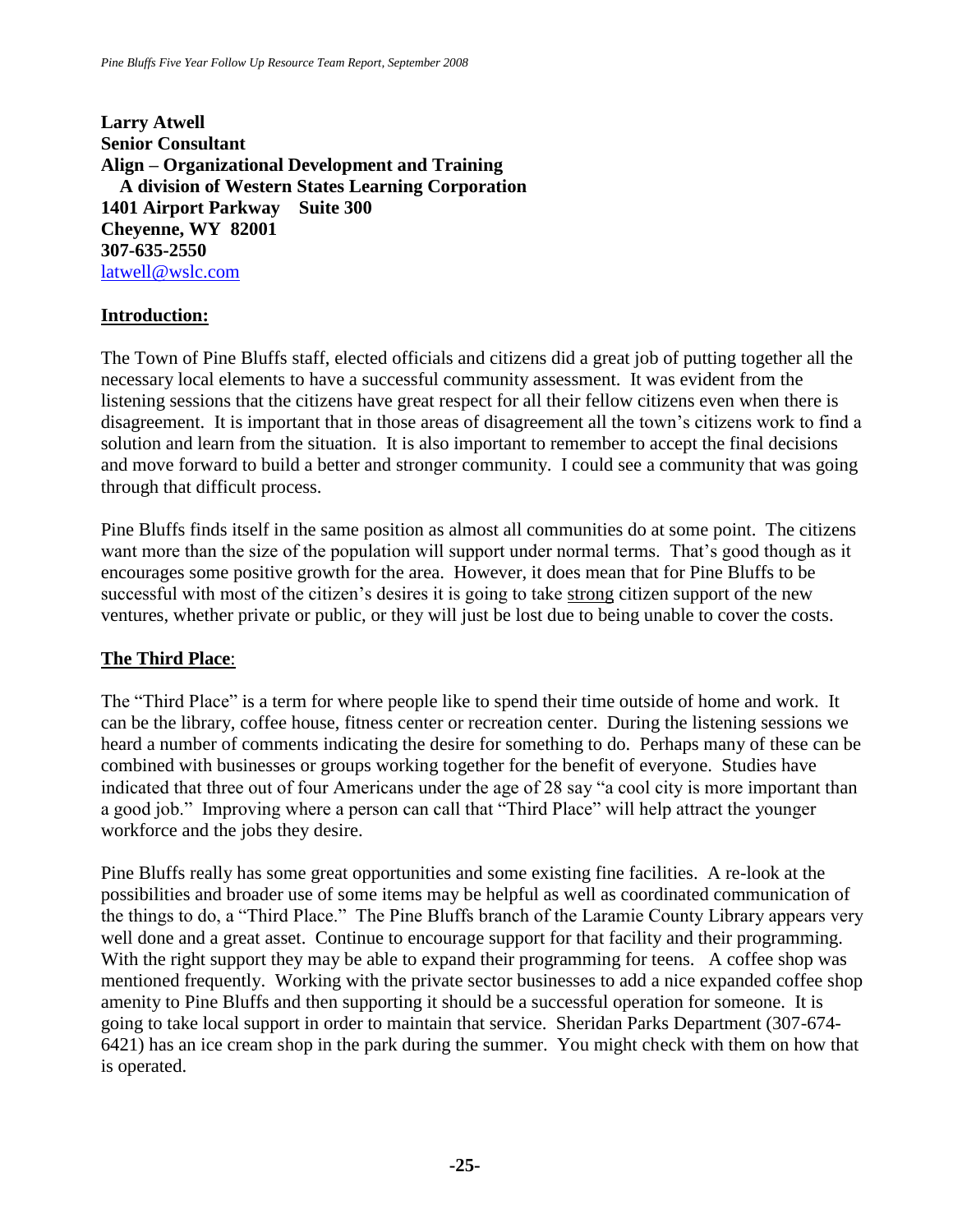**Larry Atwell Senior Consultant Align – Organizational Development and Training A division of Western States Learning Corporation 1401 Airport Parkway Suite 300 Cheyenne, WY 82001 307-635-2550** [latwell@wslc.com](mailto:latwell@wslc.com)

# **Introduction:**

The Town of Pine Bluffs staff, elected officials and citizens did a great job of putting together all the necessary local elements to have a successful community assessment. It was evident from the listening sessions that the citizens have great respect for all their fellow citizens even when there is disagreement. It is important that in those areas of disagreement all the town's citizens work to find a solution and learn from the situation. It is also important to remember to accept the final decisions and move forward to build a better and stronger community. I could see a community that was going through that difficult process.

Pine Bluffs finds itself in the same position as almost all communities do at some point. The citizens want more than the size of the population will support under normal terms. That's good though as it encourages some positive growth for the area. However, it does mean that for Pine Bluffs to be successful with most of the citizen's desires it is going to take strong citizen support of the new ventures, whether private or public, or they will just be lost due to being unable to cover the costs.

# **The Third Place**:

The "Third Place" is a term for where people like to spend their time outside of home and work. It can be the library, coffee house, fitness center or recreation center. During the listening sessions we heard a number of comments indicating the desire for something to do. Perhaps many of these can be combined with businesses or groups working together for the benefit of everyone. Studies have indicated that three out of four Americans under the age of 28 say "a cool city is more important than a good job." Improving where a person can call that "Third Place" will help attract the younger workforce and the jobs they desire.

Pine Bluffs really has some great opportunities and some existing fine facilities. A re-look at the possibilities and broader use of some items may be helpful as well as coordinated communication of the things to do, a "Third Place." The Pine Bluffs branch of the Laramie County Library appears very well done and a great asset. Continue to encourage support for that facility and their programming. With the right support they may be able to expand their programming for teens. A coffee shop was mentioned frequently. Working with the private sector businesses to add a nice expanded coffee shop amenity to Pine Bluffs and then supporting it should be a successful operation for someone. It is going to take local support in order to maintain that service. Sheridan Parks Department (307-674- 6421) has an ice cream shop in the park during the summer. You might check with them on how that is operated.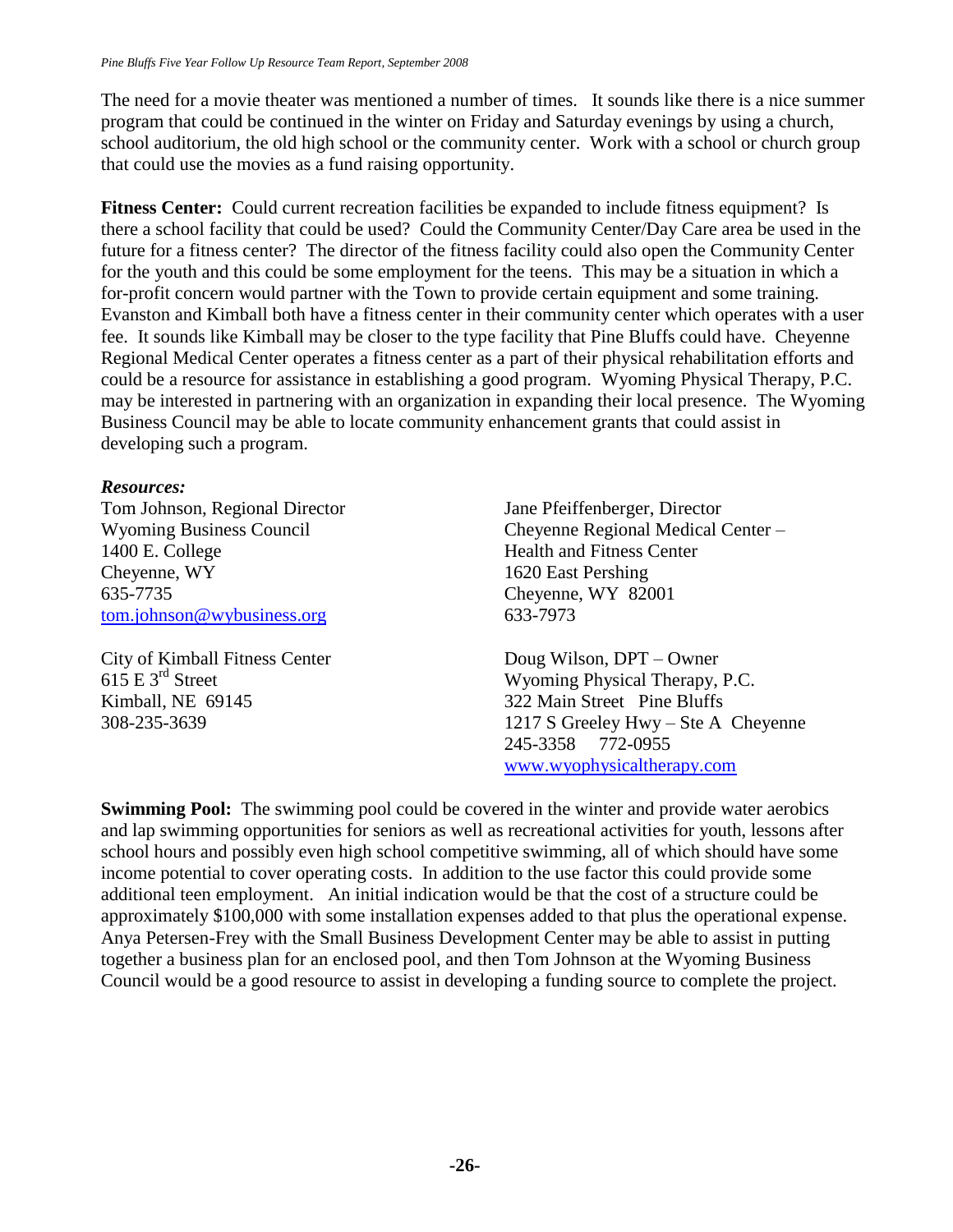The need for a movie theater was mentioned a number of times. It sounds like there is a nice summer program that could be continued in the winter on Friday and Saturday evenings by using a church, school auditorium, the old high school or the community center. Work with a school or church group that could use the movies as a fund raising opportunity.

**Fitness Center:** Could current recreation facilities be expanded to include fitness equipment? Is there a school facility that could be used? Could the Community Center/Day Care area be used in the future for a fitness center? The director of the fitness facility could also open the Community Center for the youth and this could be some employment for the teens. This may be a situation in which a for-profit concern would partner with the Town to provide certain equipment and some training. Evanston and Kimball both have a fitness center in their community center which operates with a user fee. It sounds like Kimball may be closer to the type facility that Pine Bluffs could have. Cheyenne Regional Medical Center operates a fitness center as a part of their physical rehabilitation efforts and could be a resource for assistance in establishing a good program. Wyoming Physical Therapy, P.C. may be interested in partnering with an organization in expanding their local presence. The Wyoming Business Council may be able to locate community enhancement grants that could assist in developing such a program.

### *Resources:*

Tom Johnson, Regional Director Wyoming Business Council 1400 E. College Cheyenne, WY 635-7735 [tom.johnson@wybusiness.org](mailto:tom.johnson@wybusiness.org)

City of Kimball Fitness Center  $615 \mathrm{E}$  3<sup>rd</sup> Street Kimball, NE 69145 308-235-3639

Jane Pfeiffenberger, Director Cheyenne Regional Medical Center – Health and Fitness Center 1620 East Pershing Cheyenne, WY 82001 633-7973

Doug Wilson, DPT – Owner Wyoming Physical Therapy, P.C. 322 Main Street Pine Bluffs 1217 S Greeley Hwy – Ste A Cheyenne 245-3358 772-0955 [www.wyophysicaltherapy.com](http://www.wyophysicaltherapy.com/)

**Swimming Pool:** The swimming pool could be covered in the winter and provide water aerobics and lap swimming opportunities for seniors as well as recreational activities for youth, lessons after school hours and possibly even high school competitive swimming, all of which should have some income potential to cover operating costs. In addition to the use factor this could provide some additional teen employment. An initial indication would be that the cost of a structure could be approximately \$100,000 with some installation expenses added to that plus the operational expense. Anya Petersen-Frey with the Small Business Development Center may be able to assist in putting together a business plan for an enclosed pool, and then Tom Johnson at the Wyoming Business Council would be a good resource to assist in developing a funding source to complete the project.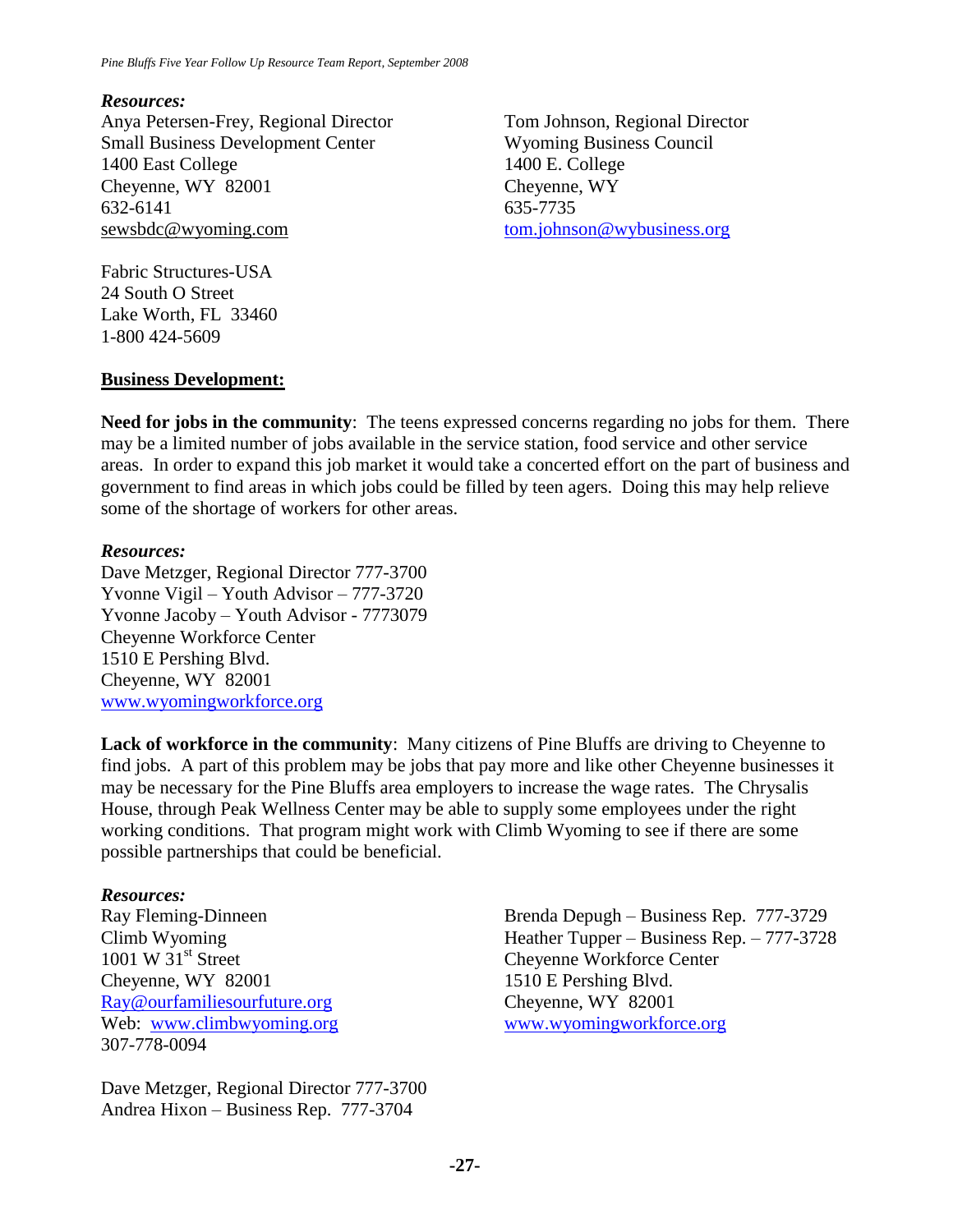#### *Resources:*

Anya Petersen-Frey, Regional Director Small Business Development Center 1400 East College Cheyenne, WY 82001 632-6141 sewsbdc@wyoming.com

Tom Johnson, Regional Director Wyoming Business Council 1400 E. College Cheyenne, WY 635-7735 [tom.johnson@wybusiness.org](mailto:tom.johnson@wybusiness.org)

Fabric Structures-USA 24 South O Street Lake Worth, FL 33460 1-800 424-5609

#### **Business Development:**

**Need for jobs in the community**: The teens expressed concerns regarding no jobs for them. There may be a limited number of jobs available in the service station, food service and other service areas. In order to expand this job market it would take a concerted effort on the part of business and government to find areas in which jobs could be filled by teen agers. Doing this may help relieve some of the shortage of workers for other areas.

#### *Resources:*

Dave Metzger, Regional Director 777-3700 Yvonne Vigil – Youth Advisor – 777-3720 Yvonne Jacoby – Youth Advisor - 7773079 Cheyenne Workforce Center 1510 E Pershing Blvd. Cheyenne, WY 82001 [www.wyomingworkforce.org](http://www.wyomingworkforce.org/)

Lack of workforce in the community: Many citizens of Pine Bluffs are driving to Cheyenne to find jobs. A part of this problem may be jobs that pay more and like other Cheyenne businesses it may be necessary for the Pine Bluffs area employers to increase the wage rates. The Chrysalis House, through Peak Wellness Center may be able to supply some employees under the right working conditions. That program might work with Climb Wyoming to see if there are some possible partnerships that could be beneficial.

#### *Resources:*

Ray Fleming-Dinneen Climb Wyoming  $1001 \text{ W } 31^{\text{st}}$  Street Cheyenne, WY 82001 [Ray@ourfamiliesourfuture.org](mailto:Ray@ourfamiliesourfuture.org) Web: [www.climbwyoming.org](http://www.climbwyoming.org/) 307-778-0094

Dave Metzger, Regional Director 777-3700 Andrea Hixon – Business Rep. 777-3704

Brenda Depugh – Business Rep. 777-3729 Heather Tupper – Business Rep. – 777-3728 Cheyenne Workforce Center 1510 E Pershing Blvd. Cheyenne, WY 82001 [www.wyomingworkforce.org](http://www.wyomingworkforce.org/)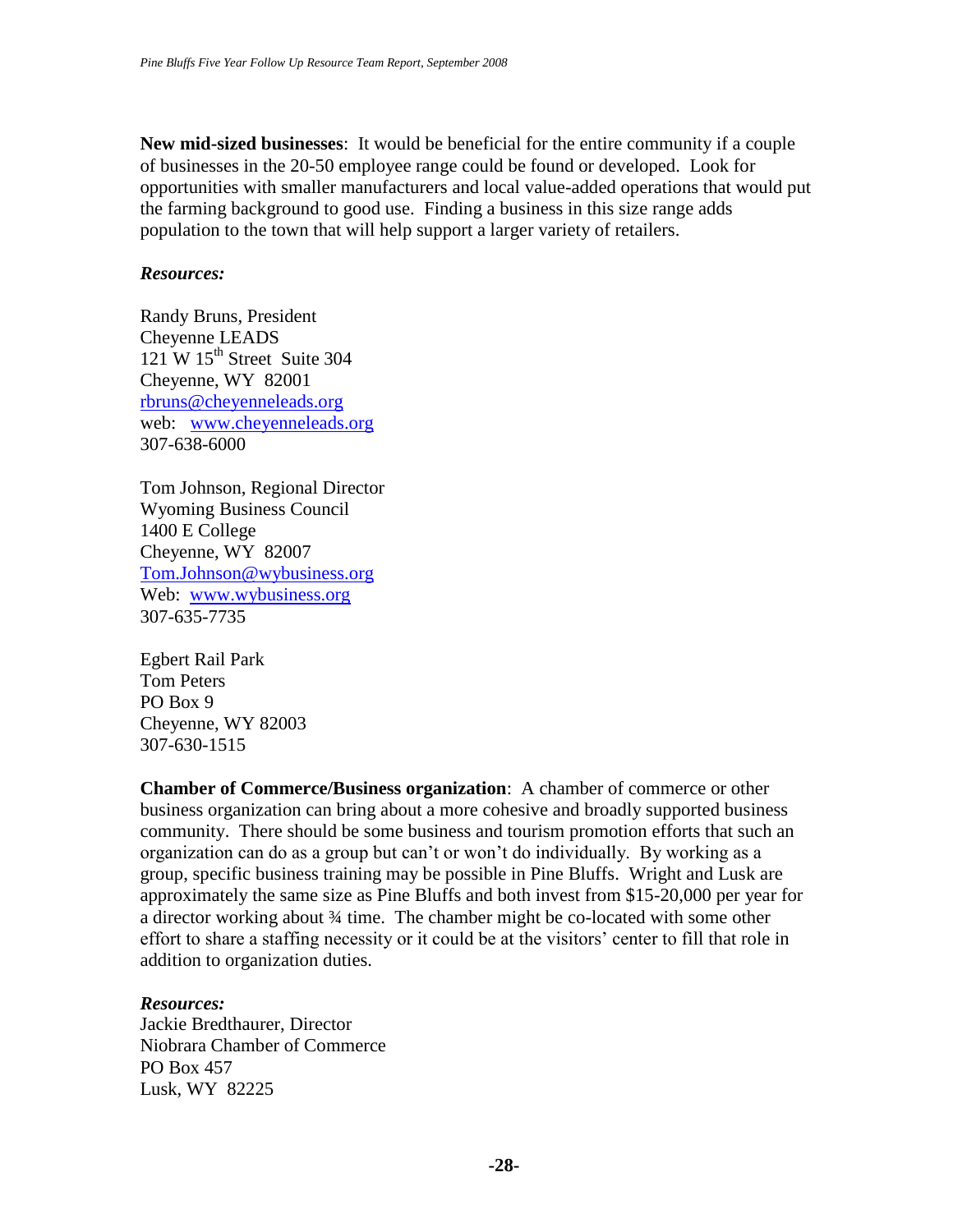**New mid-sized businesses**: It would be beneficial for the entire community if a couple of businesses in the 20-50 employee range could be found or developed. Look for opportunities with smaller manufacturers and local value-added operations that would put the farming background to good use. Finding a business in this size range adds population to the town that will help support a larger variety of retailers.

#### *Resources:*

Randy Bruns, President Cheyenne LEADS  $121$  W  $15<sup>th</sup>$  Street Suite 304 Cheyenne, WY 82001 [rbruns@cheyenneleads.org](mailto:rbruns@cheyenneleads.org) web: [www.cheyenneleads.org](http://www.cheyenneleads.org/) 307-638-6000

Tom Johnson, Regional Director Wyoming Business Council 1400 E College Cheyenne, WY 82007 [Tom.Johnson@wybusiness.org](mailto:Tom.Johnson@wybusiness.org) Web: [www.wybusiness.org](http://www.wybusiness.org/) 307-635-7735

Egbert Rail Park Tom Peters PO Box 9 Cheyenne, WY 82003 307-630-1515

**Chamber of Commerce/Business organization**: A chamber of commerce or other business organization can bring about a more cohesive and broadly supported business community. There should be some business and tourism promotion efforts that such an organization can do as a group but can't or won't do individually. By working as a group, specific business training may be possible in Pine Bluffs. Wright and Lusk are approximately the same size as Pine Bluffs and both invest from \$15-20,000 per year for a director working about ¾ time. The chamber might be co-located with some other effort to share a staffing necessity or it could be at the visitors' center to fill that role in addition to organization duties.

# *Resources:*

Jackie Bredthaurer, Director Niobrara Chamber of Commerce PO Box 457 Lusk, WY 82225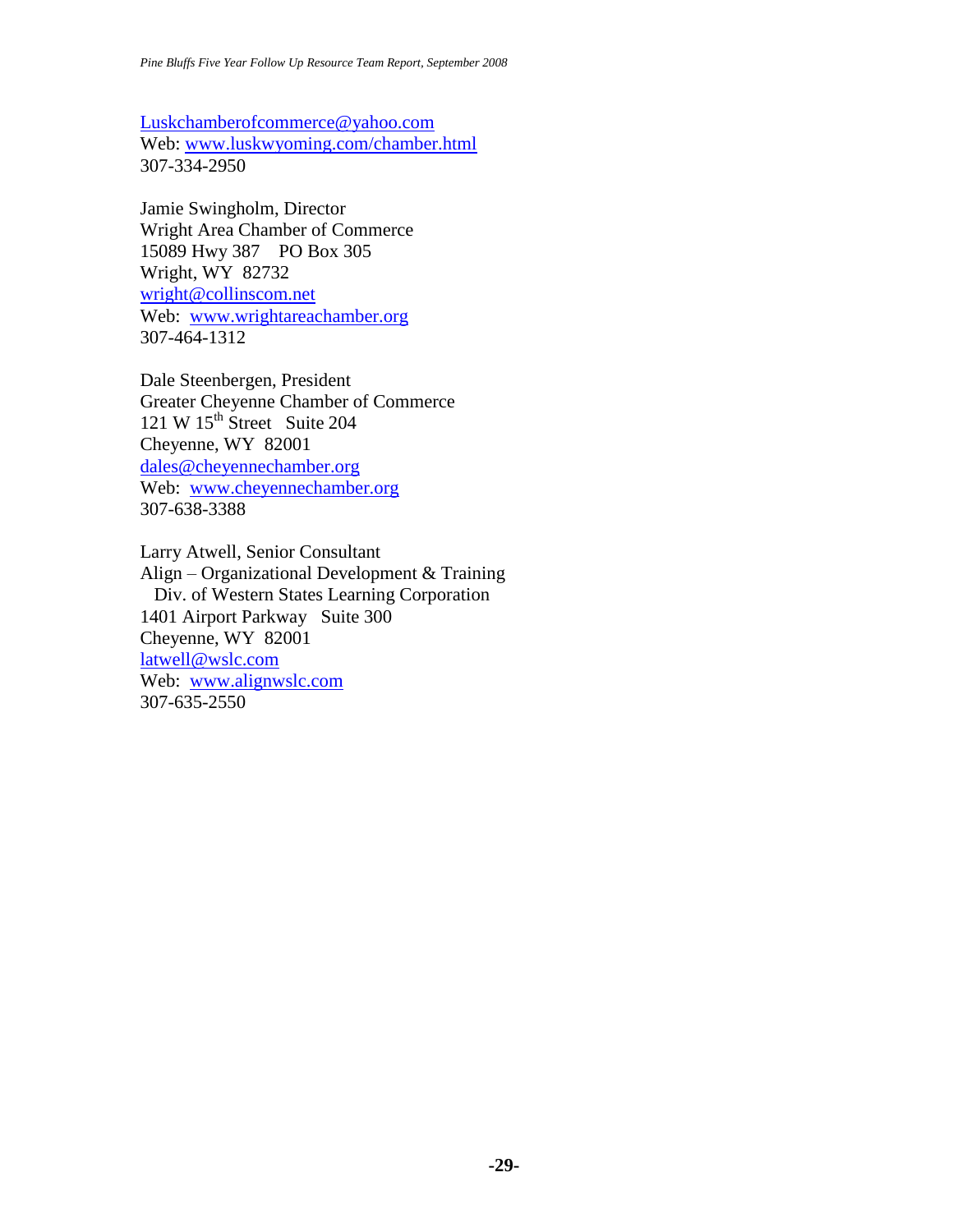[Luskchamberofcommerce@yahoo.com](mailto:Luskchamberofcommerce@yahoo.com) Web: [www.luskwyoming.com/chamber.html](http://www.luskwyoming.com/chamber.html) 307-334-2950

Jamie Swingholm, Director Wright Area Chamber of Commerce 15089 Hwy 387 PO Box 305 Wright, WY 82732 [wright@collinscom.net](mailto:wright@collinscom.net) Web: [www.wrightareachamber.org](http://www.wrightareachamber.org/) 307-464-1312

Dale Steenbergen, President Greater Cheyenne Chamber of Commerce 121 W  $15^{th}$  Street Suite 204 Cheyenne, WY 82001 [dales@cheyennechamber.org](mailto:dales@cheyennechamber.org) Web: [www.cheyennechamber.org](http://www.cheyennechamber.org/) 307-638-3388

Larry Atwell, Senior Consultant Align – Organizational Development & Training Div. of Western States Learning Corporation 1401 Airport Parkway Suite 300 Cheyenne, WY 82001 [latwell@wslc.com](mailto:latwell@wslc.com) Web: [www.alignwslc.com](http://www.alignwslc.com/) 307-635-2550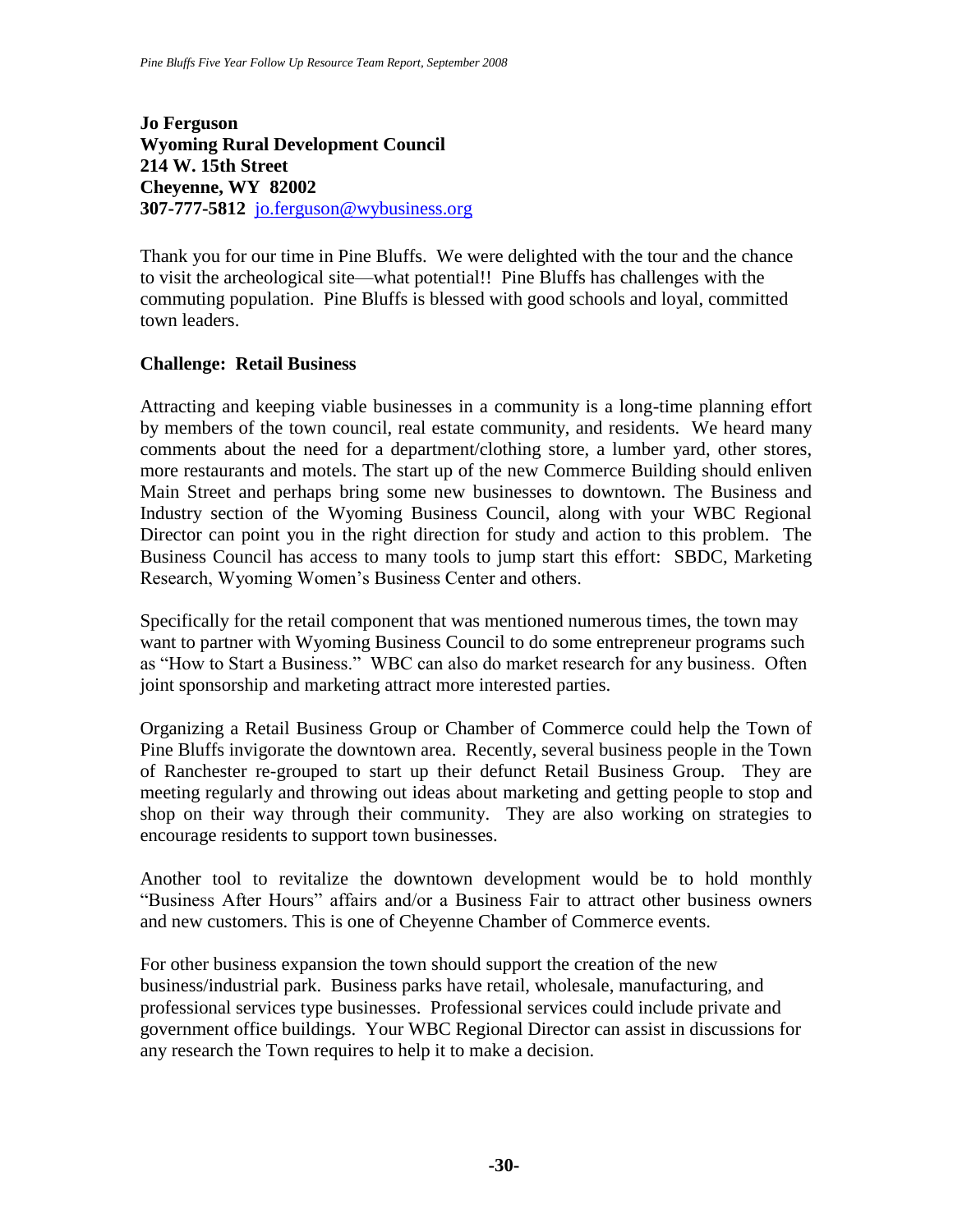**Jo Ferguson Wyoming Rural Development Council 214 W. 15th Street Cheyenne, WY 82002 307-777-5812** [jo.ferguson@wybusiness.org](mailto:jo.ferguson@wybusiness.org)

Thank you for our time in Pine Bluffs. We were delighted with the tour and the chance to visit the archeological site—what potential!! Pine Bluffs has challenges with the commuting population. Pine Bluffs is blessed with good schools and loyal, committed town leaders.

### **Challenge: Retail Business**

Attracting and keeping viable businesses in a community is a long-time planning effort by members of the town council, real estate community, and residents. We heard many comments about the need for a department/clothing store, a lumber yard, other stores, more restaurants and motels. The start up of the new Commerce Building should enliven Main Street and perhaps bring some new businesses to downtown. The Business and Industry section of the Wyoming Business Council, along with your WBC Regional Director can point you in the right direction for study and action to this problem. The Business Council has access to many tools to jump start this effort: SBDC, Marketing Research, Wyoming Women's Business Center and others.

Specifically for the retail component that was mentioned numerous times, the town may want to partner with Wyoming Business Council to do some entrepreneur programs such as "How to Start a Business." WBC can also do market research for any business. Often joint sponsorship and marketing attract more interested parties.

Organizing a Retail Business Group or Chamber of Commerce could help the Town of Pine Bluffs invigorate the downtown area. Recently, several business people in the Town of Ranchester re-grouped to start up their defunct Retail Business Group. They are meeting regularly and throwing out ideas about marketing and getting people to stop and shop on their way through their community. They are also working on strategies to encourage residents to support town businesses.

Another tool to revitalize the downtown development would be to hold monthly "Business After Hours" affairs and/or a Business Fair to attract other business owners and new customers. This is one of Cheyenne Chamber of Commerce events.

For other business expansion the town should support the creation of the new business/industrial park. Business parks have retail, wholesale, manufacturing, and professional services type businesses. Professional services could include private and government office buildings. Your WBC Regional Director can assist in discussions for any research the Town requires to help it to make a decision.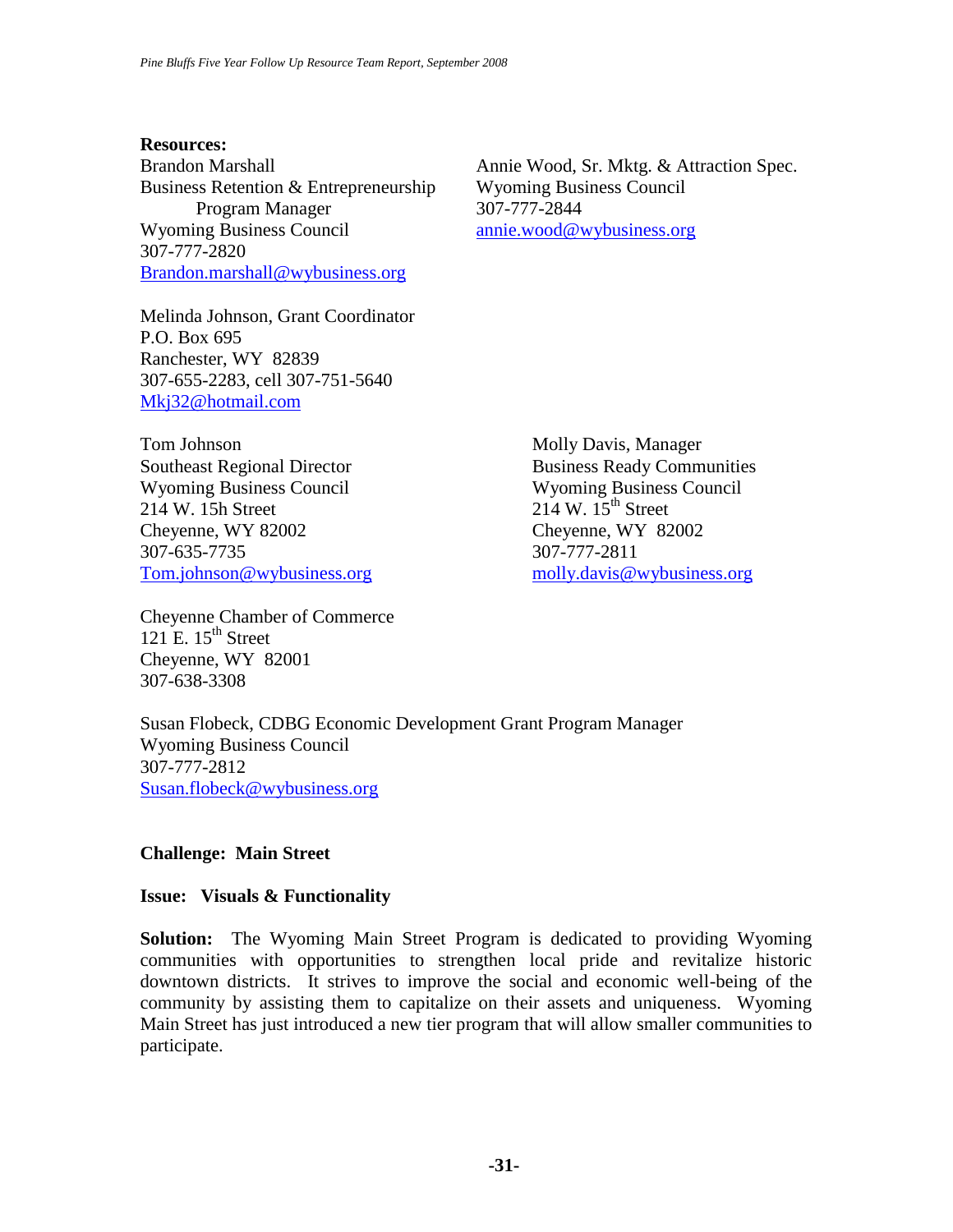#### **Resources:**

Business Retention & Entrepreneurship Wyoming Business Council Program Manager 307-777-2844 Wyoming Business Council [annie.wood@wybusiness.org](mailto:annie.wood@wybusiness.org) 307-777-2820 [Brandon.marshall@wybusiness.org](mailto:Brandon.marshall@wybusiness.org)

Brandon Marshall Annie Wood, Sr. Mktg. & Attraction Spec.

Melinda Johnson, Grant Coordinator P.O. Box 695 Ranchester, WY 82839 307-655-2283, cell 307-751-5640 [Mkj32@hotmail.com](mailto:Mkj32@hotmail.com)

Tom Johnson Molly Davis, Manager Southeast Regional Director **Business Ready Communities** Wyoming Business Council Wyoming Business Council 214 W. 15h Street 214 W. 15<sup>th</sup> Street Cheyenne, WY 82002 Cheyenne, WY 82002 307-635-7735 307-777-2811 [Tom.johnson@wybusiness.org](mailto:Tom.johnson@wybusiness.org) [molly.davis@wybusiness.org](mailto:molly.davis@wybusiness.org)

Cheyenne Chamber of Commerce 121 E.  $15<sup>th</sup>$  Street Cheyenne, WY 82001 307-638-3308

Susan Flobeck, CDBG Economic Development Grant Program Manager Wyoming Business Council 307-777-2812 [Susan.flobeck@wybusiness.org](mailto:Susan.flobeck@wybusiness.org)

# **Challenge: Main Street**

#### **Issue: Visuals & Functionality**

**Solution:** The Wyoming Main Street Program is dedicated to providing Wyoming communities with opportunities to strengthen local pride and revitalize historic downtown districts. It strives to improve the social and economic well-being of the community by assisting them to capitalize on their assets and uniqueness. Wyoming Main Street has just introduced a new tier program that will allow smaller communities to participate.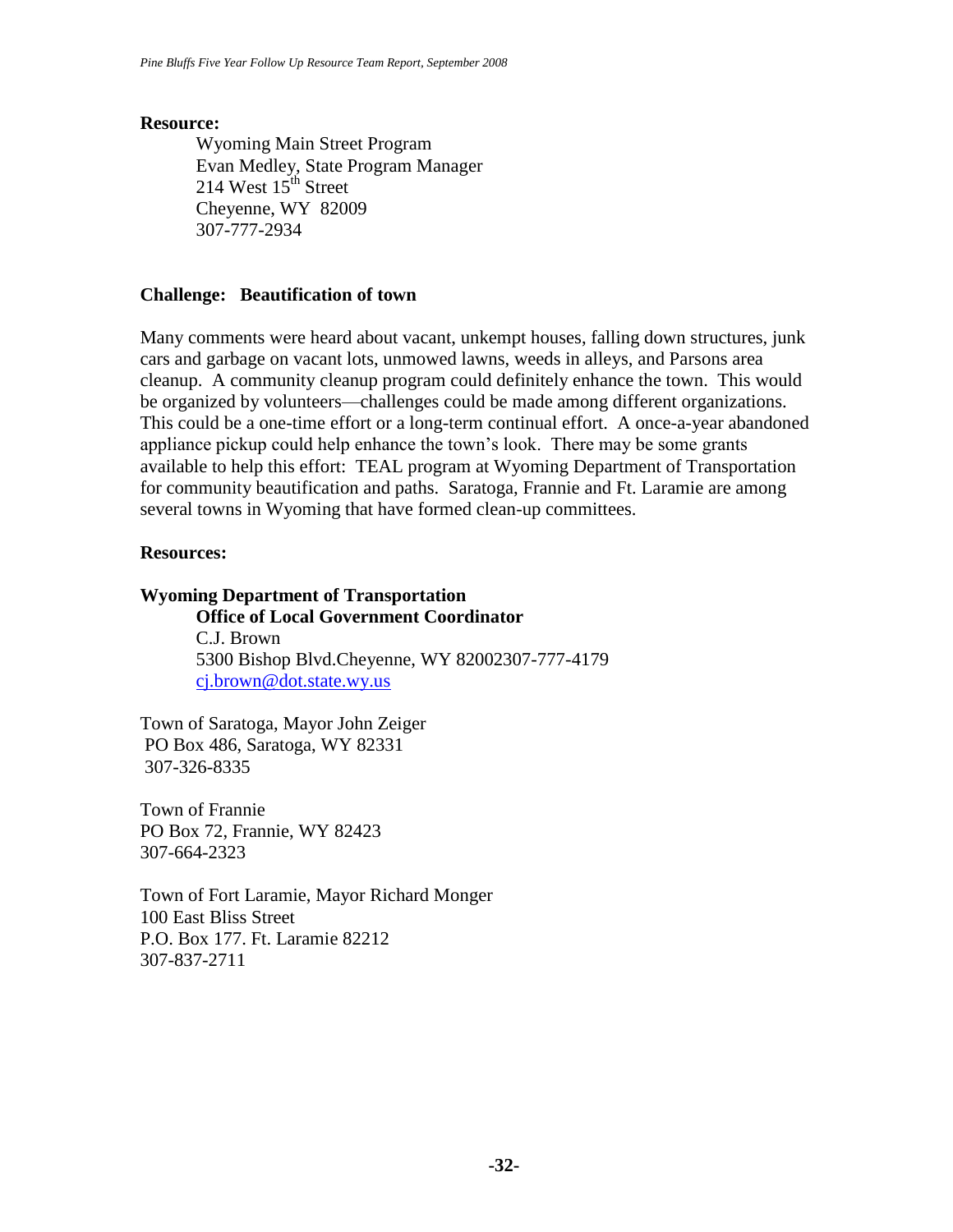#### **Resource:**

Wyoming Main Street Program Evan Medley, State Program Manager 214 West  $15<sup>th</sup>$  Street Cheyenne, WY 82009 307-777-2934

#### **Challenge: Beautification of town**

Many comments were heard about vacant, unkempt houses, falling down structures, junk cars and garbage on vacant lots, unmowed lawns, weeds in alleys, and Parsons area cleanup. A community cleanup program could definitely enhance the town. This would be organized by volunteers—challenges could be made among different organizations. This could be a one-time effort or a long-term continual effort. A once-a-year abandoned appliance pickup could help enhance the town's look. There may be some grants available to help this effort: TEAL program at Wyoming Department of Transportation for community beautification and paths. Saratoga, Frannie and Ft. Laramie are among several towns in Wyoming that have formed clean-up committees.

#### **Resources:**

#### **Wyoming Department of Transportation**

**Office of Local Government Coordinator** C.J. Brown 5300 Bishop Blvd.Cheyenne, WY 82002307-777-4179 [cj.brown@dot.state.wy.us](mailto:cj.brown@dot.state.wy.us)

Town of Saratoga, Mayor John Zeiger PO Box 486, Saratoga, WY 82331 307-326-8335

Town of Frannie PO Box 72, Frannie, WY 82423 307-664-2323

Town of Fort Laramie, Mayor Richard Monger 100 East Bliss Street P.O. Box 177. Ft. Laramie 82212 307-837-2711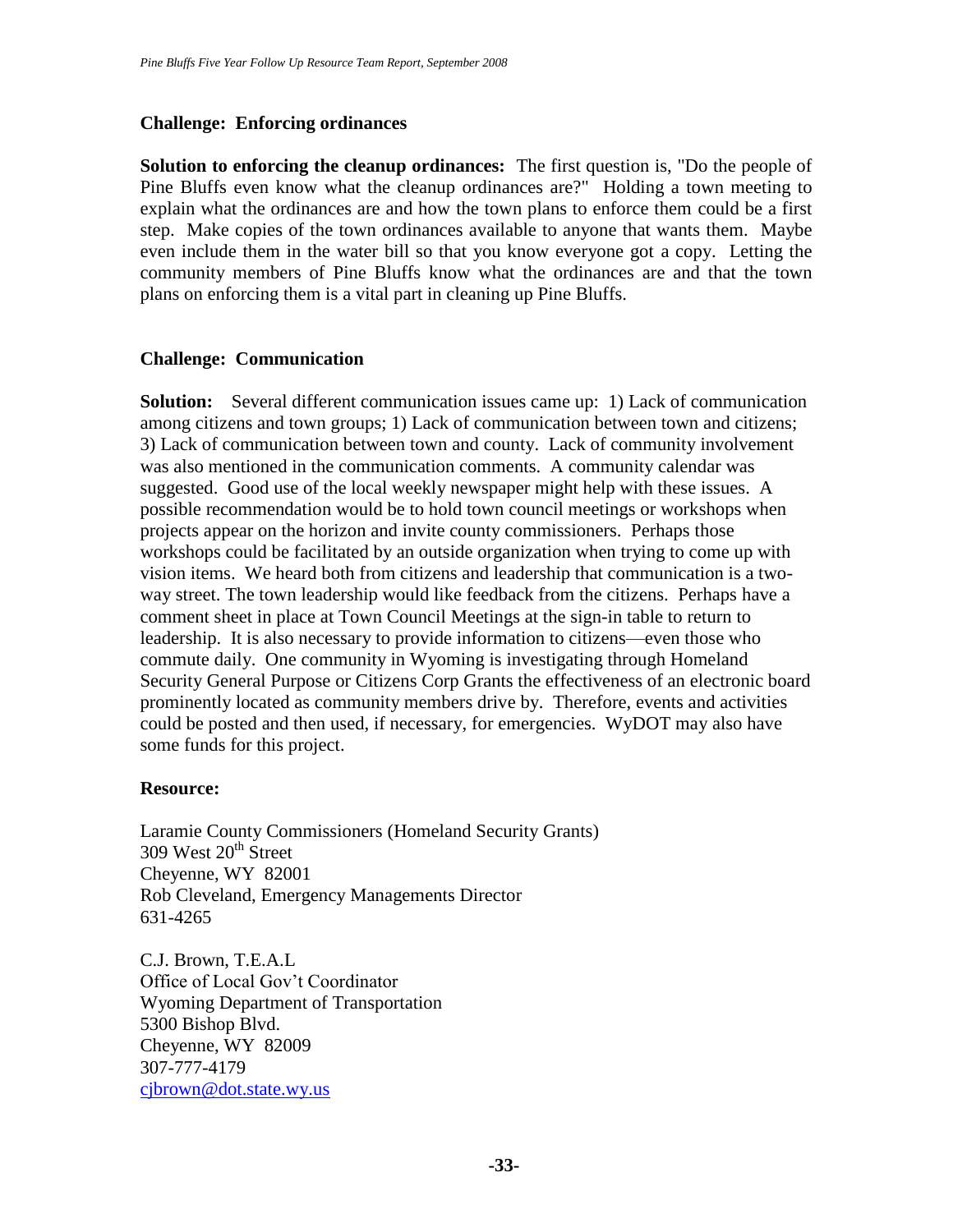# **Challenge: Enforcing ordinances**

**Solution to enforcing the cleanup ordinances:** The first question is, "Do the people of Pine Bluffs even know what the cleanup ordinances are?" Holding a town meeting to explain what the ordinances are and how the town plans to enforce them could be a first step. Make copies of the town ordinances available to anyone that wants them. Maybe even include them in the water bill so that you know everyone got a copy. Letting the community members of Pine Bluffs know what the ordinances are and that the town plans on enforcing them is a vital part in cleaning up Pine Bluffs.

# **Challenge: Communication**

**Solution:** Several different communication issues came up: 1) Lack of communication among citizens and town groups; 1) Lack of communication between town and citizens; 3) Lack of communication between town and county. Lack of community involvement was also mentioned in the communication comments. A community calendar was suggested. Good use of the local weekly newspaper might help with these issues. A possible recommendation would be to hold town council meetings or workshops when projects appear on the horizon and invite county commissioners. Perhaps those workshops could be facilitated by an outside organization when trying to come up with vision items. We heard both from citizens and leadership that communication is a twoway street. The town leadership would like feedback from the citizens. Perhaps have a comment sheet in place at Town Council Meetings at the sign-in table to return to leadership. It is also necessary to provide information to citizens—even those who commute daily. One community in Wyoming is investigating through Homeland Security General Purpose or Citizens Corp Grants the effectiveness of an electronic board prominently located as community members drive by. Therefore, events and activities could be posted and then used, if necessary, for emergencies. WyDOT may also have some funds for this project.

#### **Resource:**

Laramie County Commissioners (Homeland Security Grants)  $309$  West  $20<sup>th</sup>$  Street Cheyenne, WY 82001 Rob Cleveland, Emergency Managements Director 631-4265

C.J. Brown, T.E.A.L Office of Local Gov't Coordinator Wyoming Department of Transportation 5300 Bishop Blvd. Cheyenne, WY 82009 307-777-4179 [cjbrown@dot.state.wy.us](mailto:cjbrown@dot.state.wy.us)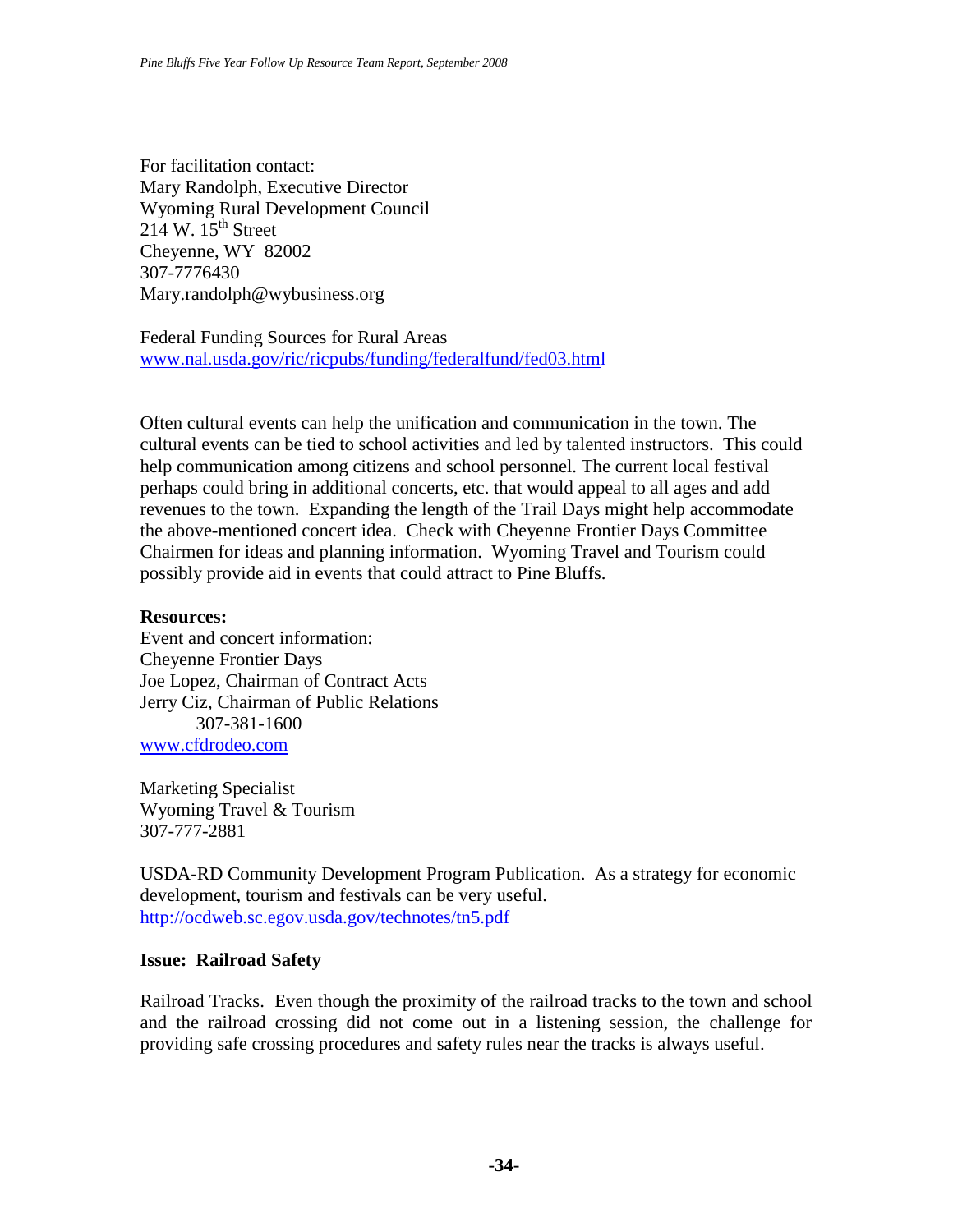For facilitation contact: Mary Randolph, Executive Director Wyoming Rural Development Council 214 W.  $15^{th}$  Street Cheyenne, WY 82002 307-7776430 Mary.randolph@wybusiness.org

Federal Funding Sources for Rural Areas [www.nal.usda.gov/ric/ricpubs/funding/federalfund/fed03.html](http://www.nal.usda.gov/ric/ricpubs/funding/federalfund/fed03.htm)

Often cultural events can help the unification and communication in the town. The cultural events can be tied to school activities and led by talented instructors. This could help communication among citizens and school personnel. The current local festival perhaps could bring in additional concerts, etc. that would appeal to all ages and add revenues to the town. Expanding the length of the Trail Days might help accommodate the above-mentioned concert idea. Check with Cheyenne Frontier Days Committee Chairmen for ideas and planning information. Wyoming Travel and Tourism could possibly provide aid in events that could attract to Pine Bluffs.

#### **Resources:**

Event and concert information: Cheyenne Frontier Days Joe Lopez, Chairman of Contract Acts Jerry Ciz, Chairman of Public Relations 307-381-1600 [www.cfdrodeo.com](http://www.cfdrodeo.com/)

Marketing Specialist Wyoming Travel & Tourism 307-777-2881

USDA-RD Community Development Program Publication. As a strategy for economic development, tourism and festivals can be very useful. <http://ocdweb.sc.egov.usda.gov/technotes/tn5.pdf>

#### **Issue: Railroad Safety**

Railroad Tracks. Even though the proximity of the railroad tracks to the town and school and the railroad crossing did not come out in a listening session, the challenge for providing safe crossing procedures and safety rules near the tracks is always useful.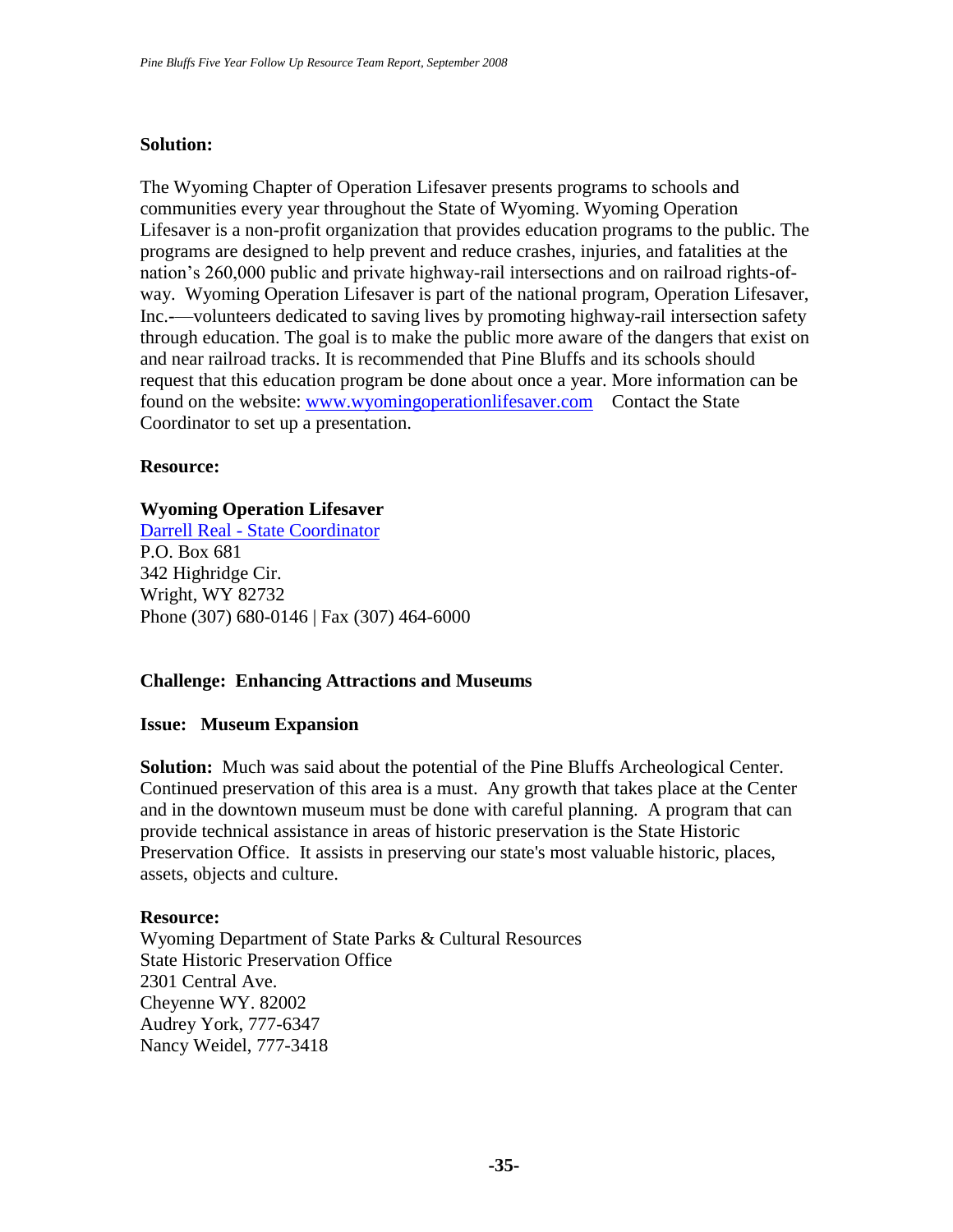### **Solution:**

The Wyoming Chapter of Operation Lifesaver presents programs to schools and communities every year throughout the State of Wyoming. Wyoming Operation Lifesaver is a non-profit organization that provides education programs to the public. The programs are designed to help prevent and reduce crashes, injuries, and fatalities at the nation's 260,000 public and private highway-rail intersections and on railroad rights-ofway. Wyoming Operation Lifesaver is part of the national program, Operation Lifesaver, Inc.-—volunteers dedicated to saving lives by promoting highway-rail intersection safety through education. The goal is to make the public more aware of the dangers that exist on and near railroad tracks. It is recommended that Pine Bluffs and its schools should request that this education program be done about once a year. More information can be found on the website: [www.wyomingoperationlifesaver.com](http://www.wyomingoperationlifesaver.com/) Contact the State Coordinator to set up a presentation.

#### **Resource:**

#### **Wyoming Operation Lifesaver**

Darrell Real - [State Coordinator](javascript:sendEmail() P.O. Box 681 342 Highridge Cir. Wright, WY 82732 Phone (307) 680-0146 | Fax (307) 464-6000

#### **Challenge: Enhancing Attractions and Museums**

#### **Issue: Museum Expansion**

**Solution:** Much was said about the potential of the Pine Bluffs Archeological Center. Continued preservation of this area is a must. Any growth that takes place at the Center and in the downtown museum must be done with careful planning. A program that can provide technical assistance in areas of historic preservation is the State Historic Preservation Office. It assists in preserving our state's most valuable historic, places, assets, objects and culture.

#### **Resource:**

Wyoming Department of State Parks & Cultural Resources State Historic Preservation Office 2301 Central Ave. Cheyenne WY. 82002 Audrey York, 777-6347 Nancy Weidel, 777-3418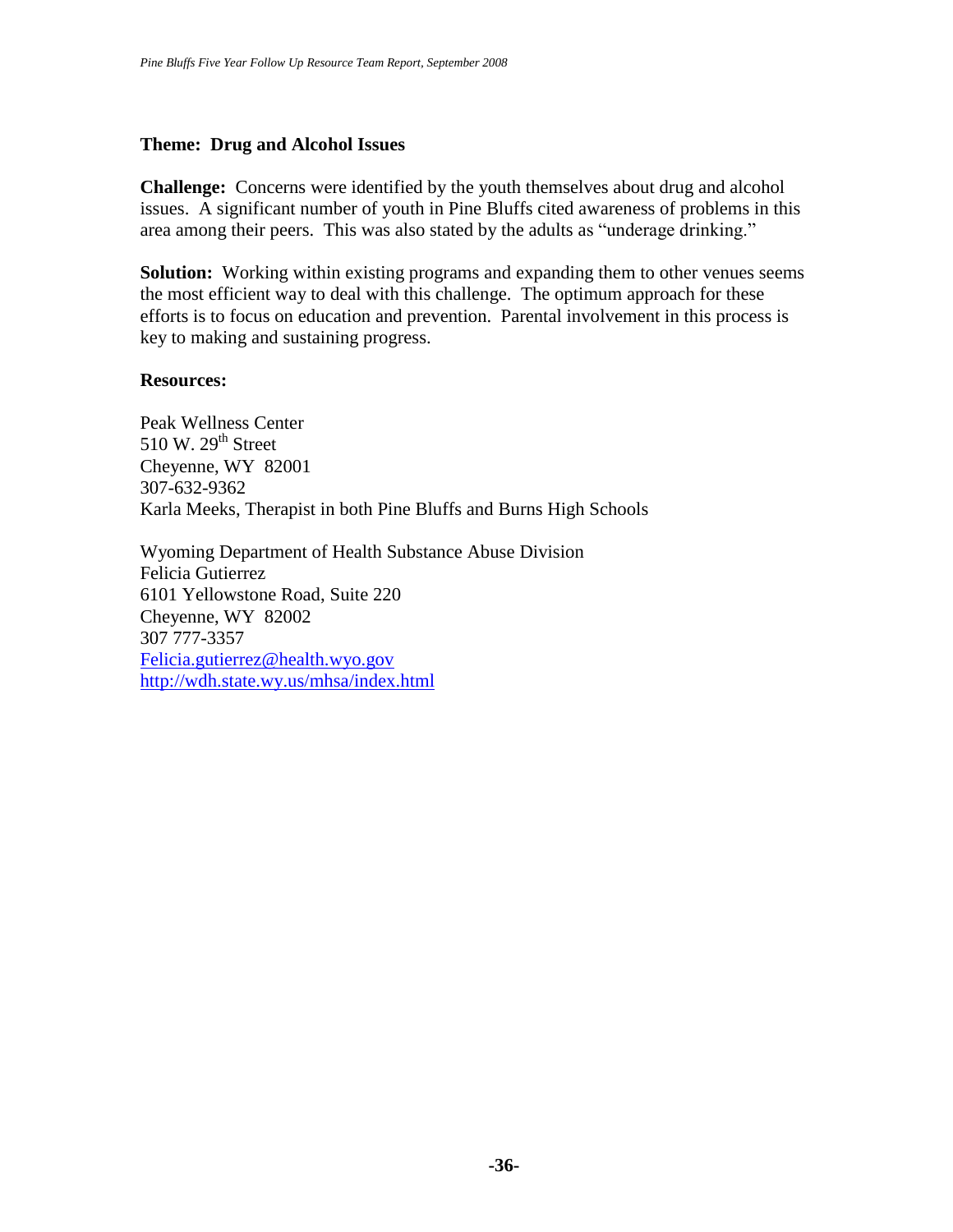#### **Theme: Drug and Alcohol Issues**

**Challenge:** Concerns were identified by the youth themselves about drug and alcohol issues. A significant number of youth in Pine Bluffs cited awareness of problems in this area among their peers. This was also stated by the adults as "underage drinking."

**Solution:** Working within existing programs and expanding them to other venues seems the most efficient way to deal with this challenge. The optimum approach for these efforts is to focus on education and prevention. Parental involvement in this process is key to making and sustaining progress.

#### **Resources:**

Peak Wellness Center 510 W.  $29<sup>th</sup>$  Street Cheyenne, WY 82001 307-632-9362 Karla Meeks, Therapist in both Pine Bluffs and Burns High Schools

Wyoming Department of Health Substance Abuse Division Felicia Gutierrez 6101 Yellowstone Road, Suite 220 Cheyenne, WY 82002 307 777-3357 [Felicia.gutierrez@health.wyo.gov](mailto:Felicia.gutierrez@health.wyo.gov) <http://wdh.state.wy.us/mhsa/index.html>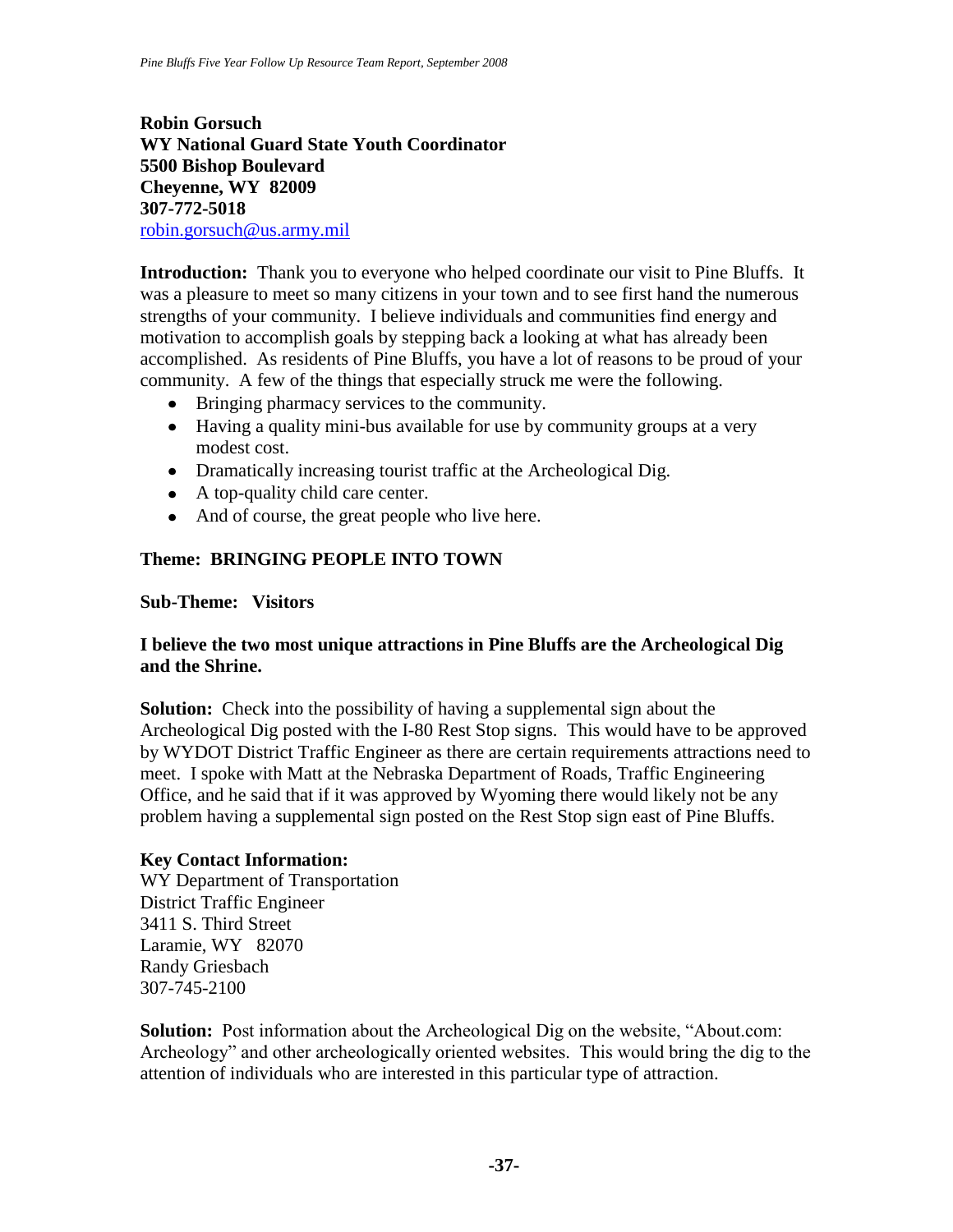## **Robin Gorsuch WY National Guard State Youth Coordinator 5500 Bishop Boulevard Cheyenne, WY 82009 307-772-5018** [robin.gorsuch@us.army.mil](mailto:robin.gorsuch@us.army.mil)

**Introduction:** Thank you to everyone who helped coordinate our visit to Pine Bluffs. It was a pleasure to meet so many citizens in your town and to see first hand the numerous strengths of your community. I believe individuals and communities find energy and motivation to accomplish goals by stepping back a looking at what has already been accomplished. As residents of Pine Bluffs, you have a lot of reasons to be proud of your community. A few of the things that especially struck me were the following.

- Bringing pharmacy services to the community.
- Having a quality mini-bus available for use by community groups at a very modest cost.
- Dramatically increasing tourist traffic at the Archeological Dig.
- A top-quality child care center.
- And of course, the great people who live here.

# **Theme: BRINGING PEOPLE INTO TOWN**

#### **Sub-Theme: Visitors**

### **I believe the two most unique attractions in Pine Bluffs are the Archeological Dig and the Shrine.**

**Solution:** Check into the possibility of having a supplemental sign about the Archeological Dig posted with the I-80 Rest Stop signs. This would have to be approved by WYDOT District Traffic Engineer as there are certain requirements attractions need to meet. I spoke with Matt at the Nebraska Department of Roads, Traffic Engineering Office, and he said that if it was approved by Wyoming there would likely not be any problem having a supplemental sign posted on the Rest Stop sign east of Pine Bluffs.

#### **Key Contact Information:**

WY Department of Transportation District Traffic Engineer 3411 S. Third Street Laramie, WY 82070 Randy Griesbach 307-745-2100

**Solution:** Post information about the Archeological Dig on the website, "About.com: Archeology" and other archeologically oriented websites. This would bring the dig to the attention of individuals who are interested in this particular type of attraction.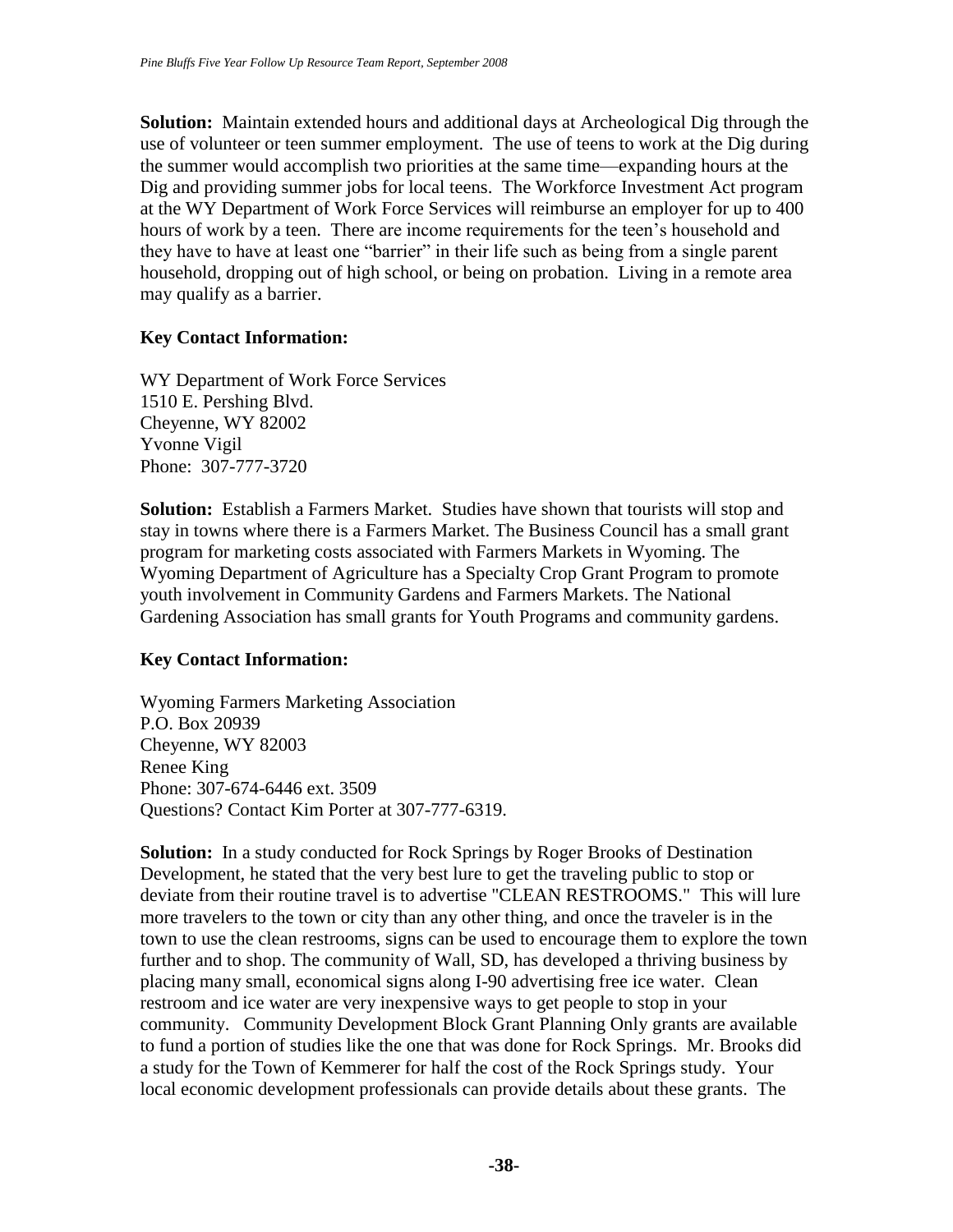**Solution:** Maintain extended hours and additional days at Archeological Dig through the use of volunteer or teen summer employment. The use of teens to work at the Dig during the summer would accomplish two priorities at the same time—expanding hours at the Dig and providing summer jobs for local teens. The Workforce Investment Act program at the WY Department of Work Force Services will reimburse an employer for up to 400 hours of work by a teen. There are income requirements for the teen's household and they have to have at least one "barrier" in their life such as being from a single parent household, dropping out of high school, or being on probation. Living in a remote area may qualify as a barrier.

### **Key Contact Information:**

WY Department of Work Force Services 1510 E. Pershing Blvd. Cheyenne, WY 82002 Yvonne Vigil Phone: 307-777-3720

**Solution:** Establish a Farmers Market. Studies have shown that tourists will stop and stay in towns where there is a Farmers Market. The Business Council has a small grant program for marketing costs associated with Farmers Markets in Wyoming. The Wyoming Department of Agriculture has a Specialty Crop Grant Program to promote youth involvement in Community Gardens and Farmers Markets. The National Gardening Association has small grants for Youth Programs and community gardens.

#### **Key Contact Information:**

Wyoming Farmers Marketing Association P.O. Box 20939 Cheyenne, WY 82003 Renee King Phone: 307-674-6446 ext. 3509 Questions? Contact Kim Porter at 307-777-6319.

**Solution:** In a study conducted for Rock Springs by Roger Brooks of Destination Development, he stated that the very best lure to get the traveling public to stop or deviate from their routine travel is to advertise "CLEAN RESTROOMS." This will lure more travelers to the town or city than any other thing, and once the traveler is in the town to use the clean restrooms, signs can be used to encourage them to explore the town further and to shop. The community of Wall, SD, has developed a thriving business by placing many small, economical signs along I-90 advertising free ice water. Clean restroom and ice water are very inexpensive ways to get people to stop in your community. Community Development Block Grant Planning Only grants are available to fund a portion of studies like the one that was done for Rock Springs. Mr. Brooks did a study for the Town of Kemmerer for half the cost of the Rock Springs study. Your local economic development professionals can provide details about these grants. The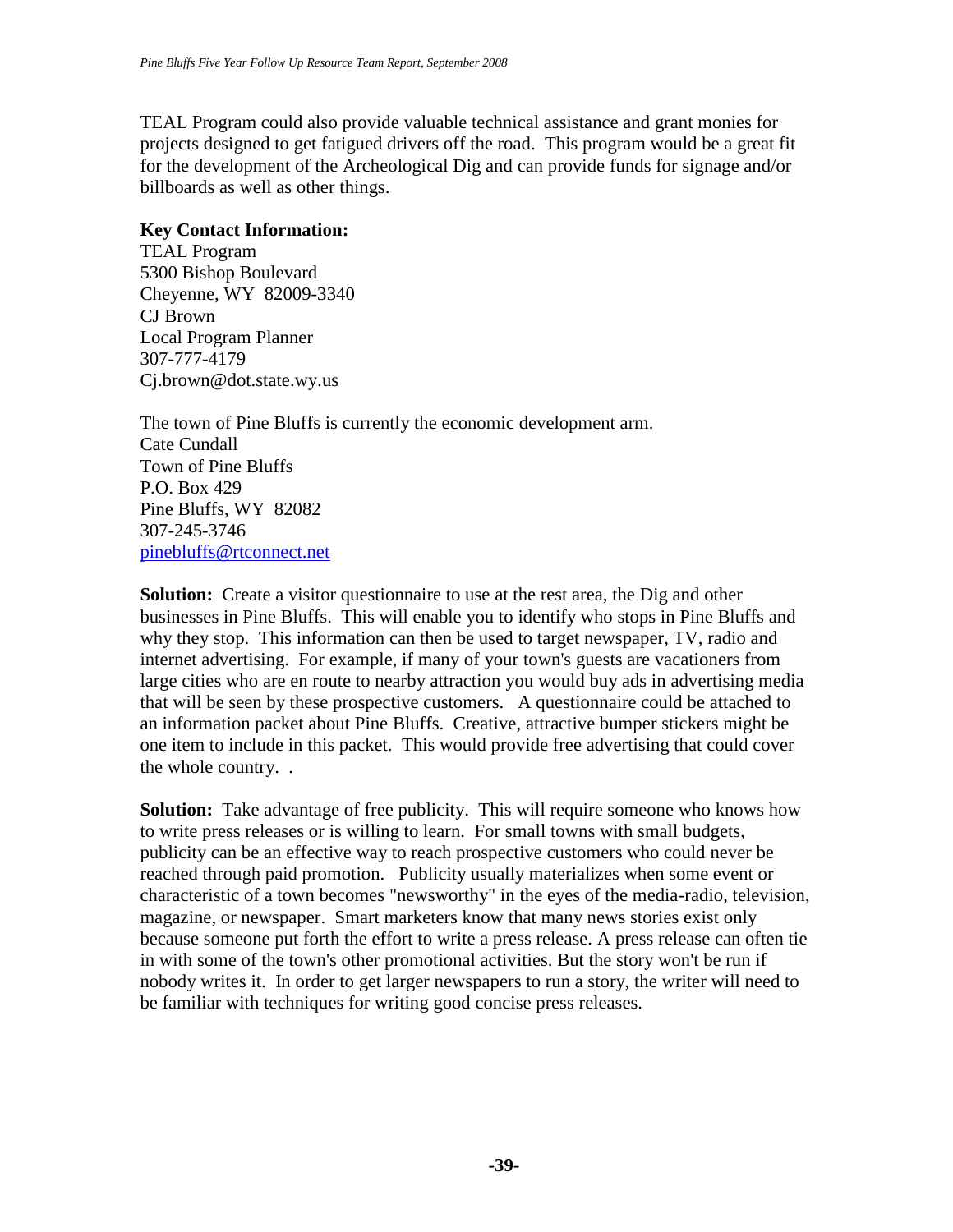TEAL Program could also provide valuable technical assistance and grant monies for projects designed to get fatigued drivers off the road. This program would be a great fit for the development of the Archeological Dig and can provide funds for signage and/or billboards as well as other things.

#### **Key Contact Information:**

TEAL Program 5300 Bishop Boulevard Cheyenne, WY 82009-3340 CJ Brown Local Program Planner 307-777-4179 Cj.brown@dot.state.wy.us

The town of Pine Bluffs is currently the economic development arm. Cate Cundall Town of Pine Bluffs P.O. Box 429 Pine Bluffs, WY 82082 307-245-3746 [pinebluffs@rtconnect.net](mailto:pinebluffs@rtconnect.net)

**Solution:** Create a visitor questionnaire to use at the rest area, the Dig and other businesses in Pine Bluffs. This will enable you to identify who stops in Pine Bluffs and why they stop. This information can then be used to target newspaper, TV, radio and internet advertising. For example, if many of your town's guests are vacationers from large cities who are en route to nearby attraction you would buy ads in advertising media that will be seen by these prospective customers. A questionnaire could be attached to an information packet about Pine Bluffs. Creative, attractive bumper stickers might be one item to include in this packet. This would provide free advertising that could cover the whole country. .

**Solution:** Take advantage of free publicity. This will require someone who knows how to write press releases or is willing to learn. For small towns with small budgets, publicity can be an effective way to reach prospective customers who could never be reached through paid promotion. Publicity usually materializes when some event or characteristic of a town becomes "newsworthy" in the eyes of the media-radio, television, magazine, or newspaper. Smart marketers know that many news stories exist only because someone put forth the effort to write a press release. A press release can often tie in with some of the town's other promotional activities. But the story won't be run if nobody writes it. In order to get larger newspapers to run a story, the writer will need to be familiar with techniques for writing good concise press releases.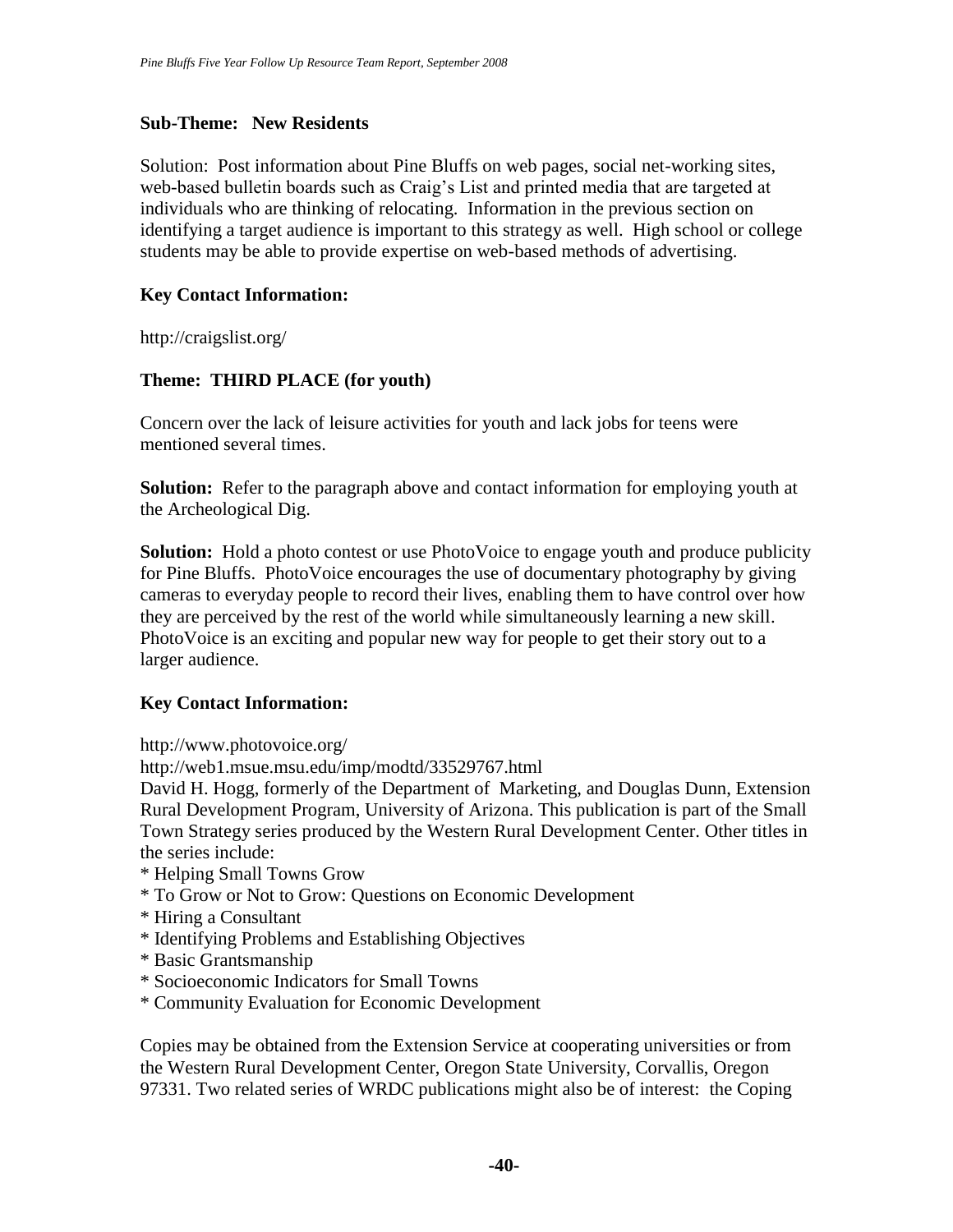### **Sub-Theme: New Residents**

Solution: Post information about Pine Bluffs on web pages, social net-working sites, web-based bulletin boards such as Craig's List and printed media that are targeted at individuals who are thinking of relocating. Information in the previous section on identifying a target audience is important to this strategy as well. High school or college students may be able to provide expertise on web-based methods of advertising.

### **Key Contact Information:**

http://craigslist.org/

### **Theme: THIRD PLACE (for youth)**

Concern over the lack of leisure activities for youth and lack jobs for teens were mentioned several times.

**Solution:** Refer to the paragraph above and contact information for employing youth at the Archeological Dig.

**Solution:** Hold a photo contest or use PhotoVoice to engage youth and produce publicity for Pine Bluffs. PhotoVoice encourages the use of documentary photography by giving cameras to everyday people to record their lives, enabling them to have control over how they are perceived by the rest of the world while simultaneously learning a new skill. PhotoVoice is an exciting and popular new way for people to get their story out to a larger audience.

#### **Key Contact Information:**

http://www.photovoice.org/

http://web1.msue.msu.edu/imp/modtd/33529767.html

David H. Hogg, formerly of the Department of Marketing, and Douglas Dunn, Extension Rural Development Program, University of Arizona. This publication is part of the Small Town Strategy series produced by the Western Rural Development Center. Other titles in the series include:

- \* Helping Small Towns Grow
- \* To Grow or Not to Grow: Questions on Economic Development
- \* Hiring a Consultant
- \* Identifying Problems and Establishing Objectives
- \* Basic Grantsmanship
- \* Socioeconomic Indicators for Small Towns
- \* Community Evaluation for Economic Development

Copies may be obtained from the Extension Service at cooperating universities or from the Western Rural Development Center, Oregon State University, Corvallis, Oregon 97331. Two related series of WRDC publications might also be of interest: the Coping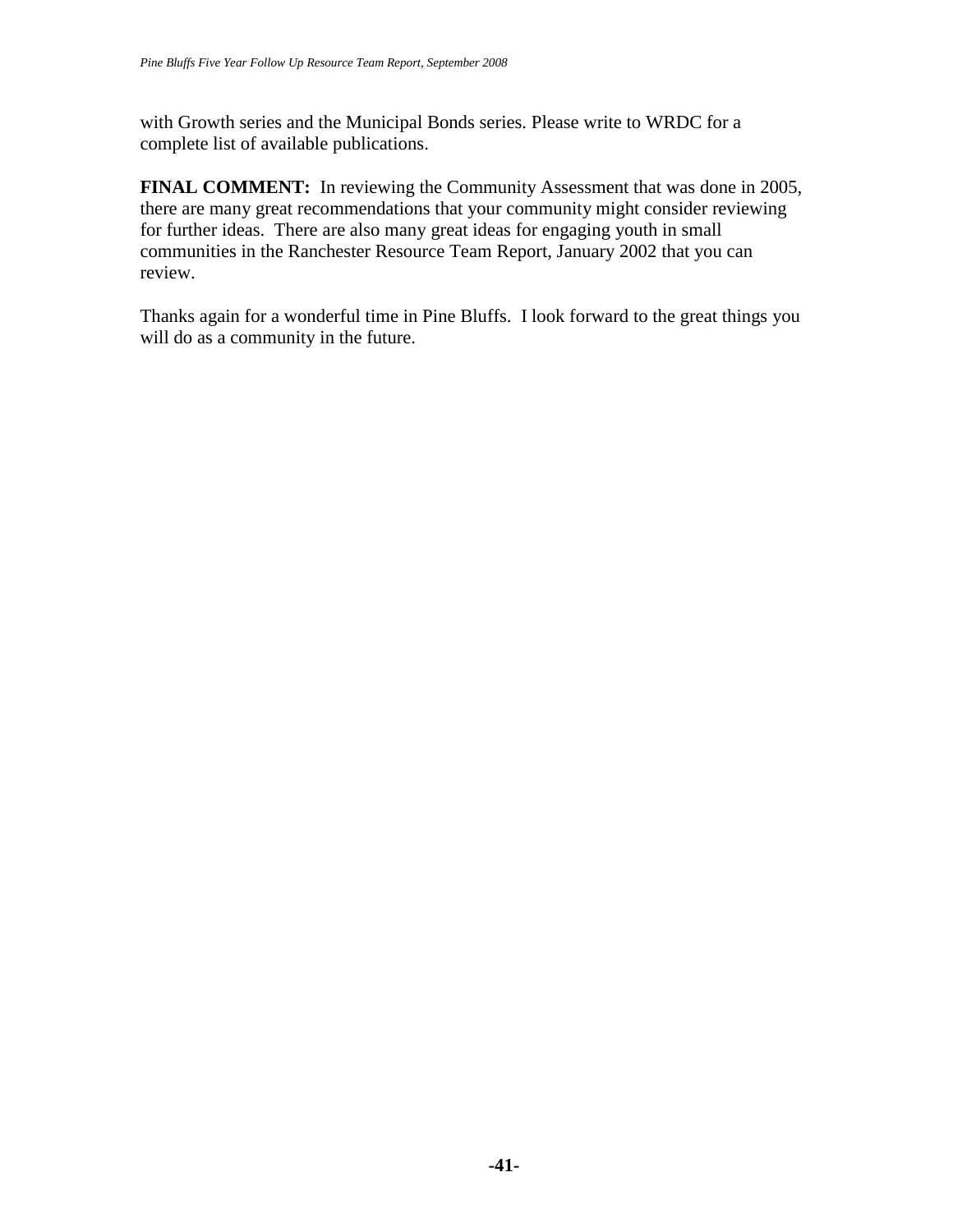with Growth series and the Municipal Bonds series. Please write to WRDC for a complete list of available publications.

**FINAL COMMENT:** In reviewing the Community Assessment that was done in 2005, there are many great recommendations that your community might consider reviewing for further ideas. There are also many great ideas for engaging youth in small communities in the Ranchester Resource Team Report, January 2002 that you can review.

Thanks again for a wonderful time in Pine Bluffs. I look forward to the great things you will do as a community in the future.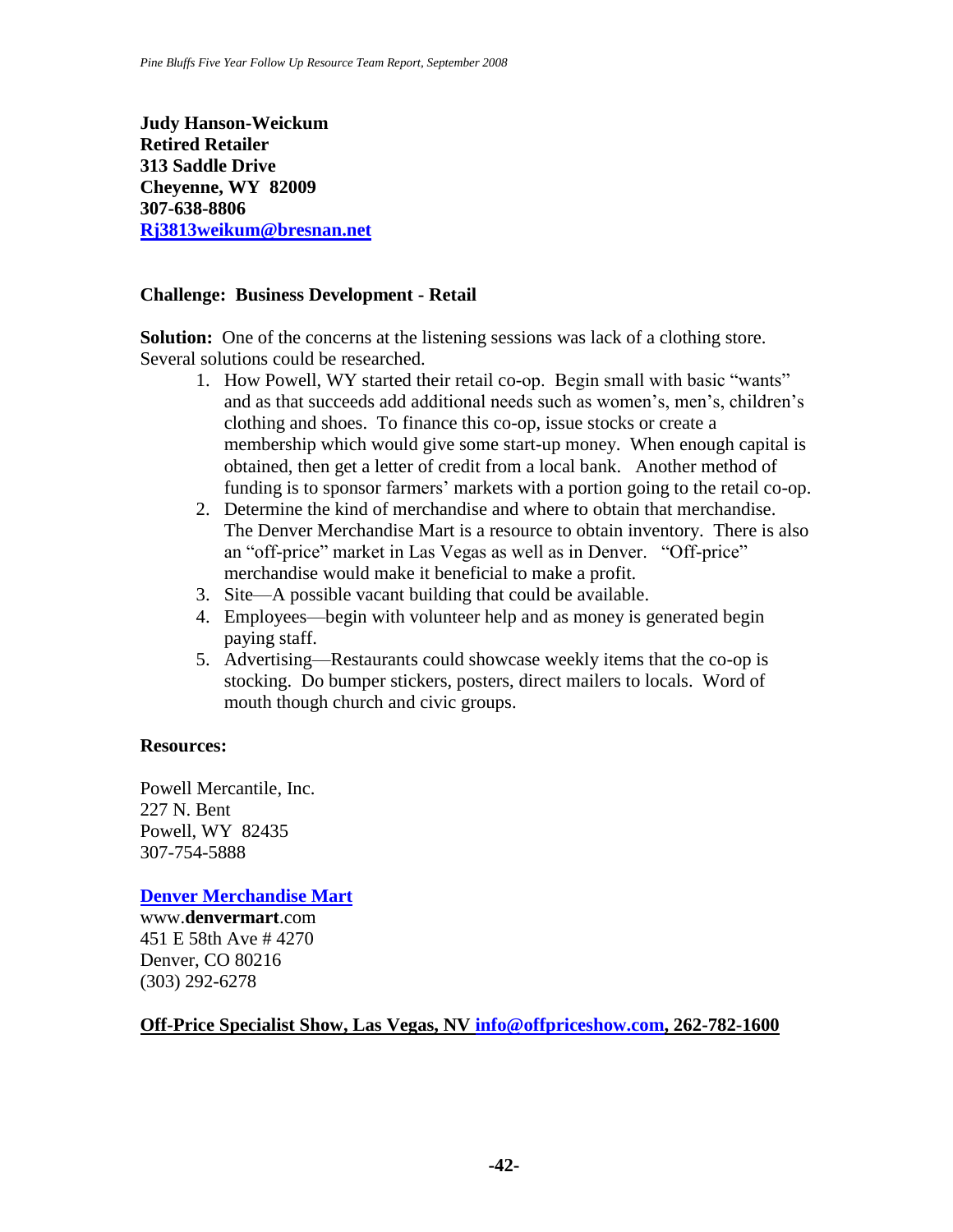**Judy Hanson-Weickum Retired Retailer 313 Saddle Drive Cheyenne, WY 82009 307-638-8806 [Rj3813weikum@bresnan.net](mailto:Rj3813weikum@bresnan.net)**

#### **Challenge: Business Development - Retail**

**Solution:** One of the concerns at the listening sessions was lack of a clothing store. Several solutions could be researched.

- 1. How Powell, WY started their retail co-op. Begin small with basic "wants" and as that succeeds add additional needs such as women's, men's, children's clothing and shoes. To finance this co-op, issue stocks or create a membership which would give some start-up money. When enough capital is obtained, then get a letter of credit from a local bank. Another method of funding is to sponsor farmers' markets with a portion going to the retail co-op.
- 2. Determine the kind of merchandise and where to obtain that merchandise. The Denver Merchandise Mart is a resource to obtain inventory. There is also an "off-price" market in Las Vegas as well as in Denver. "Off-price" merchandise would make it beneficial to make a profit.
- 3. Site—A possible vacant building that could be available.
- 4. Employees—begin with volunteer help and as money is generated begin paying staff.
- 5. Advertising—Restaurants could showcase weekly items that the co-op is stocking. Do bumper stickers, posters, direct mailers to locals. Word of mouth though church and civic groups.

#### **Resources:**

Powell Mercantile, Inc. 227 N. Bent Powell, WY 82435 307-754-5888

**[Denver Merchandise Mart](http://www.denvermart.com/)**

www.**denvermart**.com 451 E 58th Ave # 4270 Denver, CO 80216 (303) 292-6278

#### **Off-Price Specialist Show, Las Vegas, NV [info@offpriceshow.com,](mailto:info@offpriceshow.com) 262-782-1600**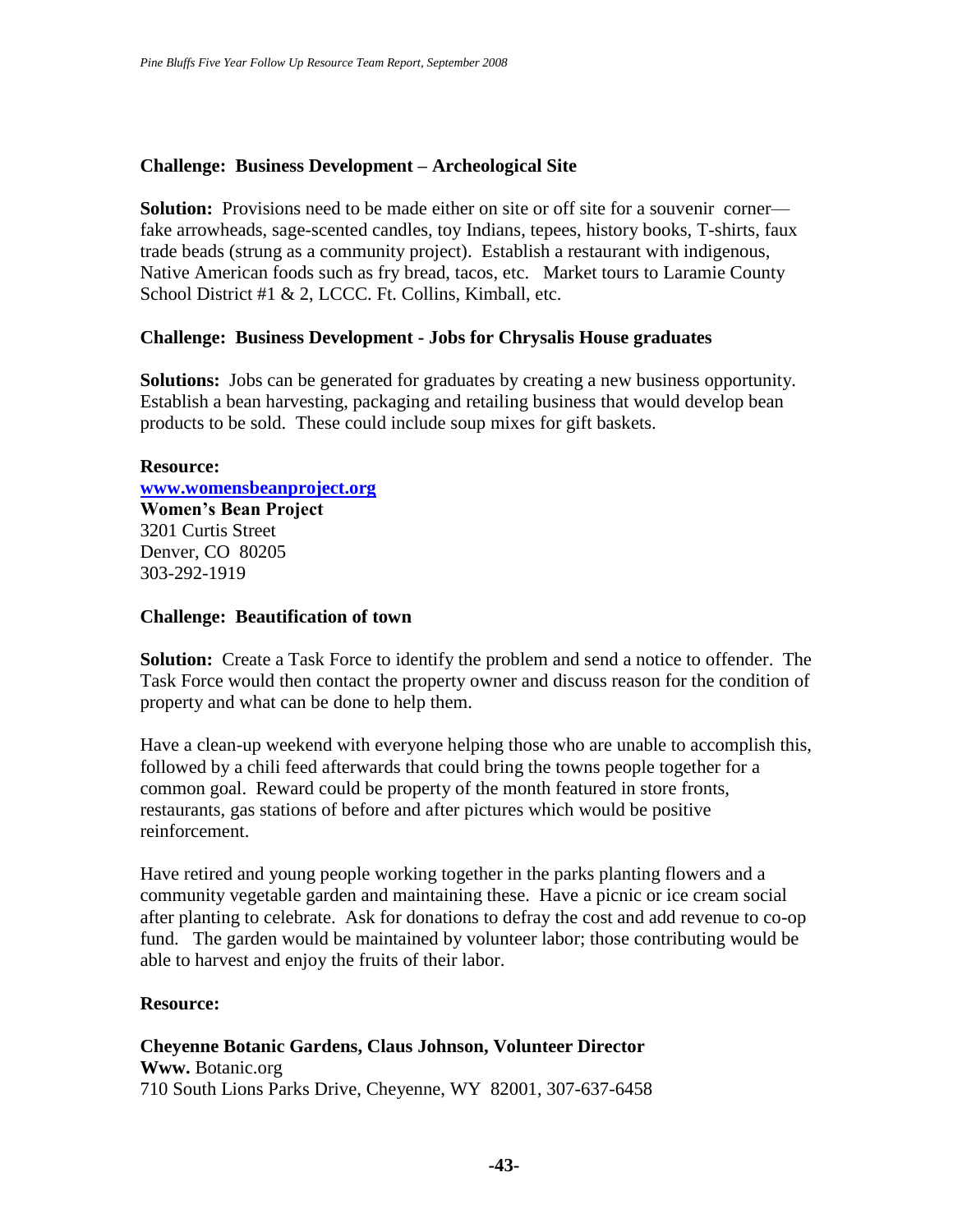## **Challenge: Business Development – Archeological Site**

**Solution:** Provisions need to be made either on site or off site for a souvenir corner fake arrowheads, sage-scented candles, toy Indians, tepees, history books, T-shirts, faux trade beads (strung as a community project). Establish a restaurant with indigenous, Native American foods such as fry bread, tacos, etc. Market tours to Laramie County School District #1 & 2, LCCC. Ft. Collins, Kimball, etc.

#### **Challenge: Business Development - Jobs for Chrysalis House graduates**

**Solutions:** Jobs can be generated for graduates by creating a new business opportunity. Establish a bean harvesting, packaging and retailing business that would develop bean products to be sold. These could include soup mixes for gift baskets.

**Resource: [www.womensbeanproject.org](http://www.womensbeanproject.org/) Women's Bean Project** 3201 Curtis Street Denver, CO 80205 303-292-1919

#### **Challenge: Beautification of town**

**Solution:** Create a Task Force to identify the problem and send a notice to offender. The Task Force would then contact the property owner and discuss reason for the condition of property and what can be done to help them.

Have a clean-up weekend with everyone helping those who are unable to accomplish this, followed by a chili feed afterwards that could bring the towns people together for a common goal. Reward could be property of the month featured in store fronts, restaurants, gas stations of before and after pictures which would be positive reinforcement.

Have retired and young people working together in the parks planting flowers and a community vegetable garden and maintaining these. Have a picnic or ice cream social after planting to celebrate. Ask for donations to defray the cost and add revenue to co-op fund. The garden would be maintained by volunteer labor; those contributing would be able to harvest and enjoy the fruits of their labor.

#### **Resource:**

**Cheyenne Botanic Gardens, Claus Johnson, Volunteer Director Www.** Botanic.org 710 South Lions Parks Drive, Cheyenne, WY 82001, 307-637-6458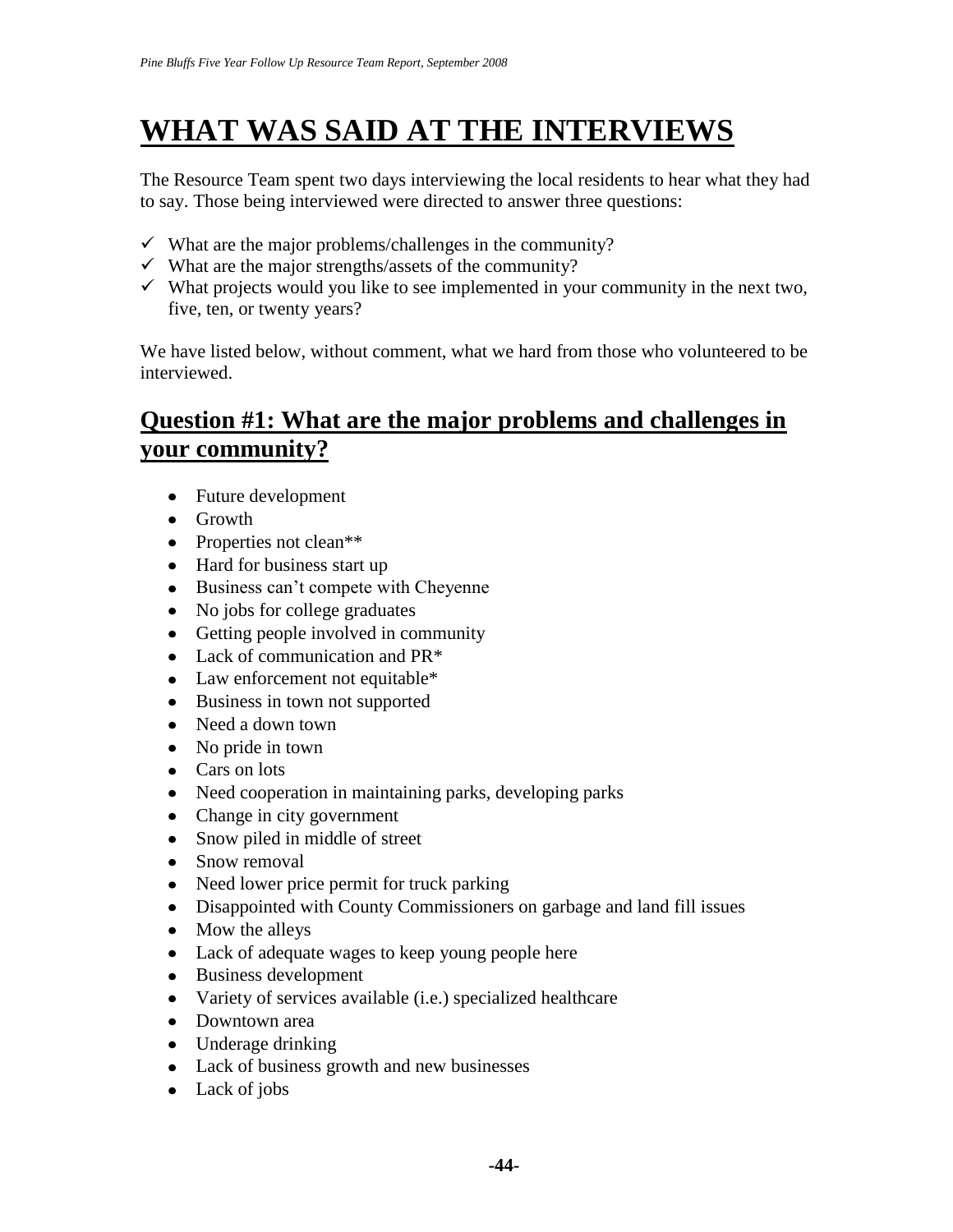# **WHAT WAS SAID AT THE INTERVIEWS**

The Resource Team spent two days interviewing the local residents to hear what they had to say. Those being interviewed were directed to answer three questions:

- $\checkmark$  What are the major problems/challenges in the community?
- $\checkmark$  What are the major strengths/assets of the community?
- $\checkmark$  What projects would you like to see implemented in your community in the next two, five, ten, or twenty years?

We have listed below, without comment, what we hard from those who volunteered to be interviewed.

# **Question #1: What are the major problems and challenges in your community?**

- Future development
- Growth
- Properties not clean\*\*
- Hard for business start up
- Business can't compete with Cheyenne
- No jobs for college graduates
- Getting people involved in community
- Lack of communication and PR<sup>\*</sup>
- Law enforcement not equitable\*
- Business in town not supported
- Need a down town
- No pride in town
- Cars on lots
- Need cooperation in maintaining parks, developing parks
- Change in city government
- Snow piled in middle of street
- Snow removal
- Need lower price permit for truck parking
- Disappointed with County Commissioners on garbage and land fill issues
- Mow the alleys
- Lack of adequate wages to keep young people here
- Business development
- Variety of services available (i.e.) specialized healthcare
- Downtown area
- Underage drinking
- Lack of business growth and new businesses
- Lack of jobs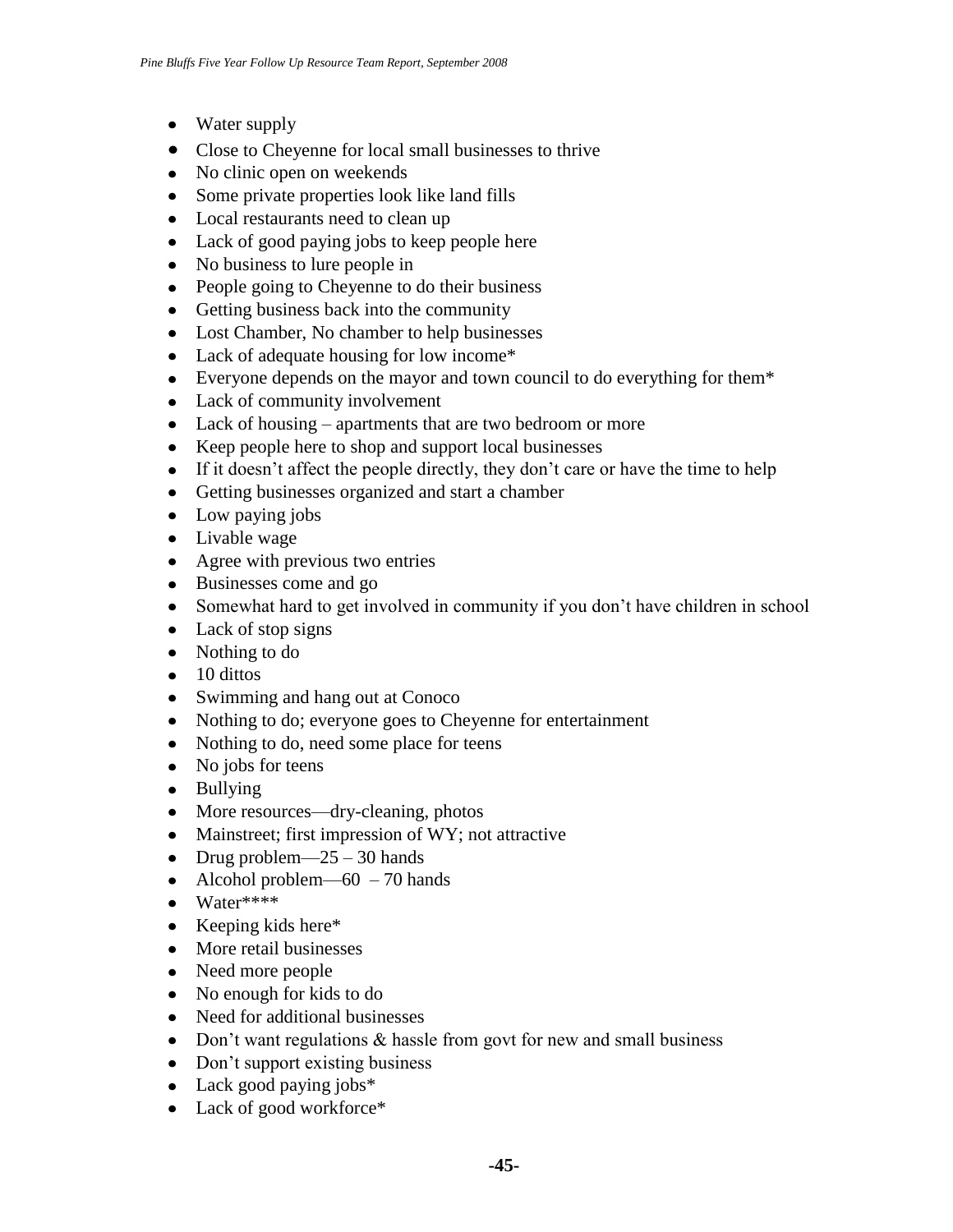- Water supply
- Close to Cheyenne for local small businesses to thrive
- No clinic open on weekends
- Some private properties look like land fills
- Local restaurants need to clean up
- Lack of good paying jobs to keep people here
- No business to lure people in
- People going to Cheyenne to do their business
- Getting business back into the community
- Lost Chamber, No chamber to help businesses
- Lack of adequate housing for low income\*
- Everyone depends on the mayor and town council to do everything for them\*
- Lack of community involvement
- Lack of housing apartments that are two bedroom or more
- Keep people here to shop and support local businesses
- If it doesn't affect the people directly, they don't care or have the time to help
- Getting businesses organized and start a chamber
- Low paying jobs
- Livable wage
- Agree with previous two entries
- Businesses come and go
- Somewhat hard to get involved in community if you don't have children in school
- Lack of stop signs
- Nothing to do
- $\bullet$  10 dittos
- Swimming and hang out at Conoco
- Nothing to do; everyone goes to Cheyenne for entertainment
- Nothing to do, need some place for teens
- No jobs for teens
- Bullying
- More resources—dry-cleaning, photos
- Mainstreet; first impression of WY; not attractive
- Drug problem— $25 30$  hands
- Alcohol problem— $60 70$  hands
- $\bullet$  Water\*\*\*\*
- $\bullet$  Keeping kids here\*
- More retail businesses
- Need more people
- No enough for kids to do
- Need for additional businesses
- Don't want regulations & hassle from govt for new and small business
- Don't support existing business
- Lack good paying jobs\*
- Lack of good workforce\*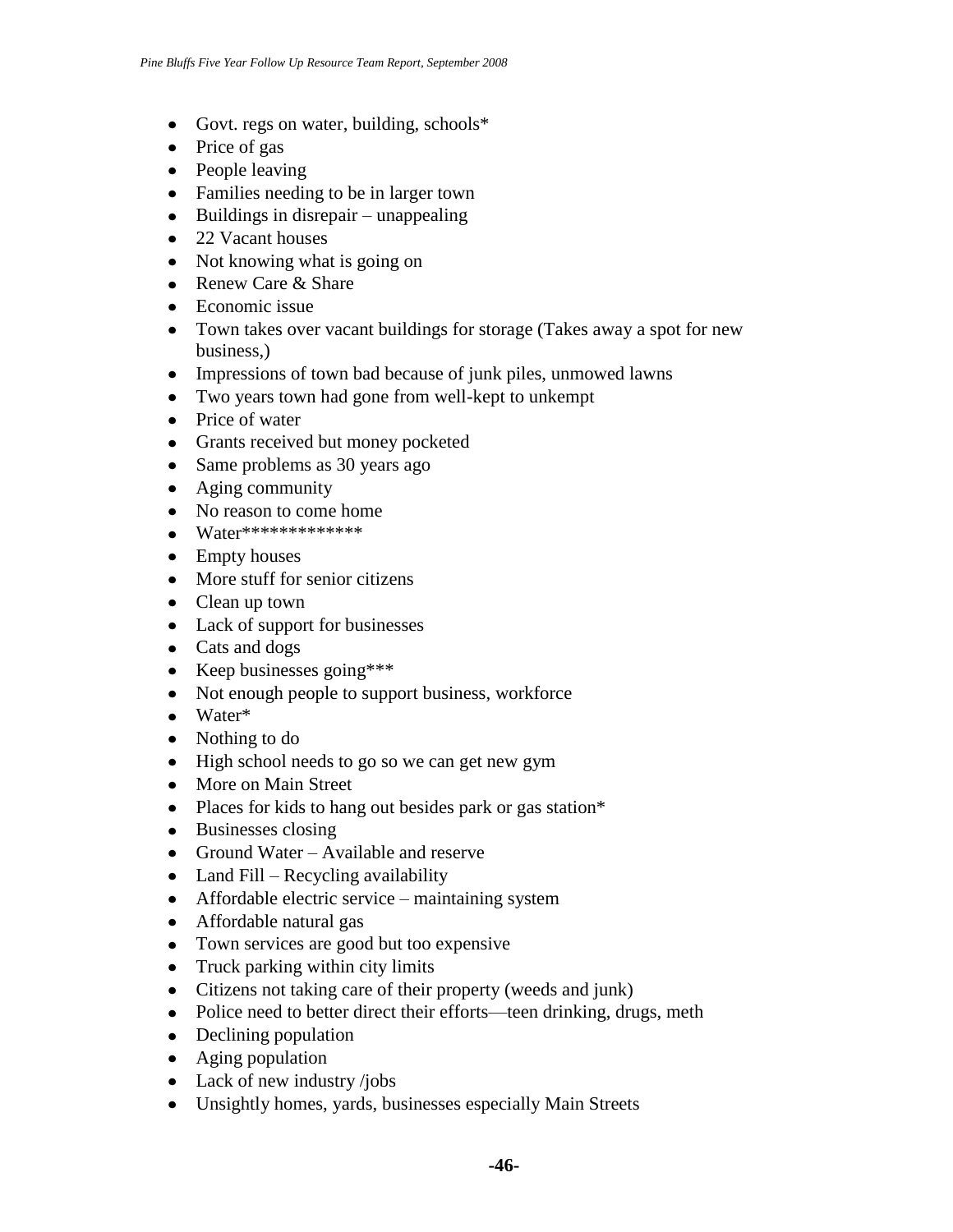- Govt. regs on water, building, schools\*
- Price of gas
- People leaving
- Families needing to be in larger town
- $\bullet$  Buildings in disrepair unappealing
- 22 Vacant houses
- Not knowing what is going on
- Renew Care & Share
- Economic issue
- Town takes over vacant buildings for storage (Takes away a spot for new business,)
- Impressions of town bad because of junk piles, unmowed lawns
- Two years town had gone from well-kept to unkempt
- Price of water
- Grants received but money pocketed
- Same problems as 30 years ago
- Aging community
- No reason to come home
- Water\*\*\*\*\*\*\*\*\*\*\*\*\*
- Empty houses
- More stuff for senior citizens
- Clean up town
- Lack of support for businesses
- Cats and dogs
- Keep businesses going \*\*\*
- Not enough people to support business, workforce
- Water\*
- Nothing to do
- High school needs to go so we can get new gym
- More on Main Street
- Places for kids to hang out besides park or gas station\*
- Businesses closing
- Ground Water Available and reserve
- $\bullet$  Land Fill Recycling availability
- Affordable electric service maintaining system
- Affordable natural gas
- Town services are good but too expensive
- Truck parking within city limits
- Citizens not taking care of their property (weeds and junk)
- Police need to better direct their efforts—teen drinking, drugs, meth
- Declining population
- Aging population
- Lack of new industry /jobs
- Unsightly homes, yards, businesses especially Main Streets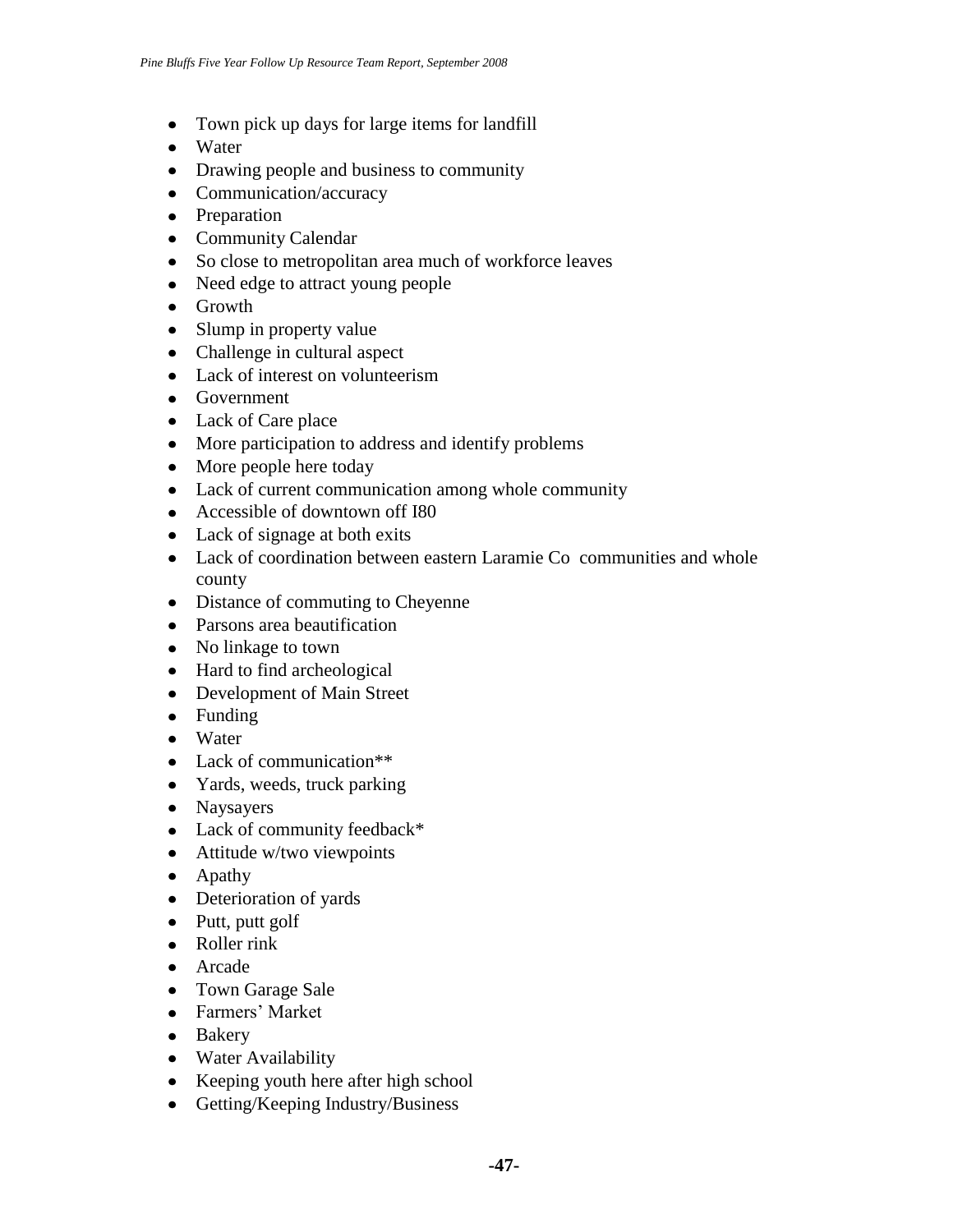- Town pick up days for large items for landfill
- Water
- Drawing people and business to community
- Communication/accuracy
- Preparation
- Community Calendar
- So close to metropolitan area much of workforce leaves
- Need edge to attract young people
- Growth
- Slump in property value
- Challenge in cultural aspect
- Lack of interest on volunteerism
- Government
- Lack of Care place
- More participation to address and identify problems
- More people here today
- Lack of current communication among whole community
- Accessible of downtown off I80
- Lack of signage at both exits
- Lack of coordination between eastern Laramie Co communities and whole county
- Distance of commuting to Cheyenne
- Parsons area beautification
- No linkage to town
- Hard to find archeological
- Development of Main Street
- Funding
- Water
- Lack of communication\*\*
- Yards, weeds, truck parking
- Naysayers
- Lack of community feedback\*
- Attitude w/two viewpoints
- Apathy
- Deterioration of yards
- Putt, putt golf
- Roller rink
- Arcade
- Town Garage Sale
- Farmers' Market
- Bakery
- Water Availability
- Keeping youth here after high school
- Getting/Keeping Industry/Business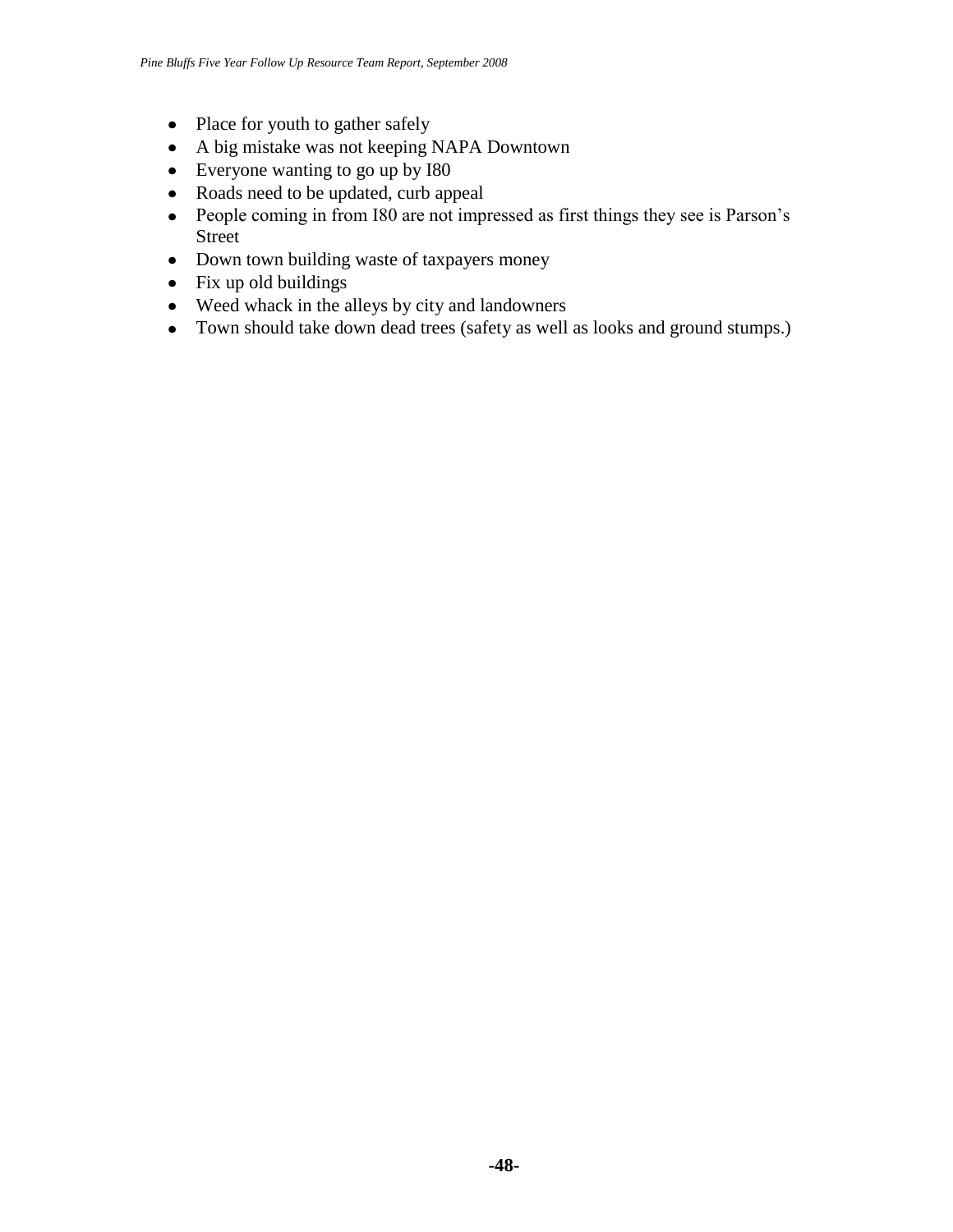- Place for youth to gather safely
- A big mistake was not keeping NAPA Downtown
- Everyone wanting to go up by I80
- Roads need to be updated, curb appeal
- People coming in from I80 are not impressed as first things they see is Parson's Street
- Down town building waste of taxpayers money
- $\bullet$  Fix up old buildings
- Weed whack in the alleys by city and landowners
- Town should take down dead trees (safety as well as looks and ground stumps.)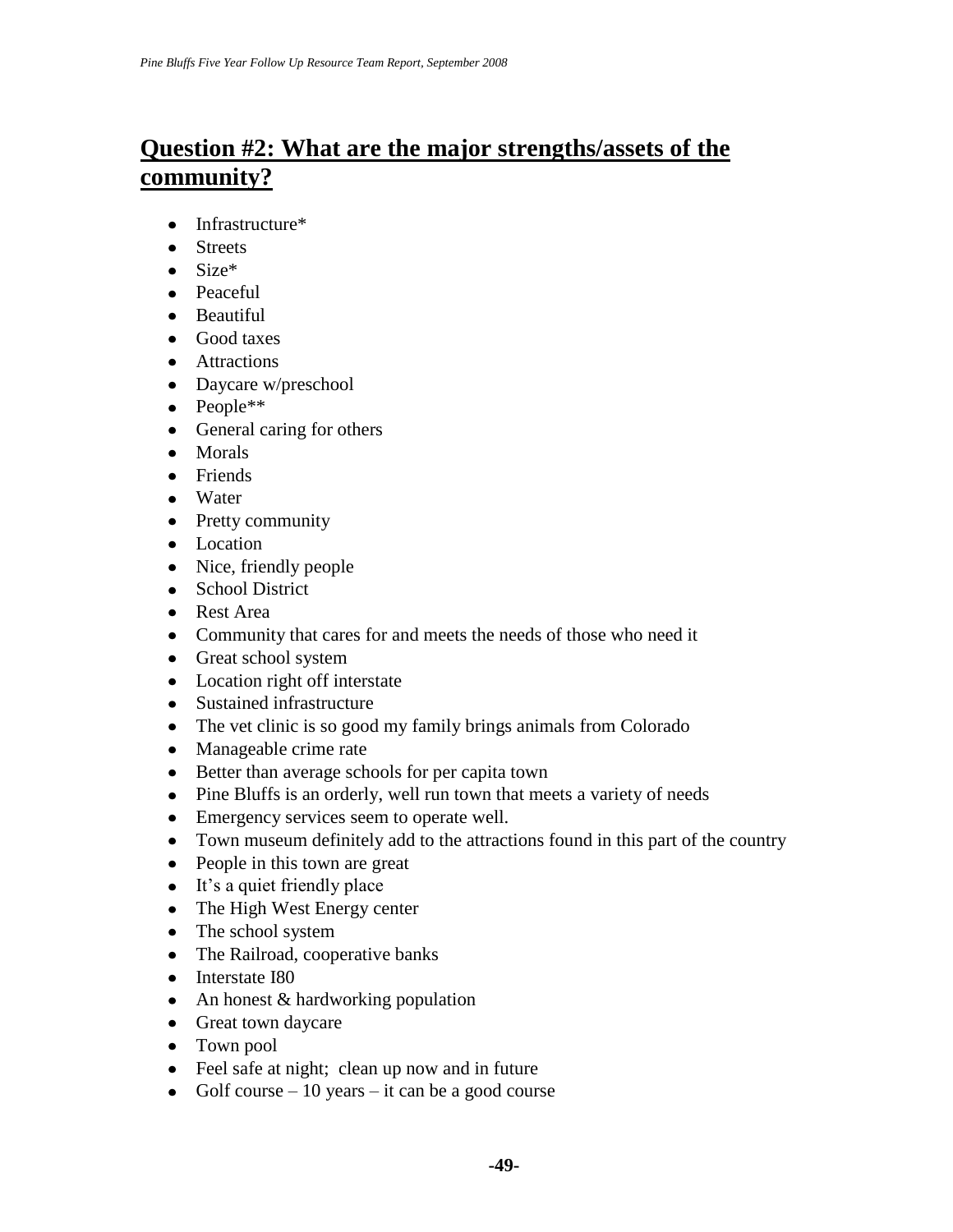# **Question #2: What are the major strengths/assets of the community?**

- Infrastructure\*
- Streets
- Size\*
- Peaceful
- Beautiful
- Good taxes
- Attractions
- Daycare w/preschool
- People\*\*
- General caring for others
- Morals
- Friends
- Water
- Pretty community
- Location
- Nice, friendly people
- School District
- Rest Area
- Community that cares for and meets the needs of those who need it
- Great school system
- Location right off interstate
- Sustained infrastructure
- The vet clinic is so good my family brings animals from Colorado
- Manageable crime rate
- Better than average schools for per capita town
- Pine Bluffs is an orderly, well run town that meets a variety of needs
- Emergency services seem to operate well.
- Town museum definitely add to the attractions found in this part of the country
- People in this town are great
- It's a quiet friendly place
- The High West Energy center
- The school system
- The Railroad, cooperative banks
- Interstate I80
- An honest & hardworking population
- Great town daycare
- Town pool
- Feel safe at night; clean up now and in future
- Golf course  $-10$  years  $-$  it can be a good course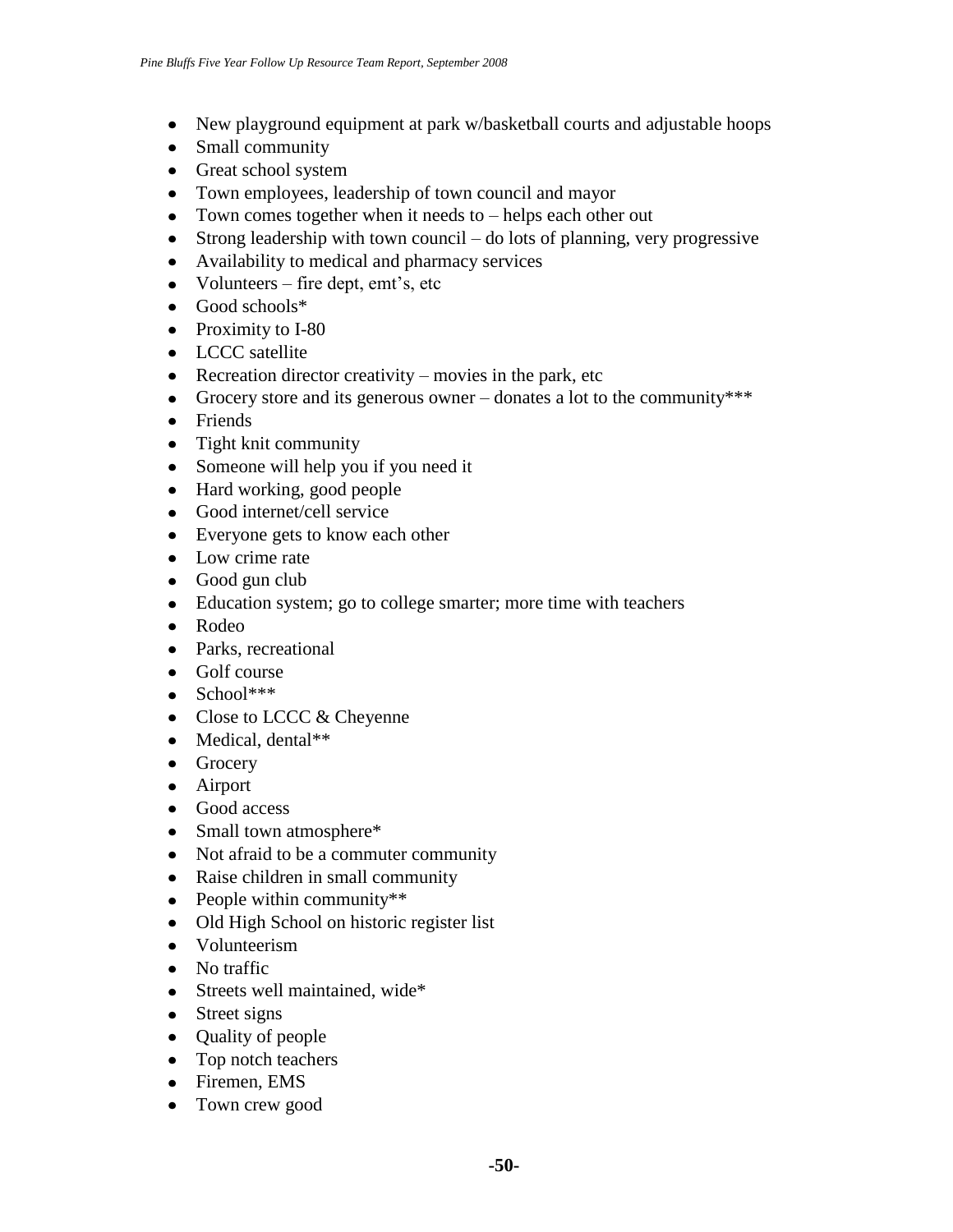- New playground equipment at park w/basketball courts and adjustable hoops
- Small community
- Great school system
- Town employees, leadership of town council and mayor
- Town comes together when it needs to helps each other out
- Strong leadership with town council do lots of planning, very progressive
- Availability to medical and pharmacy services
- Volunteers fire dept, emt's, etc
- Good schools\*
- Proximity to I-80
- LCCC satellite
- Recreation director creativity movies in the park, etc
- Grocery store and its generous owner donates a lot to the community\*\*\*
- Friends
- Tight knit community
- Someone will help you if you need it
- Hard working, good people
- Good internet/cell service
- Everyone gets to know each other
- Low crime rate
- Good gun club
- Education system; go to college smarter; more time with teachers
- Rodeo
- Parks, recreational
- Golf course
- $\bullet$  School\*\*\*
- Close to LCCC & Cheyenne
- Medical, dental\*\*
- Grocery
- Airport
- Good access
- Small town atmosphere\*
- Not afraid to be a commuter community
- Raise children in small community
- People within community\*\*
- Old High School on historic register list
- Volunteerism
- No traffic
- Streets well maintained, wide\*
- Street signs
- Quality of people
- Top notch teachers
- Firemen, EMS
- Town crew good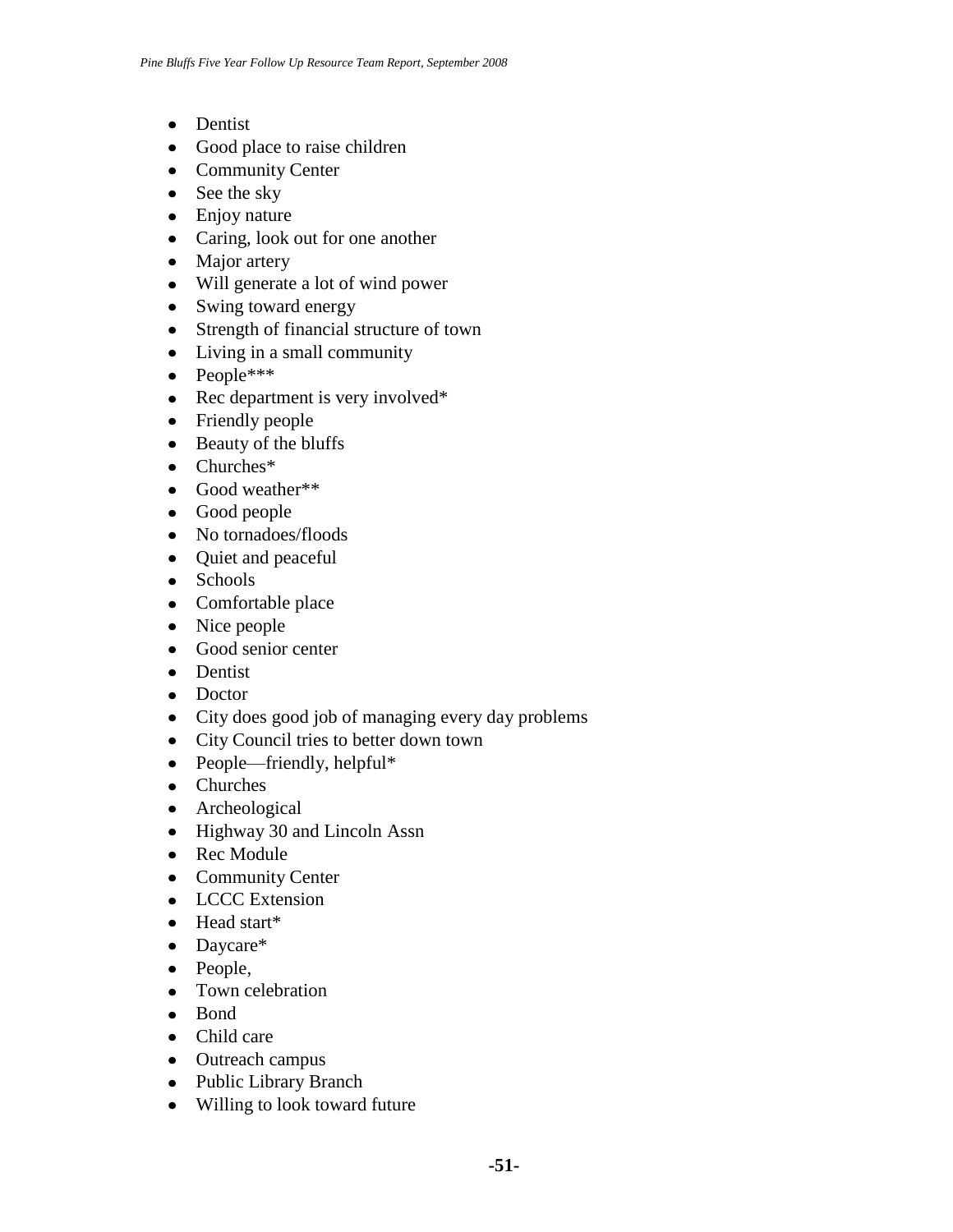- Dentist
- Good place to raise children
- Community Center
- See the sky
- Enjoy nature
- Caring, look out for one another
- Major artery
- Will generate a lot of wind power
- Swing toward energy
- Strength of financial structure of town
- Living in a small community
- People\*\*\*
- Rec department is very involved\*
- Friendly people
- Beauty of the bluffs
- Churches\*
- Good weather\*\*
- Good people
- No tornadoes/floods
- Quiet and peaceful
- Schools
- Comfortable place
- Nice people
- Good senior center
- Dentist
- Doctor
- City does good job of managing every day problems
- City Council tries to better down town
- People—friendly, helpful\*
- Churches
- Archeological
- Highway 30 and Lincoln Assn
- Rec Module
- Community Center
- LCCC Extension
- Head start\*
- Daycare\*
- People,
- Town celebration
- Bond
- Child care
- Outreach campus
- Public Library Branch
- Willing to look toward future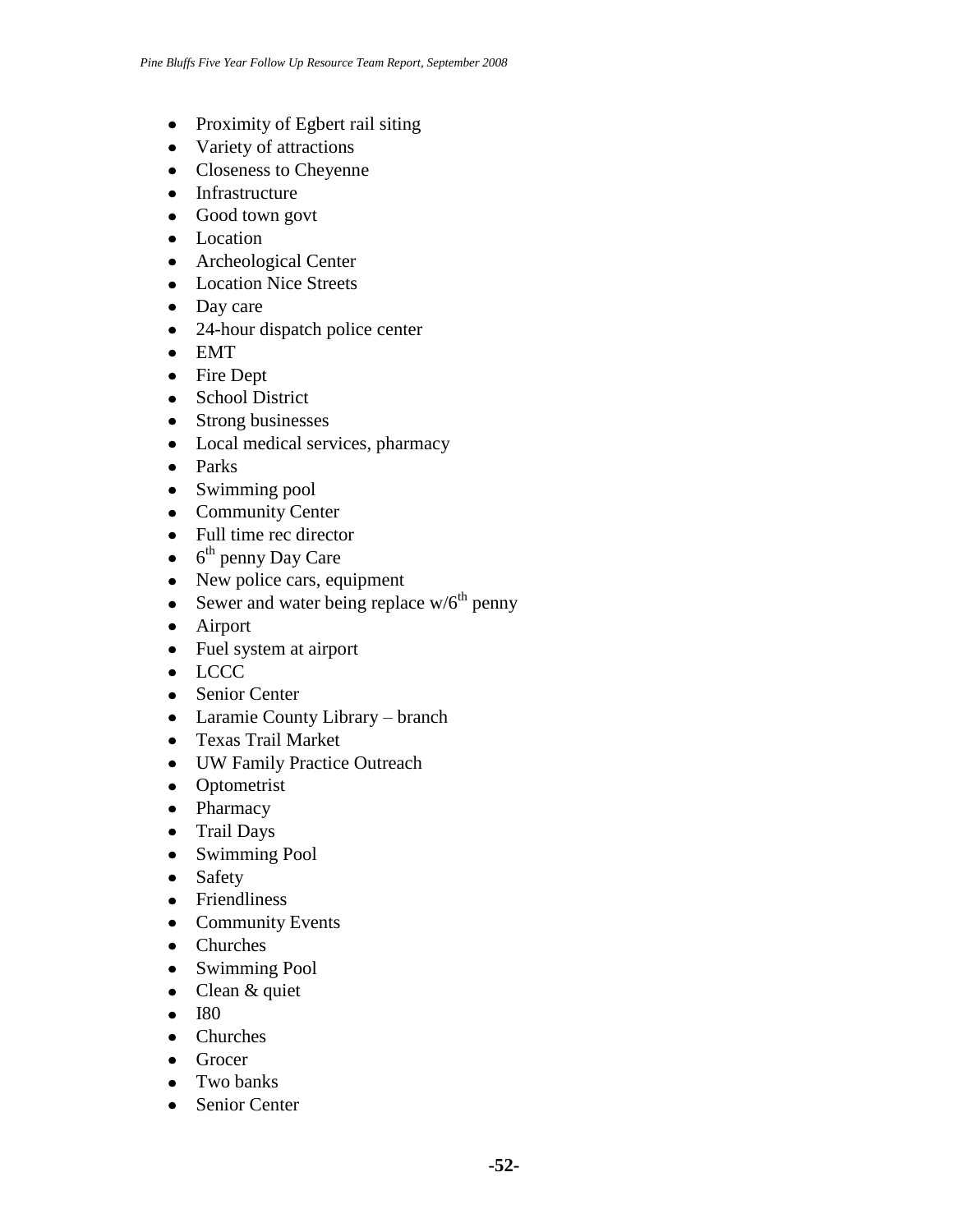- Proximity of Egbert rail siting
- Variety of attractions
- Closeness to Cheyenne
- Infrastructure
- Good town govt
- Location
- Archeological Center
- Location Nice Streets
- Day care
- 24-hour dispatch police center
- EMT
- Fire Dept
- School District
- Strong businesses
- Local medical services, pharmacy
- Parks
- Swimming pool
- Community Center
- Full time rec director
- 6<sup>th</sup> penny Day Care
- New police cars, equipment
- Sewer and water being replace  $w/6^{th}$  penny
- Airport
- Fuel system at airport
- LCCC
- Senior Center
- Laramie County Library branch
- Texas Trail Market
- UW Family Practice Outreach
- Optometrist
- Pharmacy
- Trail Days
- Swimming Pool
- Safety
- Friendliness
- Community Events
- Churches
- Swimming Pool
- Clean & quiet
- $\bullet$  I80
- Churches
- Grocer
- Two banks
- Senior Center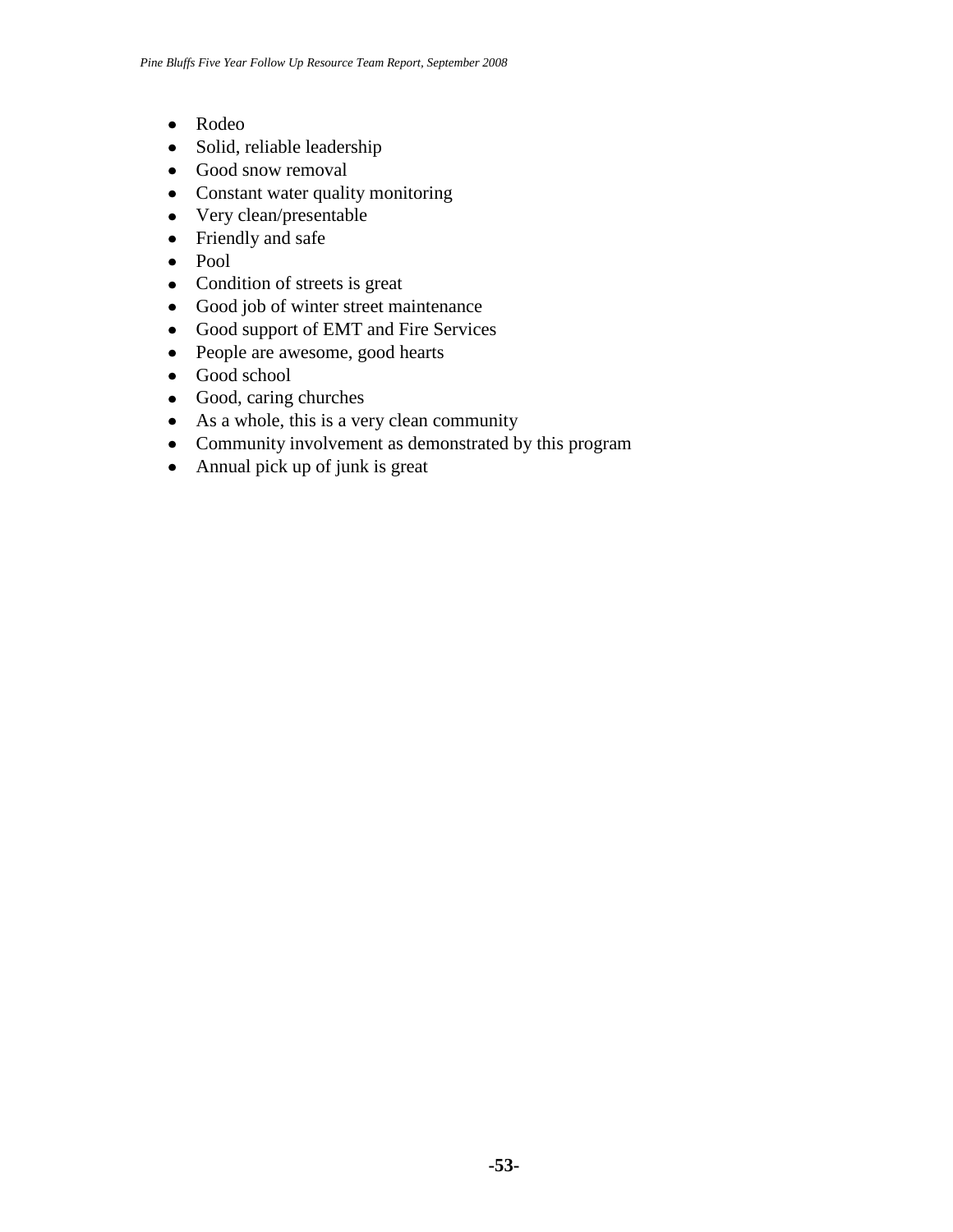- Rodeo
- Solid, reliable leadership
- Good snow removal
- Constant water quality monitoring
- Very clean/presentable
- Friendly and safe
- Pool
- Condition of streets is great
- Good job of winter street maintenance
- Good support of EMT and Fire Services
- People are awesome, good hearts
- Good school
- Good, caring churches
- As a whole, this is a very clean community
- Community involvement as demonstrated by this program
- Annual pick up of junk is great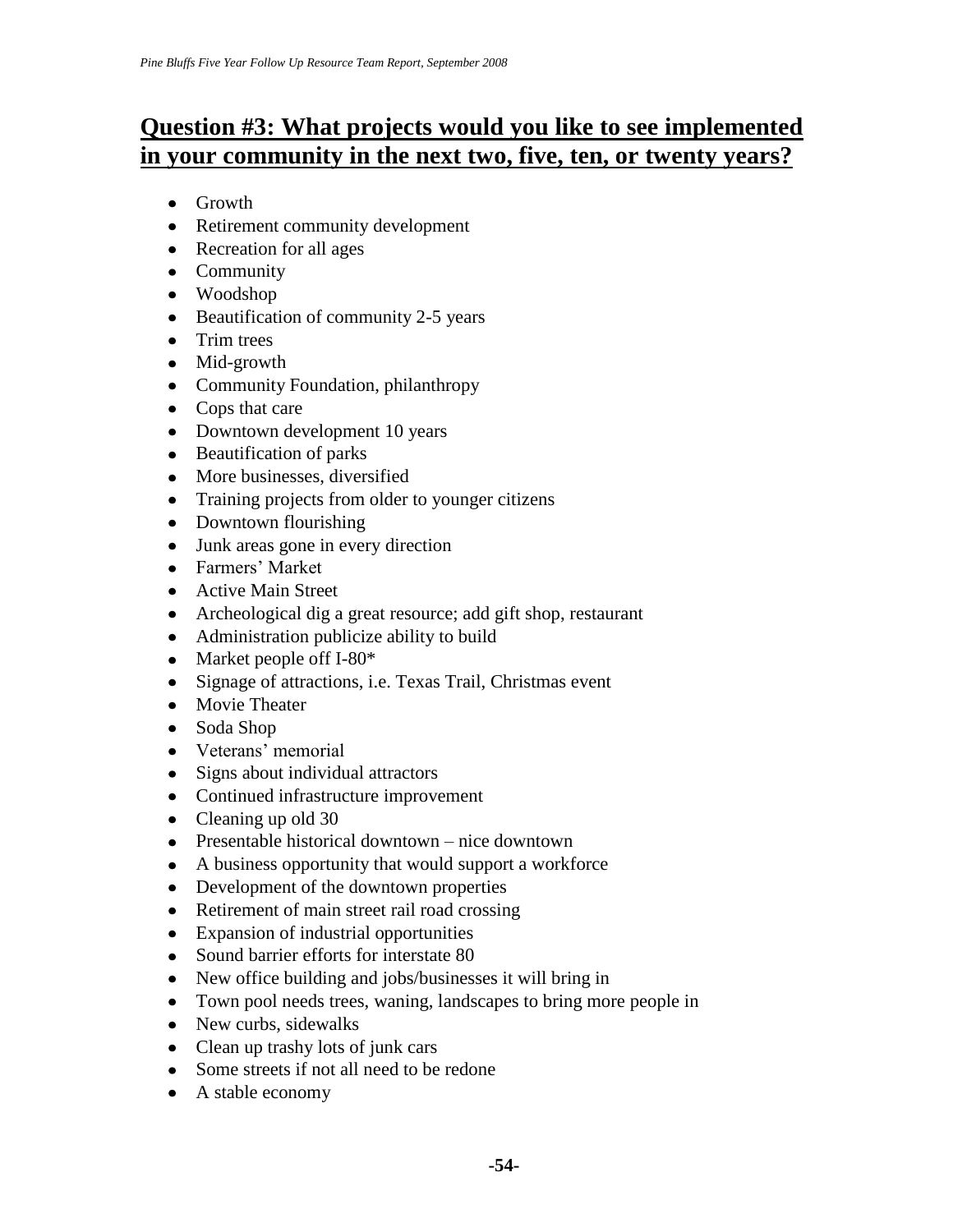# **Question #3: What projects would you like to see implemented in your community in the next two, five, ten, or twenty years?**

- Growth
- Retirement community development
- Recreation for all ages
- Community
- Woodshop
- Beautification of community 2-5 years
- Trim trees
- Mid-growth
- Community Foundation, philanthropy
- Cops that care
- Downtown development 10 years
- Beautification of parks
- More businesses, diversified
- Training projects from older to younger citizens
- Downtown flourishing
- Junk areas gone in every direction
- Farmers' Market
- Active Main Street
- Archeological dig a great resource; add gift shop, restaurant
- Administration publicize ability to build
- Market people off I-80\*
- Signage of attractions, i.e. Texas Trail, Christmas event
- Movie Theater
- Soda Shop
- Veterans' memorial
- Signs about individual attractors
- Continued infrastructure improvement
- Cleaning up old 30
- Presentable historical downtown nice downtown
- A business opportunity that would support a workforce
- Development of the downtown properties
- Retirement of main street rail road crossing
- Expansion of industrial opportunities
- Sound barrier efforts for interstate 80
- New office building and jobs/businesses it will bring in
- Town pool needs trees, waning, landscapes to bring more people in
- New curbs, sidewalks
- Clean up trashy lots of junk cars
- Some streets if not all need to be redone
- A stable economy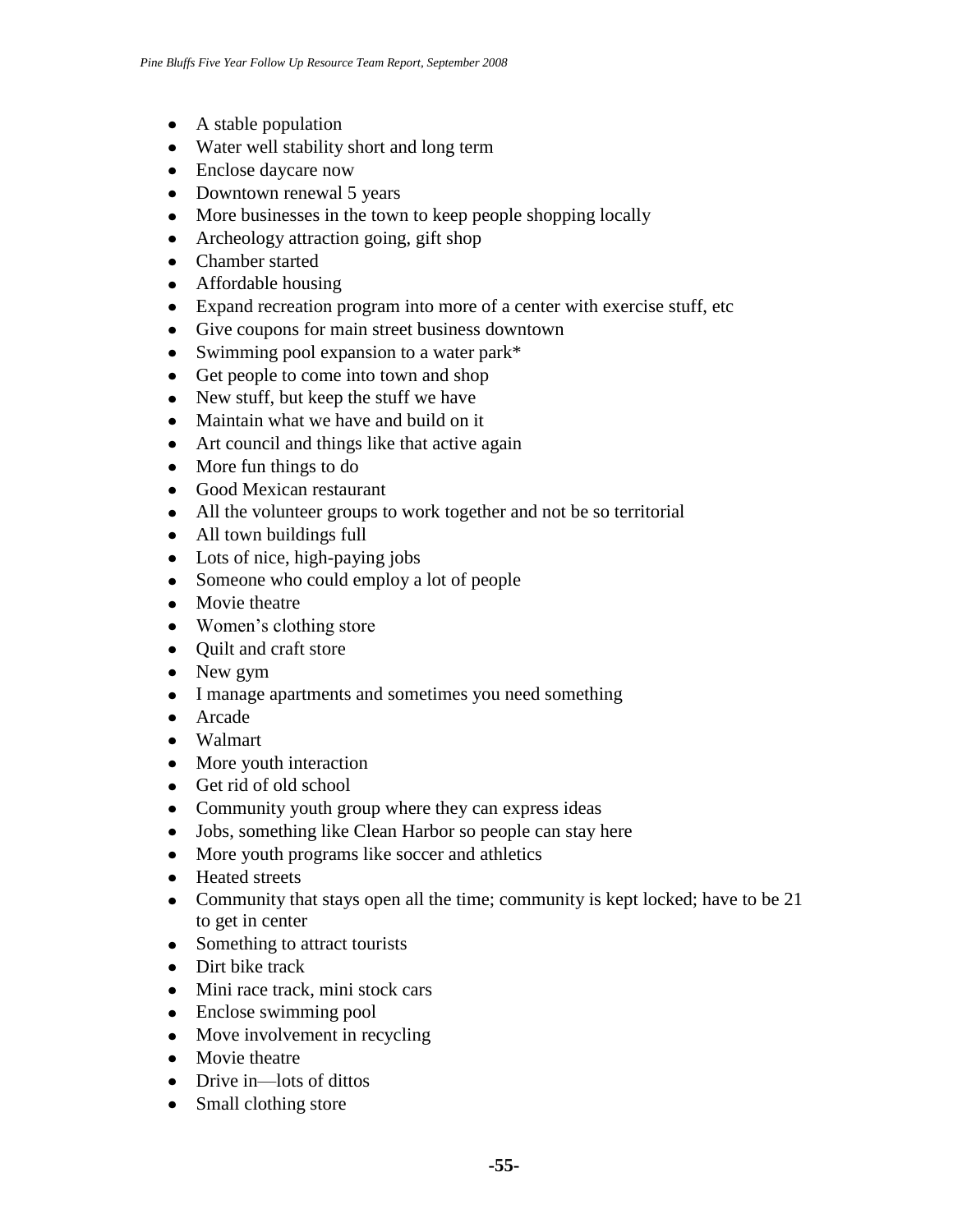- A stable population
- Water well stability short and long term
- Enclose daycare now
- Downtown renewal 5 years
- More businesses in the town to keep people shopping locally
- Archeology attraction going, gift shop
- Chamber started
- Affordable housing
- Expand recreation program into more of a center with exercise stuff, etc
- Give coupons for main street business downtown
- Swimming pool expansion to a water park\*
- Get people to come into town and shop
- New stuff, but keep the stuff we have
- Maintain what we have and build on it
- Art council and things like that active again
- More fun things to do
- Good Mexican restaurant
- All the volunteer groups to work together and not be so territorial
- All town buildings full
- Lots of nice, high-paying jobs
- Someone who could employ a lot of people
- Movie theatre
- Women's clothing store
- Quilt and craft store
- New gym
- I manage apartments and sometimes you need something
- Arcade
- Walmart
- More youth interaction
- Get rid of old school
- Community youth group where they can express ideas
- Jobs, something like Clean Harbor so people can stay here
- More youth programs like soccer and athletics
- Heated streets
- Community that stays open all the time; community is kept locked; have to be 21 to get in center
- Something to attract tourists
- Dirt bike track
- Mini race track, mini stock cars
- Enclose swimming pool
- Move involvement in recycling
- Movie theatre
- Drive in—lots of dittos
- Small clothing store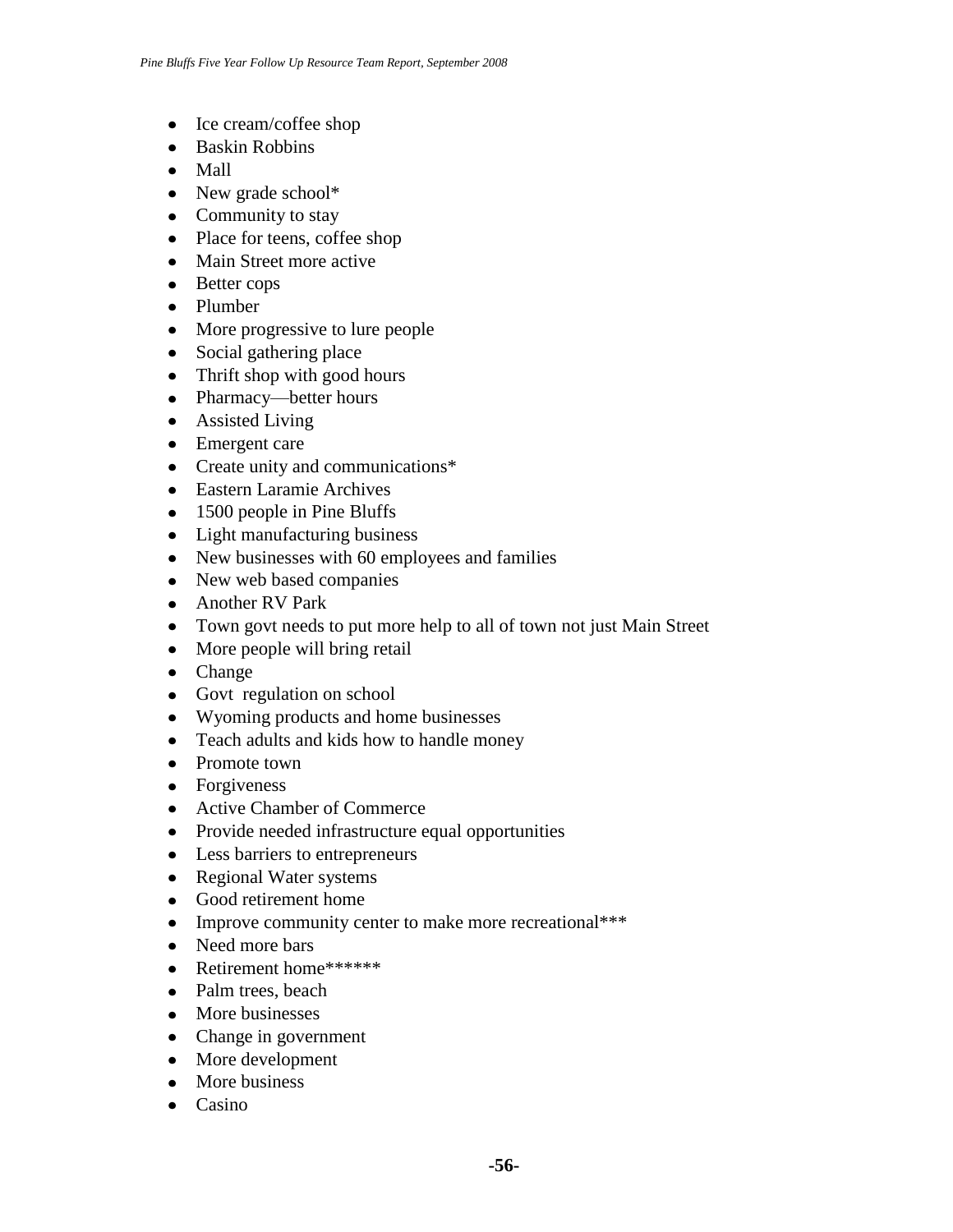- Ice cream/coffee shop
- Baskin Robbins
- Mall
- New grade school\*
- Community to stay
- Place for teens, coffee shop
- Main Street more active
- Better cops
- Plumber
- More progressive to lure people
- Social gathering place
- Thrift shop with good hours
- Pharmacy—better hours
- Assisted Living
- Emergent care
- Create unity and communications\*
- Eastern Laramie Archives
- 1500 people in Pine Bluffs
- Light manufacturing business
- New businesses with 60 employees and families
- New web based companies
- Another RV Park
- Town govt needs to put more help to all of town not just Main Street
- More people will bring retail
- Change
- Govt regulation on school
- Wyoming products and home businesses
- Teach adults and kids how to handle money
- Promote town
- Forgiveness
- Active Chamber of Commerce
- Provide needed infrastructure equal opportunities
- Less barriers to entrepreneurs
- Regional Water systems
- Good retirement home
- Improve community center to make more recreational\*\*\*
- Need more bars
- Retirement home\*\*\*\*\*\*\*
- Palm trees, beach
- More businesses
- Change in government
- More development
- More business
- $\bullet$  Casino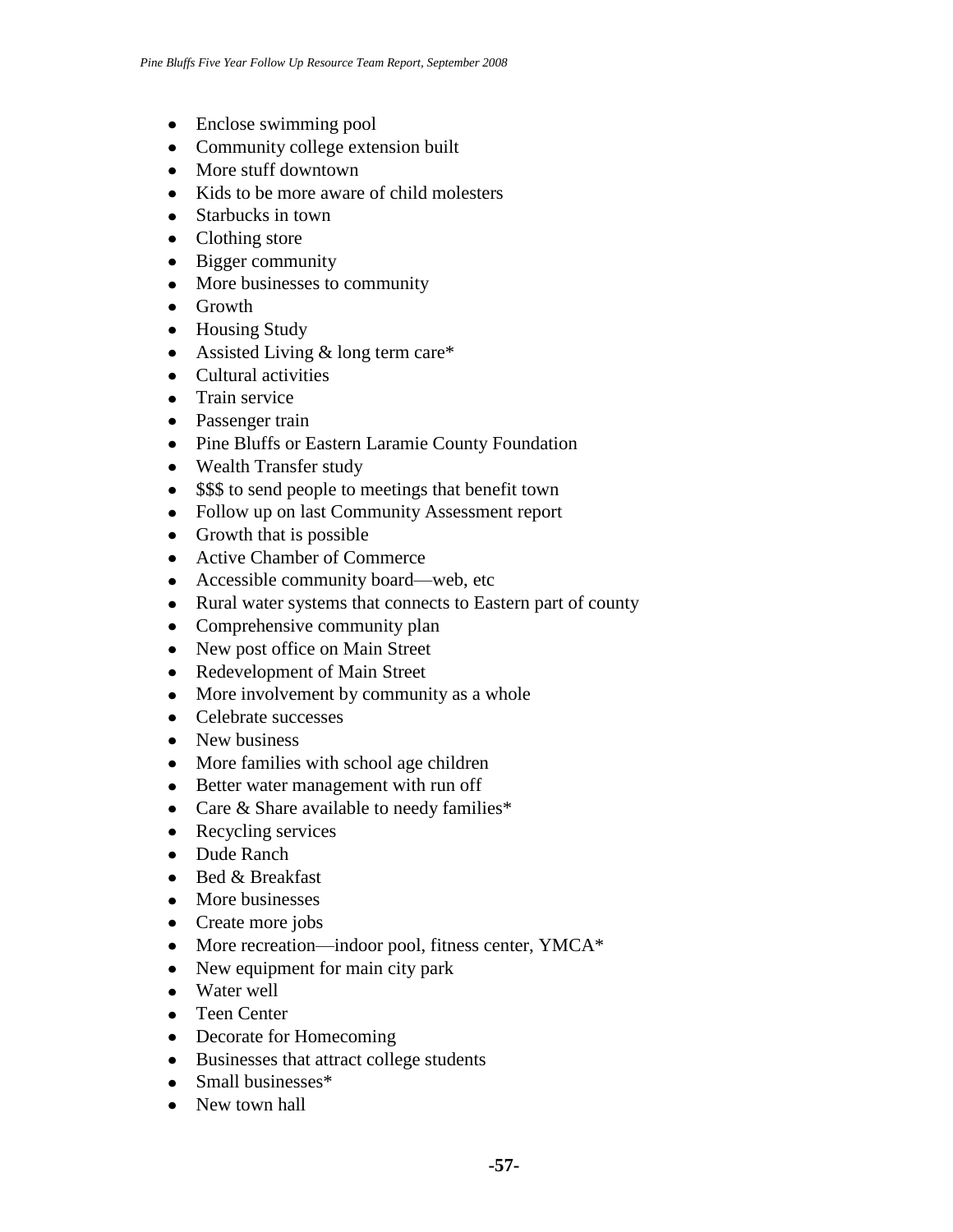- Enclose swimming pool
- Community college extension built
- More stuff downtown
- Kids to be more aware of child molesters
- Starbucks in town
- Clothing store
- Bigger community
- More businesses to community
- Growth
- Housing Study
- Assisted Living & long term care\*
- Cultural activities
- Train service
- Passenger train
- Pine Bluffs or Eastern Laramie County Foundation
- Wealth Transfer study
- \$\$\$ to send people to meetings that benefit town
- Follow up on last Community Assessment report
- Growth that is possible
- Active Chamber of Commerce
- Accessible community board—web, etc
- Rural water systems that connects to Eastern part of county
- Comprehensive community plan
- New post office on Main Street
- Redevelopment of Main Street
- More involvement by community as a whole
- Celebrate successes
- New business
- More families with school age children
- Better water management with run off
- Care & Share available to needy families\*
- Recycling services
- Dude Ranch
- $\bullet$  Bed & Breakfast
- More businesses
- Create more jobs
- More recreation—indoor pool, fitness center, YMCA\*
- New equipment for main city park
- Water well
- Teen Center
- Decorate for Homecoming
- Businesses that attract college students
- Small businesses\*
- New town hall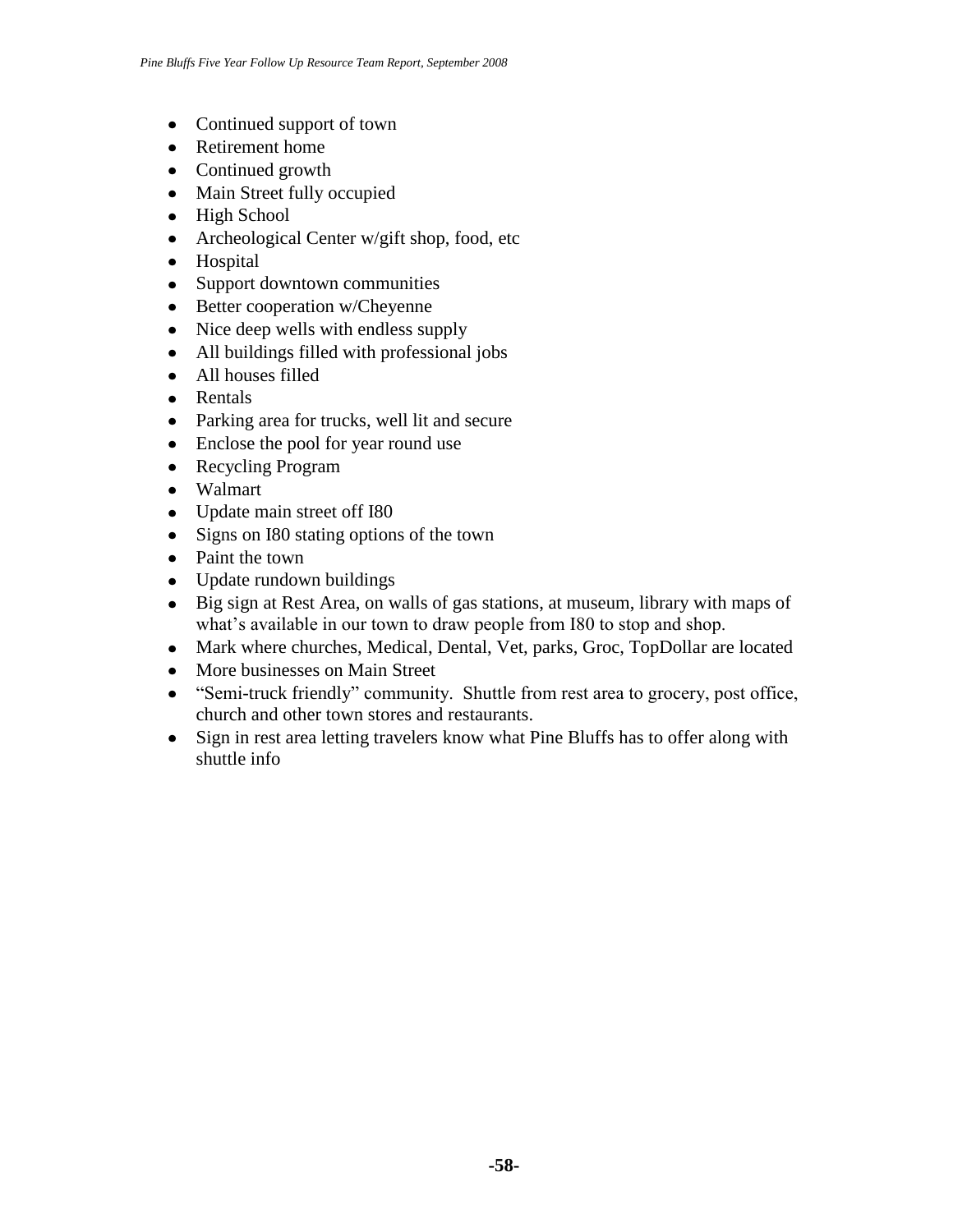- Continued support of town
- Retirement home
- Continued growth
- Main Street fully occupied
- High School
- Archeological Center w/gift shop, food, etc
- Hospital
- Support downtown communities
- Better cooperation w/Cheyenne
- Nice deep wells with endless supply
- All buildings filled with professional jobs
- All houses filled
- Rentals
- Parking area for trucks, well lit and secure
- Enclose the pool for year round use
- Recycling Program
- Walmart
- Update main street off I80
- Signs on I80 stating options of the town
- Paint the town
- Update rundown buildings
- Big sign at Rest Area, on walls of gas stations, at museum, library with maps of what's available in our town to draw people from I80 to stop and shop.
- Mark where churches, Medical, Dental, Vet, parks, Groc, TopDollar are located
- More businesses on Main Street
- "Semi-truck friendly" community. Shuttle from rest area to grocery, post office, church and other town stores and restaurants.
- Sign in rest area letting travelers know what Pine Bluffs has to offer along with shuttle info